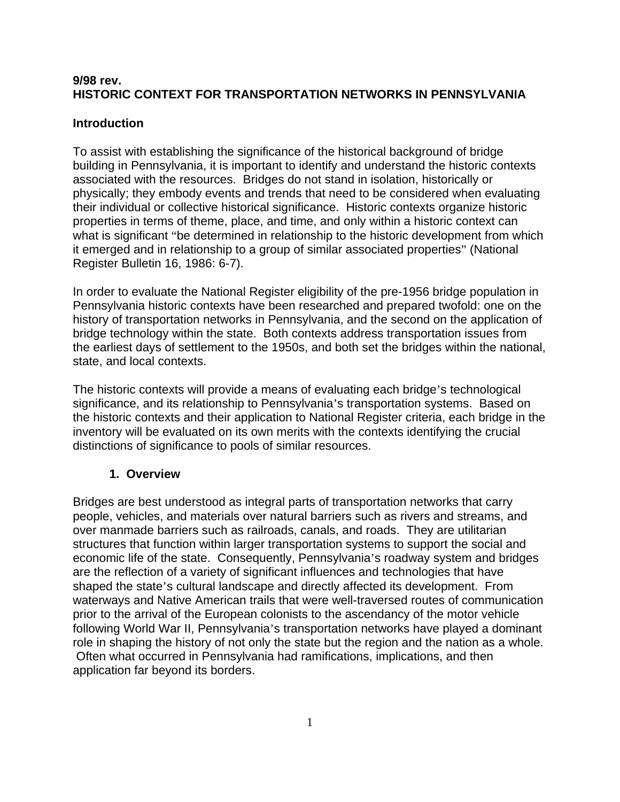# **9/98 rev. HISTORIC CONTEXT FOR TRANSPORTATION NETWORKS IN PENNSYLVANIA**

# **Introduction**

To assist with establishing the significance of the historical background of bridge building in Pennsylvania, it is important to identify and understand the historic contexts associated with the resources. Bridges do not stand in isolation, historically or physically; they embody events and trends that need to be considered when evaluating their individual or collective historical significance. Historic contexts organize historic properties in terms of theme, place, and time, and only within a historic context can what is significant "be determined in relationship to the historic development from which it emerged and in relationship to a group of similar associated properties" (National Register Bulletin 16, 1986: 6-7).

In order to evaluate the National Register eligibility of the pre-1956 bridge population in Pennsylvania historic contexts have been researched and prepared twofold: one on the history of transportation networks in Pennsylvania, and the second on the application of bridge technology within the state. Both contexts address transportation issues from the earliest days of settlement to the 1950s, and both set the bridges within the national, state, and local contexts.

The historic contexts will provide a means of evaluating each bridge's technological significance, and its relationship to Pennsylvania's transportation systems. Based on the historic contexts and their application to National Register criteria, each bridge in the inventory will be evaluated on its own merits with the contexts identifying the crucial distinctions of significance to pools of similar resources.

# **1. Overview**

Bridges are best understood as integral parts of transportation networks that carry people, vehicles, and materials over natural barriers such as rivers and streams, and over manmade barriers such as railroads, canals, and roads. They are utilitarian structures that function within larger transportation systems to support the social and economic life of the state. Consequently, Pennsylvania's roadway system and bridges are the reflection of a variety of significant influences and technologies that have shaped the state's cultural landscape and directly affected its development. From waterways and Native American trails that were well-traversed routes of communication prior to the arrival of the European colonists to the ascendancy of the motor vehicle following World War II, Pennsylvania's transportation networks have played a dominant role in shaping the history of not only the state but the region and the nation as a whole. Often what occurred in Pennsylvania had ramifications, implications, and then application far beyond its borders.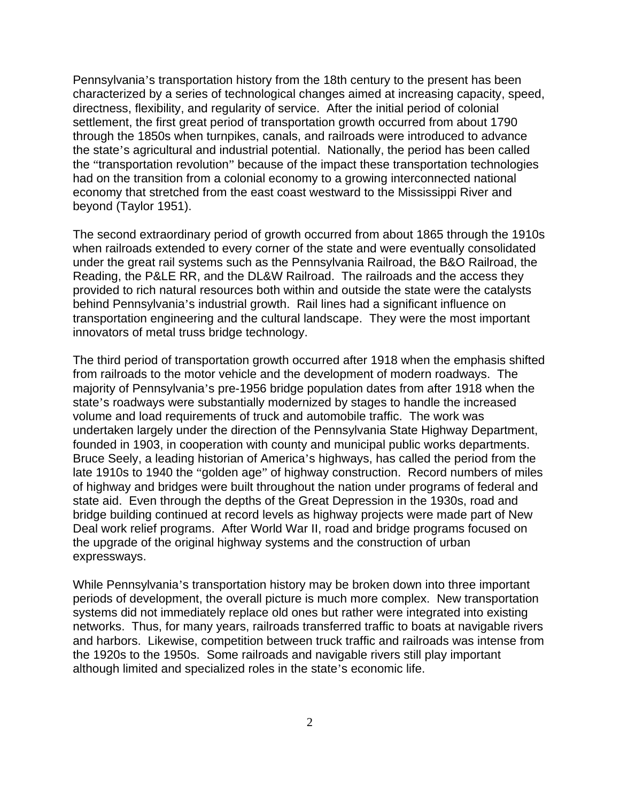Pennsylvania's transportation history from the 18th century to the present has been characterized by a series of technological changes aimed at increasing capacity, speed, directness, flexibility, and regularity of service. After the initial period of colonial settlement, the first great period of transportation growth occurred from about 1790 through the 1850s when turnpikes, canals, and railroads were introduced to advance the state's agricultural and industrial potential. Nationally, the period has been called the "transportation revolution" because of the impact these transportation technologies had on the transition from a colonial economy to a growing interconnected national economy that stretched from the east coast westward to the Mississippi River and beyond (Taylor 1951).

The second extraordinary period of growth occurred from about 1865 through the 1910s when railroads extended to every corner of the state and were eventually consolidated under the great rail systems such as the Pennsylvania Railroad, the B&O Railroad, the Reading, the P&LE RR, and the DL&W Railroad. The railroads and the access they provided to rich natural resources both within and outside the state were the catalysts behind Pennsylvania's industrial growth. Rail lines had a significant influence on transportation engineering and the cultural landscape. They were the most important innovators of metal truss bridge technology.

The third period of transportation growth occurred after 1918 when the emphasis shifted from railroads to the motor vehicle and the development of modern roadways. The majority of Pennsylvania's pre-1956 bridge population dates from after 1918 when the state's roadways were substantially modernized by stages to handle the increased volume and load requirements of truck and automobile traffic. The work was undertaken largely under the direction of the Pennsylvania State Highway Department, founded in 1903, in cooperation with county and municipal public works departments. Bruce Seely, a leading historian of America's highways, has called the period from the late 1910s to 1940 the "golden age" of highway construction. Record numbers of miles of highway and bridges were built throughout the nation under programs of federal and state aid. Even through the depths of the Great Depression in the 1930s, road and bridge building continued at record levels as highway projects were made part of New Deal work relief programs. After World War II, road and bridge programs focused on the upgrade of the original highway systems and the construction of urban expressways.

While Pennsylvania's transportation history may be broken down into three important periods of development, the overall picture is much more complex. New transportation systems did not immediately replace old ones but rather were integrated into existing networks. Thus, for many years, railroads transferred traffic to boats at navigable rivers and harbors. Likewise, competition between truck traffic and railroads was intense from the 1920s to the 1950s. Some railroads and navigable rivers still play important although limited and specialized roles in the state's economic life.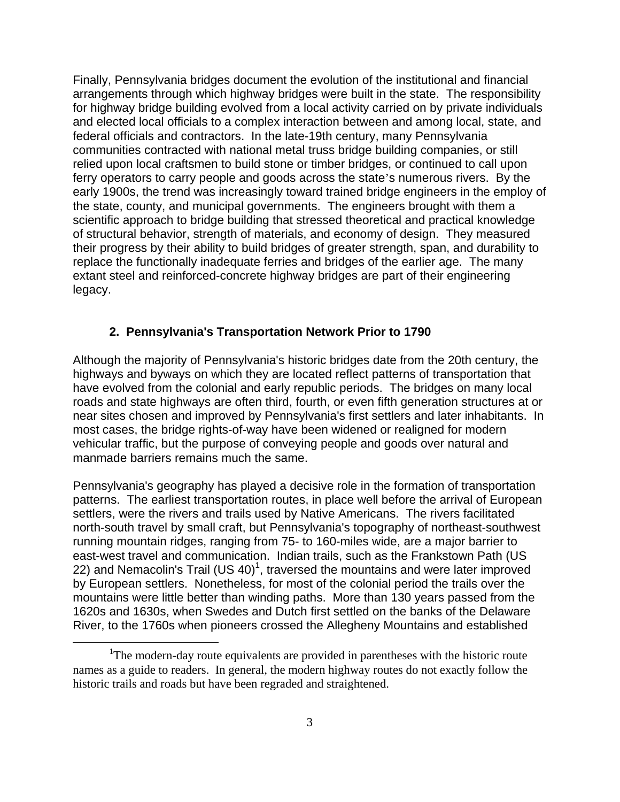Finally, Pennsylvania bridges document the evolution of the institutional and financial arrangements through which highway bridges were built in the state. The responsibility for highway bridge building evolved from a local activity carried on by private individuals and elected local officials to a complex interaction between and among local, state, and federal officials and contractors. In the late-19th century, many Pennsylvania communities contracted with national metal truss bridge building companies, or still relied upon local craftsmen to build stone or timber bridges, or continued to call upon ferry operators to carry people and goods across the state's numerous rivers. By the early 1900s, the trend was increasingly toward trained bridge engineers in the employ of the state, county, and municipal governments. The engineers brought with them a scientific approach to bridge building that stressed theoretical and practical knowledge of structural behavior, strength of materials, and economy of design. They measured their progress by their ability to build bridges of greater strength, span, and durability to replace the functionally inadequate ferries and bridges of the earlier age. The many extant steel and reinforced-concrete highway bridges are part of their engineering legacy.

## **2. Pennsylvania's Transportation Network Prior to 1790**

Although the majority of Pennsylvania's historic bridges date from the 20th century, the highways and byways on which they are located reflect patterns of transportation that have evolved from the colonial and early republic periods. The bridges on many local roads and state highways are often third, fourth, or even fifth generation structures at or near sites chosen and improved by Pennsylvania's first settlers and later inhabitants. In most cases, the bridge rights-of-way have been widened or realigned for modern vehicular traffic, but the purpose of conveying people and goods over natural and manmade barriers remains much the same.

Pennsylvania's geography has played a decisive role in the formation of transportation patterns. The earliest transportation routes, in place well before the arrival of European settlers, were the rivers and trails used by Native Americans. The rivers facilitated north-south travel by small craft, but Pennsylvania's topography of northeast-southwest running mountain ridges, ranging from 75- to 160-miles wide, are a major barrier to east-west travel and communication. Indian trails, such as the Frankstown Path (US 22) and Nemacolin's Trail (US 40)<sup>1</sup>, traversed the mountains and were later improved by European settlers. Nonetheless, for most of the colonial period the trails over the mountains were little better than winding paths. More than 130 years passed from the 1620s and 1630s, when Swedes and Dutch first settled on the banks of the Delaware River, to the 1760s when pioneers crossed the Allegheny Mountains and established

 $\frac{1}{1}$ <sup>1</sup>The modern-day route equivalents are provided in parentheses with the historic route names as a guide to readers. In general, the modern highway routes do not exactly follow the historic trails and roads but have been regraded and straightened.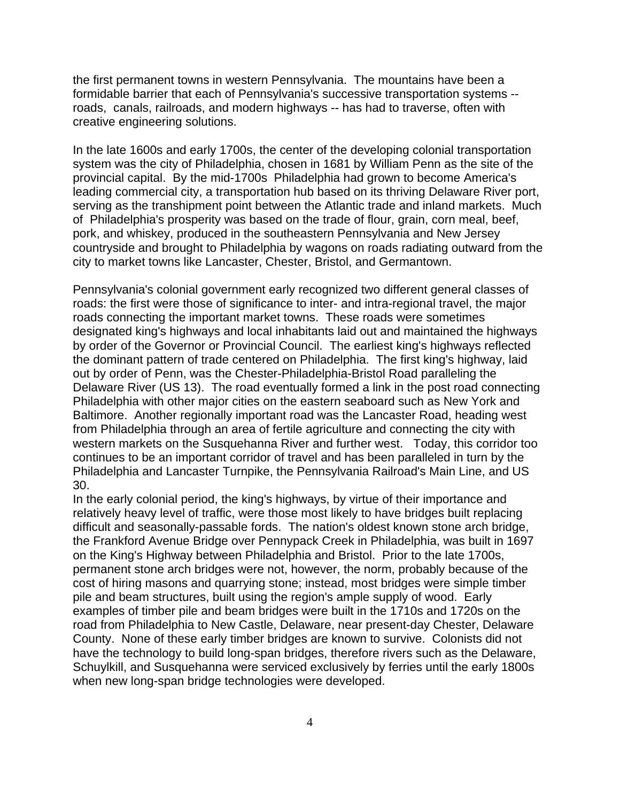the first permanent towns in western Pennsylvania. The mountains have been a formidable barrier that each of Pennsylvania's successive transportation systems - roads, canals, railroads, and modern highways -- has had to traverse, often with creative engineering solutions.

In the late 1600s and early 1700s, the center of the developing colonial transportation system was the city of Philadelphia, chosen in 1681 by William Penn as the site of the provincial capital. By the mid-1700s Philadelphia had grown to become America's leading commercial city, a transportation hub based on its thriving Delaware River port, serving as the transhipment point between the Atlantic trade and inland markets. Much of Philadelphia's prosperity was based on the trade of flour, grain, corn meal, beef, pork, and whiskey, produced in the southeastern Pennsylvania and New Jersey countryside and brought to Philadelphia by wagons on roads radiating outward from the city to market towns like Lancaster, Chester, Bristol, and Germantown.

Pennsylvania's colonial government early recognized two different general classes of roads: the first were those of significance to inter- and intra-regional travel, the major roads connecting the important market towns. These roads were sometimes designated king's highways and local inhabitants laid out and maintained the highways by order of the Governor or Provincial Council. The earliest king's highways reflected the dominant pattern of trade centered on Philadelphia. The first king's highway, laid out by order of Penn, was the Chester-Philadelphia-Bristol Road paralleling the Delaware River (US 13). The road eventually formed a link in the post road connecting Philadelphia with other major cities on the eastern seaboard such as New York and Baltimore. Another regionally important road was the Lancaster Road, heading west from Philadelphia through an area of fertile agriculture and connecting the city with western markets on the Susquehanna River and further west. Today, this corridor too continues to be an important corridor of travel and has been paralleled in turn by the Philadelphia and Lancaster Turnpike, the Pennsylvania Railroad's Main Line, and US 30.

In the early colonial period, the king's highways, by virtue of their importance and relatively heavy level of traffic, were those most likely to have bridges built replacing difficult and seasonally-passable fords. The nation's oldest known stone arch bridge, the Frankford Avenue Bridge over Pennypack Creek in Philadelphia, was built in 1697 on the King's Highway between Philadelphia and Bristol. Prior to the late 1700s, permanent stone arch bridges were not, however, the norm, probably because of the cost of hiring masons and quarrying stone; instead, most bridges were simple timber pile and beam structures, built using the region's ample supply of wood. Early examples of timber pile and beam bridges were built in the 1710s and 1720s on the road from Philadelphia to New Castle, Delaware, near present-day Chester, Delaware County. None of these early timber bridges are known to survive. Colonists did not have the technology to build long-span bridges, therefore rivers such as the Delaware, Schuylkill, and Susquehanna were serviced exclusively by ferries until the early 1800s when new long-span bridge technologies were developed.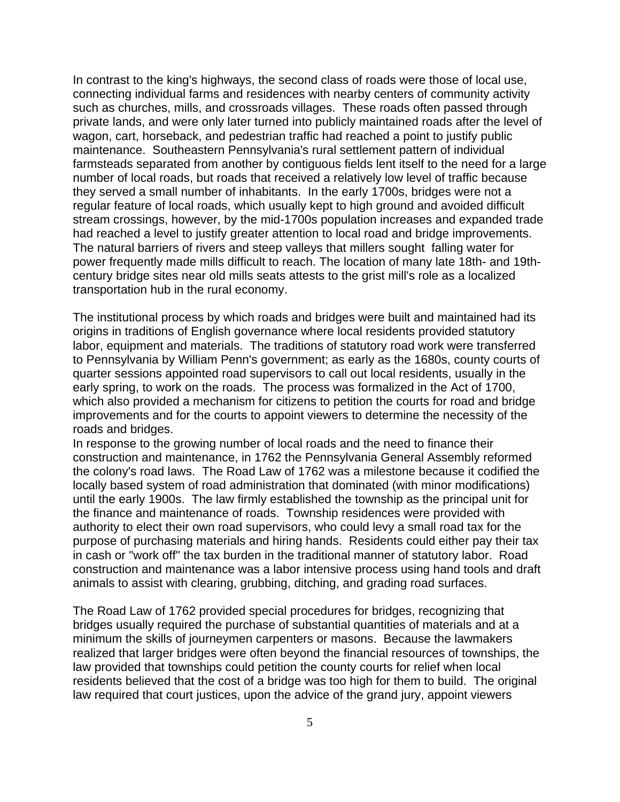In contrast to the king's highways, the second class of roads were those of local use, connecting individual farms and residences with nearby centers of community activity such as churches, mills, and crossroads villages. These roads often passed through private lands, and were only later turned into publicly maintained roads after the level of wagon, cart, horseback, and pedestrian traffic had reached a point to justify public maintenance. Southeastern Pennsylvania's rural settlement pattern of individual farmsteads separated from another by contiguous fields lent itself to the need for a large number of local roads, but roads that received a relatively low level of traffic because they served a small number of inhabitants. In the early 1700s, bridges were not a regular feature of local roads, which usually kept to high ground and avoided difficult stream crossings, however, by the mid-1700s population increases and expanded trade had reached a level to justify greater attention to local road and bridge improvements. The natural barriers of rivers and steep valleys that millers sought falling water for power frequently made mills difficult to reach. The location of many late 18th- and 19thcentury bridge sites near old mills seats attests to the grist mill's role as a localized transportation hub in the rural economy.

The institutional process by which roads and bridges were built and maintained had its origins in traditions of English governance where local residents provided statutory labor, equipment and materials. The traditions of statutory road work were transferred to Pennsylvania by William Penn's government; as early as the 1680s, county courts of quarter sessions appointed road supervisors to call out local residents, usually in the early spring, to work on the roads. The process was formalized in the Act of 1700, which also provided a mechanism for citizens to petition the courts for road and bridge improvements and for the courts to appoint viewers to determine the necessity of the roads and bridges.

In response to the growing number of local roads and the need to finance their construction and maintenance, in 1762 the Pennsylvania General Assembly reformed the colony's road laws. The Road Law of 1762 was a milestone because it codified the locally based system of road administration that dominated (with minor modifications) until the early 1900s. The law firmly established the township as the principal unit for the finance and maintenance of roads. Township residences were provided with authority to elect their own road supervisors, who could levy a small road tax for the purpose of purchasing materials and hiring hands. Residents could either pay their tax in cash or "work off" the tax burden in the traditional manner of statutory labor. Road construction and maintenance was a labor intensive process using hand tools and draft animals to assist with clearing, grubbing, ditching, and grading road surfaces.

The Road Law of 1762 provided special procedures for bridges, recognizing that bridges usually required the purchase of substantial quantities of materials and at a minimum the skills of journeymen carpenters or masons. Because the lawmakers realized that larger bridges were often beyond the financial resources of townships, the law provided that townships could petition the county courts for relief when local residents believed that the cost of a bridge was too high for them to build. The original law required that court justices, upon the advice of the grand jury, appoint viewers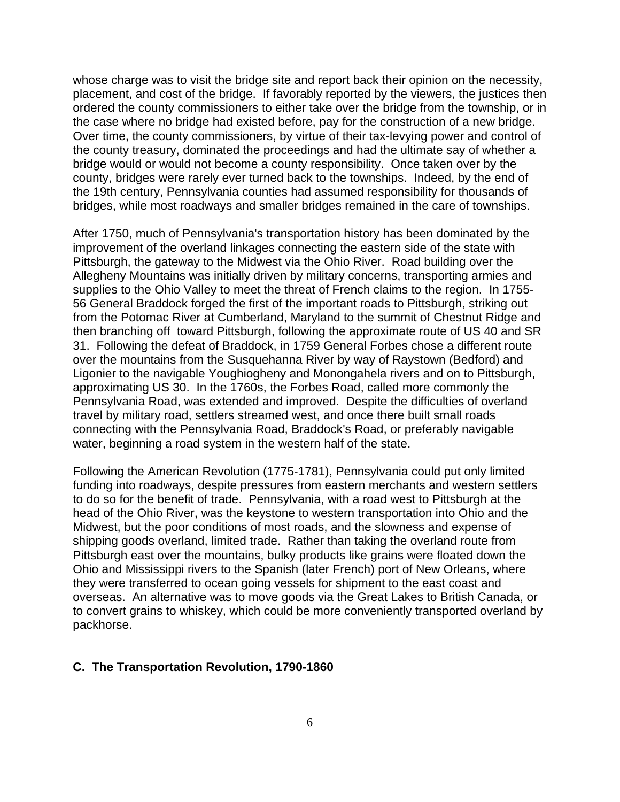whose charge was to visit the bridge site and report back their opinion on the necessity, placement, and cost of the bridge. If favorably reported by the viewers, the justices then ordered the county commissioners to either take over the bridge from the township, or in the case where no bridge had existed before, pay for the construction of a new bridge. Over time, the county commissioners, by virtue of their tax-levying power and control of the county treasury, dominated the proceedings and had the ultimate say of whether a bridge would or would not become a county responsibility. Once taken over by the county, bridges were rarely ever turned back to the townships. Indeed, by the end of the 19th century, Pennsylvania counties had assumed responsibility for thousands of bridges, while most roadways and smaller bridges remained in the care of townships.

After 1750, much of Pennsylvania's transportation history has been dominated by the improvement of the overland linkages connecting the eastern side of the state with Pittsburgh, the gateway to the Midwest via the Ohio River. Road building over the Allegheny Mountains was initially driven by military concerns, transporting armies and supplies to the Ohio Valley to meet the threat of French claims to the region. In 1755- 56 General Braddock forged the first of the important roads to Pittsburgh, striking out from the Potomac River at Cumberland, Maryland to the summit of Chestnut Ridge and then branching off toward Pittsburgh, following the approximate route of US 40 and SR 31. Following the defeat of Braddock, in 1759 General Forbes chose a different route over the mountains from the Susquehanna River by way of Raystown (Bedford) and Ligonier to the navigable Youghiogheny and Monongahela rivers and on to Pittsburgh, approximating US 30. In the 1760s, the Forbes Road, called more commonly the Pennsylvania Road, was extended and improved. Despite the difficulties of overland travel by military road, settlers streamed west, and once there built small roads connecting with the Pennsylvania Road, Braddock's Road, or preferably navigable water, beginning a road system in the western half of the state.

Following the American Revolution (1775-1781), Pennsylvania could put only limited funding into roadways, despite pressures from eastern merchants and western settlers to do so for the benefit of trade. Pennsylvania, with a road west to Pittsburgh at the head of the Ohio River, was the keystone to western transportation into Ohio and the Midwest, but the poor conditions of most roads, and the slowness and expense of shipping goods overland, limited trade. Rather than taking the overland route from Pittsburgh east over the mountains, bulky products like grains were floated down the Ohio and Mississippi rivers to the Spanish (later French) port of New Orleans, where they were transferred to ocean going vessels for shipment to the east coast and overseas. An alternative was to move goods via the Great Lakes to British Canada, or to convert grains to whiskey, which could be more conveniently transported overland by packhorse.

#### **C. The Transportation Revolution, 1790-1860**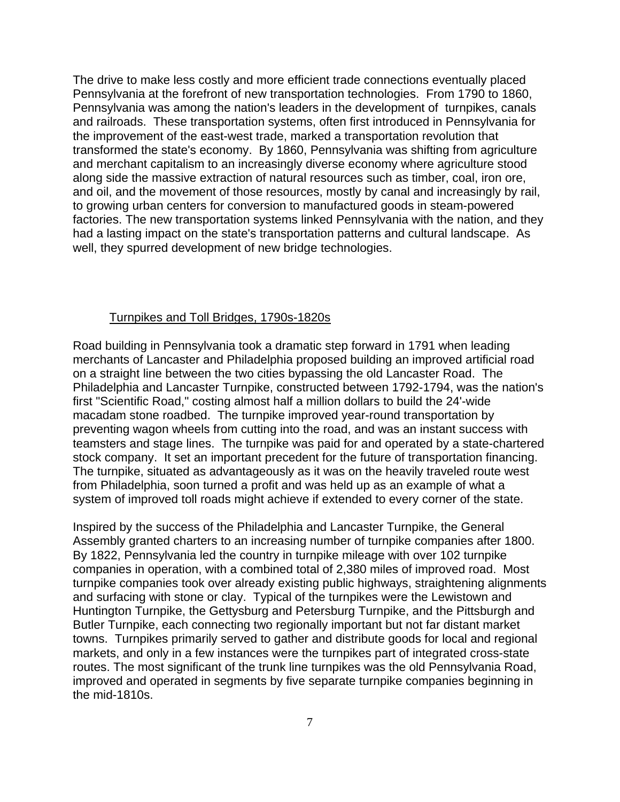The drive to make less costly and more efficient trade connections eventually placed Pennsylvania at the forefront of new transportation technologies. From 1790 to 1860, Pennsylvania was among the nation's leaders in the development of turnpikes, canals and railroads. These transportation systems, often first introduced in Pennsylvania for the improvement of the east-west trade, marked a transportation revolution that transformed the state's economy. By 1860, Pennsylvania was shifting from agriculture and merchant capitalism to an increasingly diverse economy where agriculture stood along side the massive extraction of natural resources such as timber, coal, iron ore, and oil, and the movement of those resources, mostly by canal and increasingly by rail, to growing urban centers for conversion to manufactured goods in steam-powered factories. The new transportation systems linked Pennsylvania with the nation, and they had a lasting impact on the state's transportation patterns and cultural landscape. As well, they spurred development of new bridge technologies.

#### Turnpikes and Toll Bridges, 1790s-1820s

Road building in Pennsylvania took a dramatic step forward in 1791 when leading merchants of Lancaster and Philadelphia proposed building an improved artificial road on a straight line between the two cities bypassing the old Lancaster Road. The Philadelphia and Lancaster Turnpike, constructed between 1792-1794, was the nation's first "Scientific Road," costing almost half a million dollars to build the 24'-wide macadam stone roadbed. The turnpike improved year-round transportation by preventing wagon wheels from cutting into the road, and was an instant success with teamsters and stage lines. The turnpike was paid for and operated by a state-chartered stock company. It set an important precedent for the future of transportation financing. The turnpike, situated as advantageously as it was on the heavily traveled route west from Philadelphia, soon turned a profit and was held up as an example of what a system of improved toll roads might achieve if extended to every corner of the state.

Inspired by the success of the Philadelphia and Lancaster Turnpike, the General Assembly granted charters to an increasing number of turnpike companies after 1800. By 1822, Pennsylvania led the country in turnpike mileage with over 102 turnpike companies in operation, with a combined total of 2,380 miles of improved road. Most turnpike companies took over already existing public highways, straightening alignments and surfacing with stone or clay. Typical of the turnpikes were the Lewistown and Huntington Turnpike, the Gettysburg and Petersburg Turnpike, and the Pittsburgh and Butler Turnpike, each connecting two regionally important but not far distant market towns. Turnpikes primarily served to gather and distribute goods for local and regional markets, and only in a few instances were the turnpikes part of integrated cross-state routes. The most significant of the trunk line turnpikes was the old Pennsylvania Road, improved and operated in segments by five separate turnpike companies beginning in the mid-1810s.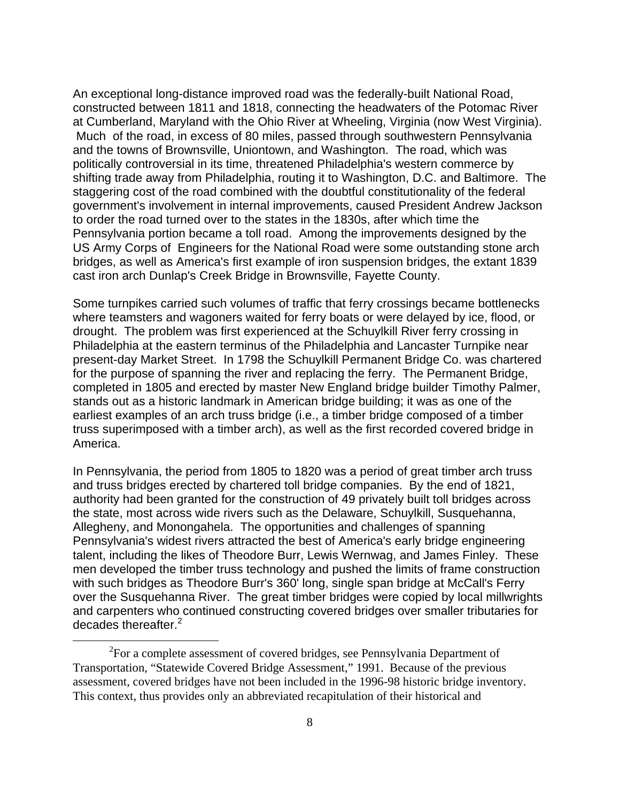An exceptional long-distance improved road was the federally-built National Road, constructed between 1811 and 1818, connecting the headwaters of the Potomac River at Cumberland, Maryland with the Ohio River at Wheeling, Virginia (now West Virginia). Much of the road, in excess of 80 miles, passed through southwestern Pennsylvania and the towns of Brownsville, Uniontown, and Washington. The road, which was politically controversial in its time, threatened Philadelphia's western commerce by shifting trade away from Philadelphia, routing it to Washington, D.C. and Baltimore. The staggering cost of the road combined with the doubtful constitutionality of the federal government's involvement in internal improvements, caused President Andrew Jackson to order the road turned over to the states in the 1830s, after which time the Pennsylvania portion became a toll road. Among the improvements designed by the US Army Corps of Engineers for the National Road were some outstanding stone arch bridges, as well as America's first example of iron suspension bridges, the extant 1839 cast iron arch Dunlap's Creek Bridge in Brownsville, Fayette County.

Some turnpikes carried such volumes of traffic that ferry crossings became bottlenecks where teamsters and wagoners waited for ferry boats or were delayed by ice, flood, or drought. The problem was first experienced at the Schuylkill River ferry crossing in Philadelphia at the eastern terminus of the Philadelphia and Lancaster Turnpike near present-day Market Street. In 1798 the Schuylkill Permanent Bridge Co. was chartered for the purpose of spanning the river and replacing the ferry. The Permanent Bridge, completed in 1805 and erected by master New England bridge builder Timothy Palmer, stands out as a historic landmark in American bridge building; it was as one of the earliest examples of an arch truss bridge (i.e., a timber bridge composed of a timber truss superimposed with a timber arch), as well as the first recorded covered bridge in America.

In Pennsylvania, the period from 1805 to 1820 was a period of great timber arch truss and truss bridges erected by chartered toll bridge companies. By the end of 1821, authority had been granted for the construction of 49 privately built toll bridges across the state, most across wide rivers such as the Delaware, Schuylkill, Susquehanna, Allegheny, and Monongahela. The opportunities and challenges of spanning Pennsylvania's widest rivers attracted the best of America's early bridge engineering talent, including the likes of Theodore Burr, Lewis Wernwag, and James Finley. These men developed the timber truss technology and pushed the limits of frame construction with such bridges as Theodore Burr's 360' long, single span bridge at McCall's Ferry over the Susquehanna River. The great timber bridges were copied by local millwrights and carpenters who continued constructing covered bridges over smaller tributaries for decades thereafter.<sup>2</sup>

 <sup>2</sup>  $\rm^{2}$ For a complete assessment of covered bridges, see Pennsylvania Department of Transportation, "Statewide Covered Bridge Assessment," 1991. Because of the previous assessment, covered bridges have not been included in the 1996-98 historic bridge inventory. This context, thus provides only an abbreviated recapitulation of their historical and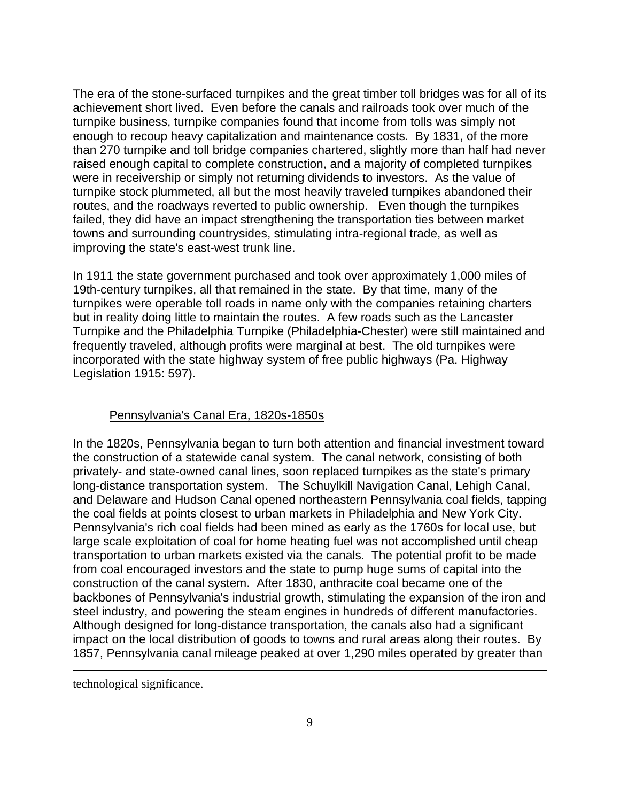The era of the stone-surfaced turnpikes and the great timber toll bridges was for all of its achievement short lived. Even before the canals and railroads took over much of the turnpike business, turnpike companies found that income from tolls was simply not enough to recoup heavy capitalization and maintenance costs. By 1831, of the more than 270 turnpike and toll bridge companies chartered, slightly more than half had never raised enough capital to complete construction, and a majority of completed turnpikes were in receivership or simply not returning dividends to investors. As the value of turnpike stock plummeted, all but the most heavily traveled turnpikes abandoned their routes, and the roadways reverted to public ownership. Even though the turnpikes failed, they did have an impact strengthening the transportation ties between market towns and surrounding countrysides, stimulating intra-regional trade, as well as improving the state's east-west trunk line.

In 1911 the state government purchased and took over approximately 1,000 miles of 19th-century turnpikes, all that remained in the state. By that time, many of the turnpikes were operable toll roads in name only with the companies retaining charters but in reality doing little to maintain the routes. A few roads such as the Lancaster Turnpike and the Philadelphia Turnpike (Philadelphia-Chester) were still maintained and frequently traveled, although profits were marginal at best. The old turnpikes were incorporated with the state highway system of free public highways (Pa. Highway Legislation 1915: 597).

# Pennsylvania's Canal Era, 1820s-1850s

In the 1820s, Pennsylvania began to turn both attention and financial investment toward the construction of a statewide canal system. The canal network, consisting of both privately- and state-owned canal lines, soon replaced turnpikes as the state's primary long-distance transportation system. The Schuylkill Navigation Canal, Lehigh Canal, and Delaware and Hudson Canal opened northeastern Pennsylvania coal fields, tapping the coal fields at points closest to urban markets in Philadelphia and New York City. Pennsylvania's rich coal fields had been mined as early as the 1760s for local use, but large scale exploitation of coal for home heating fuel was not accomplished until cheap transportation to urban markets existed via the canals. The potential profit to be made from coal encouraged investors and the state to pump huge sums of capital into the construction of the canal system. After 1830, anthracite coal became one of the backbones of Pennsylvania's industrial growth, stimulating the expansion of the iron and steel industry, and powering the steam engines in hundreds of different manufactories. Although designed for long-distance transportation, the canals also had a significant impact on the local distribution of goods to towns and rural areas along their routes. By 1857, Pennsylvania canal mileage peaked at over 1,290 miles operated by greater than

technological significance.

 $\overline{a}$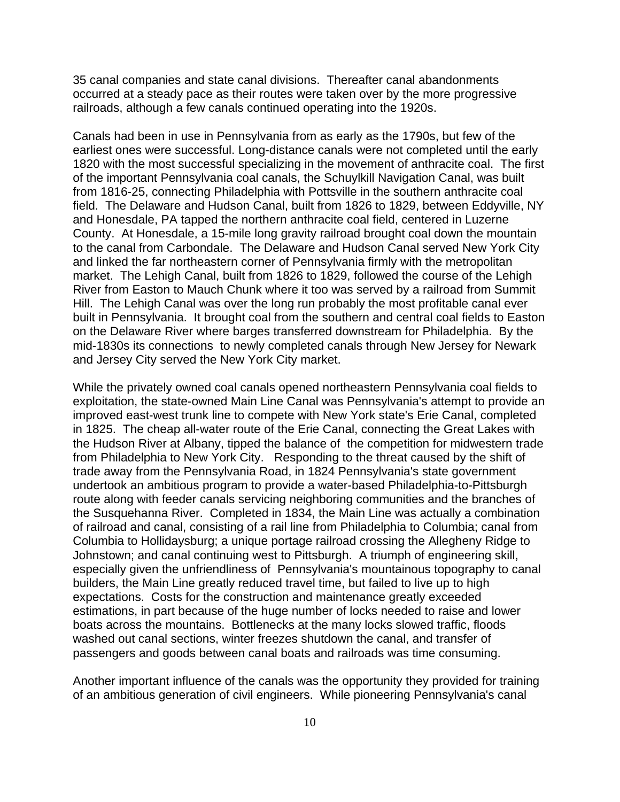35 canal companies and state canal divisions. Thereafter canal abandonments occurred at a steady pace as their routes were taken over by the more progressive railroads, although a few canals continued operating into the 1920s.

Canals had been in use in Pennsylvania from as early as the 1790s, but few of the earliest ones were successful. Long-distance canals were not completed until the early 1820 with the most successful specializing in the movement of anthracite coal. The first of the important Pennsylvania coal canals, the Schuylkill Navigation Canal, was built from 1816-25, connecting Philadelphia with Pottsville in the southern anthracite coal field. The Delaware and Hudson Canal, built from 1826 to 1829, between Eddyville, NY and Honesdale, PA tapped the northern anthracite coal field, centered in Luzerne County. At Honesdale, a 15-mile long gravity railroad brought coal down the mountain to the canal from Carbondale. The Delaware and Hudson Canal served New York City and linked the far northeastern corner of Pennsylvania firmly with the metropolitan market. The Lehigh Canal, built from 1826 to 1829, followed the course of the Lehigh River from Easton to Mauch Chunk where it too was served by a railroad from Summit Hill. The Lehigh Canal was over the long run probably the most profitable canal ever built in Pennsylvania. It brought coal from the southern and central coal fields to Easton on the Delaware River where barges transferred downstream for Philadelphia. By the mid-1830s its connections to newly completed canals through New Jersey for Newark and Jersey City served the New York City market.

While the privately owned coal canals opened northeastern Pennsylvania coal fields to exploitation, the state-owned Main Line Canal was Pennsylvania's attempt to provide an improved east-west trunk line to compete with New York state's Erie Canal, completed in 1825. The cheap all-water route of the Erie Canal, connecting the Great Lakes with the Hudson River at Albany, tipped the balance of the competition for midwestern trade from Philadelphia to New York City. Responding to the threat caused by the shift of trade away from the Pennsylvania Road, in 1824 Pennsylvania's state government undertook an ambitious program to provide a water-based Philadelphia-to-Pittsburgh route along with feeder canals servicing neighboring communities and the branches of the Susquehanna River. Completed in 1834, the Main Line was actually a combination of railroad and canal, consisting of a rail line from Philadelphia to Columbia; canal from Columbia to Hollidaysburg; a unique portage railroad crossing the Allegheny Ridge to Johnstown; and canal continuing west to Pittsburgh. A triumph of engineering skill, especially given the unfriendliness of Pennsylvania's mountainous topography to canal builders, the Main Line greatly reduced travel time, but failed to live up to high expectations. Costs for the construction and maintenance greatly exceeded estimations, in part because of the huge number of locks needed to raise and lower boats across the mountains. Bottlenecks at the many locks slowed traffic, floods washed out canal sections, winter freezes shutdown the canal, and transfer of passengers and goods between canal boats and railroads was time consuming.

Another important influence of the canals was the opportunity they provided for training of an ambitious generation of civil engineers. While pioneering Pennsylvania's canal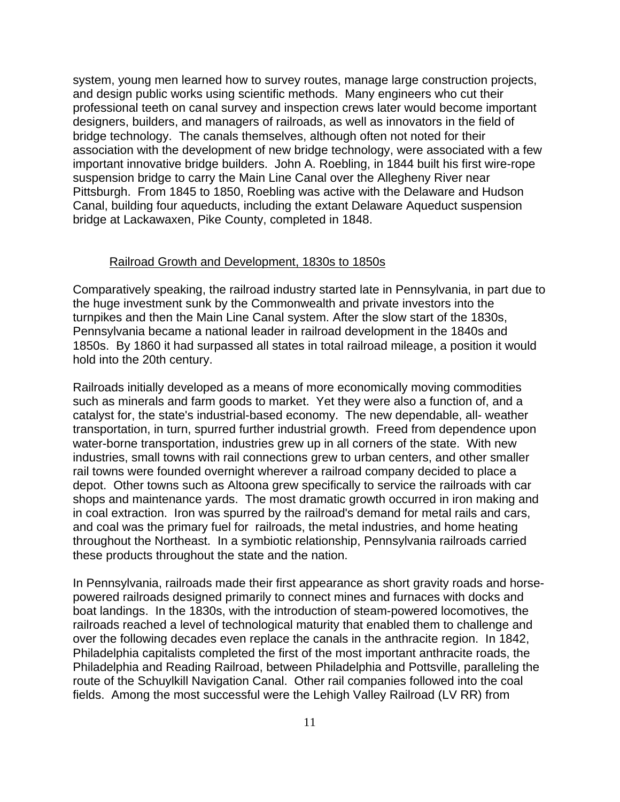system, young men learned how to survey routes, manage large construction projects, and design public works using scientific methods. Many engineers who cut their professional teeth on canal survey and inspection crews later would become important designers, builders, and managers of railroads, as well as innovators in the field of bridge technology. The canals themselves, although often not noted for their association with the development of new bridge technology, were associated with a few important innovative bridge builders. John A. Roebling, in 1844 built his first wire-rope suspension bridge to carry the Main Line Canal over the Allegheny River near Pittsburgh. From 1845 to 1850, Roebling was active with the Delaware and Hudson Canal, building four aqueducts, including the extant Delaware Aqueduct suspension bridge at Lackawaxen, Pike County, completed in 1848.

#### Railroad Growth and Development, 1830s to 1850s

Comparatively speaking, the railroad industry started late in Pennsylvania, in part due to the huge investment sunk by the Commonwealth and private investors into the turnpikes and then the Main Line Canal system. After the slow start of the 1830s, Pennsylvania became a national leader in railroad development in the 1840s and 1850s. By 1860 it had surpassed all states in total railroad mileage, a position it would hold into the 20th century.

Railroads initially developed as a means of more economically moving commodities such as minerals and farm goods to market. Yet they were also a function of, and a catalyst for, the state's industrial-based economy. The new dependable, all- weather transportation, in turn, spurred further industrial growth. Freed from dependence upon water-borne transportation, industries grew up in all corners of the state. With new industries, small towns with rail connections grew to urban centers, and other smaller rail towns were founded overnight wherever a railroad company decided to place a depot. Other towns such as Altoona grew specifically to service the railroads with car shops and maintenance yards. The most dramatic growth occurred in iron making and in coal extraction. Iron was spurred by the railroad's demand for metal rails and cars, and coal was the primary fuel for railroads, the metal industries, and home heating throughout the Northeast. In a symbiotic relationship, Pennsylvania railroads carried these products throughout the state and the nation.

In Pennsylvania, railroads made their first appearance as short gravity roads and horsepowered railroads designed primarily to connect mines and furnaces with docks and boat landings. In the 1830s, with the introduction of steam-powered locomotives, the railroads reached a level of technological maturity that enabled them to challenge and over the following decades even replace the canals in the anthracite region. In 1842, Philadelphia capitalists completed the first of the most important anthracite roads, the Philadelphia and Reading Railroad, between Philadelphia and Pottsville, paralleling the route of the Schuylkill Navigation Canal. Other rail companies followed into the coal fields. Among the most successful were the Lehigh Valley Railroad (LV RR) from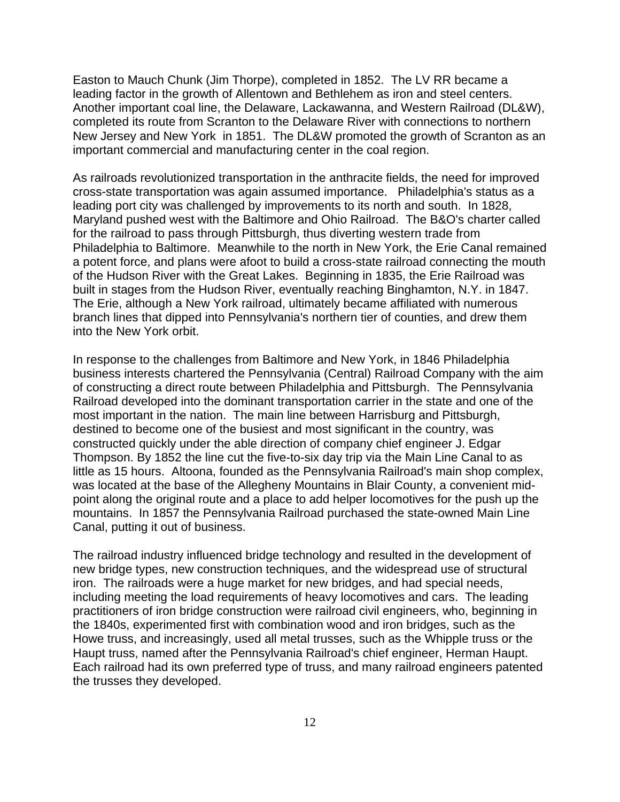Easton to Mauch Chunk (Jim Thorpe), completed in 1852. The LV RR became a leading factor in the growth of Allentown and Bethlehem as iron and steel centers. Another important coal line, the Delaware, Lackawanna, and Western Railroad (DL&W), completed its route from Scranton to the Delaware River with connections to northern New Jersey and New York in 1851. The DL&W promoted the growth of Scranton as an important commercial and manufacturing center in the coal region.

As railroads revolutionized transportation in the anthracite fields, the need for improved cross-state transportation was again assumed importance. Philadelphia's status as a leading port city was challenged by improvements to its north and south. In 1828, Maryland pushed west with the Baltimore and Ohio Railroad. The B&O's charter called for the railroad to pass through Pittsburgh, thus diverting western trade from Philadelphia to Baltimore. Meanwhile to the north in New York, the Erie Canal remained a potent force, and plans were afoot to build a cross-state railroad connecting the mouth of the Hudson River with the Great Lakes. Beginning in 1835, the Erie Railroad was built in stages from the Hudson River, eventually reaching Binghamton, N.Y. in 1847. The Erie, although a New York railroad, ultimately became affiliated with numerous branch lines that dipped into Pennsylvania's northern tier of counties, and drew them into the New York orbit.

In response to the challenges from Baltimore and New York, in 1846 Philadelphia business interests chartered the Pennsylvania (Central) Railroad Company with the aim of constructing a direct route between Philadelphia and Pittsburgh. The Pennsylvania Railroad developed into the dominant transportation carrier in the state and one of the most important in the nation. The main line between Harrisburg and Pittsburgh, destined to become one of the busiest and most significant in the country, was constructed quickly under the able direction of company chief engineer J. Edgar Thompson. By 1852 the line cut the five-to-six day trip via the Main Line Canal to as little as 15 hours. Altoona, founded as the Pennsylvania Railroad's main shop complex, was located at the base of the Allegheny Mountains in Blair County, a convenient midpoint along the original route and a place to add helper locomotives for the push up the mountains. In 1857 the Pennsylvania Railroad purchased the state-owned Main Line Canal, putting it out of business.

The railroad industry influenced bridge technology and resulted in the development of new bridge types, new construction techniques, and the widespread use of structural iron. The railroads were a huge market for new bridges, and had special needs, including meeting the load requirements of heavy locomotives and cars. The leading practitioners of iron bridge construction were railroad civil engineers, who, beginning in the 1840s, experimented first with combination wood and iron bridges, such as the Howe truss, and increasingly, used all metal trusses, such as the Whipple truss or the Haupt truss, named after the Pennsylvania Railroad's chief engineer, Herman Haupt. Each railroad had its own preferred type of truss, and many railroad engineers patented the trusses they developed.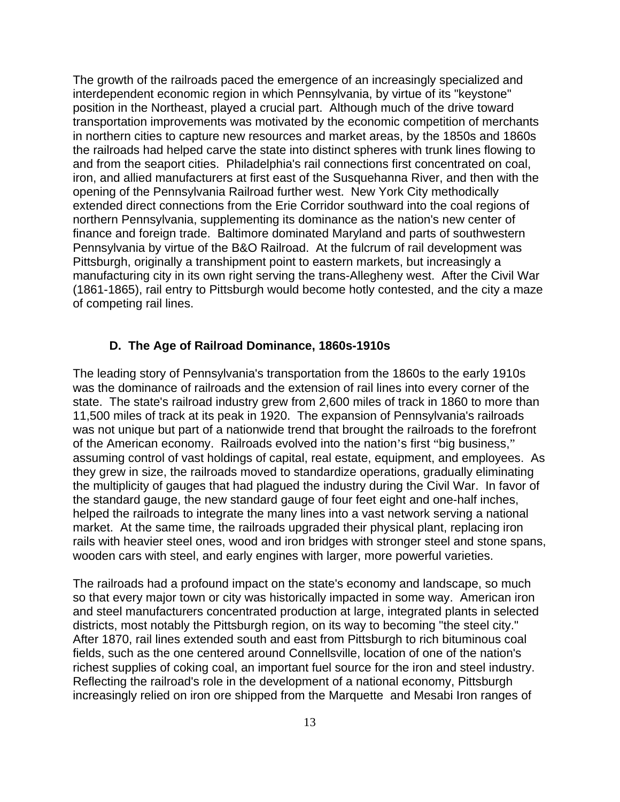The growth of the railroads paced the emergence of an increasingly specialized and interdependent economic region in which Pennsylvania, by virtue of its "keystone" position in the Northeast, played a crucial part. Although much of the drive toward transportation improvements was motivated by the economic competition of merchants in northern cities to capture new resources and market areas, by the 1850s and 1860s the railroads had helped carve the state into distinct spheres with trunk lines flowing to and from the seaport cities. Philadelphia's rail connections first concentrated on coal, iron, and allied manufacturers at first east of the Susquehanna River, and then with the opening of the Pennsylvania Railroad further west. New York City methodically extended direct connections from the Erie Corridor southward into the coal regions of northern Pennsylvania, supplementing its dominance as the nation's new center of finance and foreign trade. Baltimore dominated Maryland and parts of southwestern Pennsylvania by virtue of the B&O Railroad. At the fulcrum of rail development was Pittsburgh, originally a transhipment point to eastern markets, but increasingly a manufacturing city in its own right serving the trans-Allegheny west. After the Civil War (1861-1865), rail entry to Pittsburgh would become hotly contested, and the city a maze of competing rail lines.

## **D. The Age of Railroad Dominance, 1860s-1910s**

The leading story of Pennsylvania's transportation from the 1860s to the early 1910s was the dominance of railroads and the extension of rail lines into every corner of the state. The state's railroad industry grew from 2,600 miles of track in 1860 to more than 11,500 miles of track at its peak in 1920. The expansion of Pennsylvania's railroads was not unique but part of a nationwide trend that brought the railroads to the forefront of the American economy. Railroads evolved into the nation's first "big business," assuming control of vast holdings of capital, real estate, equipment, and employees. As they grew in size, the railroads moved to standardize operations, gradually eliminating the multiplicity of gauges that had plagued the industry during the Civil War. In favor of the standard gauge, the new standard gauge of four feet eight and one-half inches, helped the railroads to integrate the many lines into a vast network serving a national market. At the same time, the railroads upgraded their physical plant, replacing iron rails with heavier steel ones, wood and iron bridges with stronger steel and stone spans, wooden cars with steel, and early engines with larger, more powerful varieties.

The railroads had a profound impact on the state's economy and landscape, so much so that every major town or city was historically impacted in some way. American iron and steel manufacturers concentrated production at large, integrated plants in selected districts, most notably the Pittsburgh region, on its way to becoming "the steel city." After 1870, rail lines extended south and east from Pittsburgh to rich bituminous coal fields, such as the one centered around Connellsville, location of one of the nation's richest supplies of coking coal, an important fuel source for the iron and steel industry. Reflecting the railroad's role in the development of a national economy, Pittsburgh increasingly relied on iron ore shipped from the Marquette and Mesabi Iron ranges of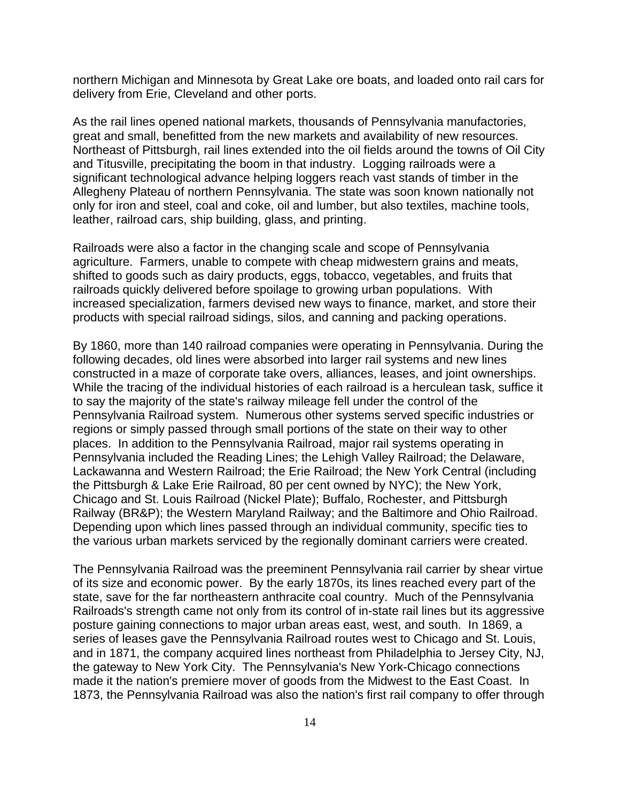northern Michigan and Minnesota by Great Lake ore boats, and loaded onto rail cars for delivery from Erie, Cleveland and other ports.

As the rail lines opened national markets, thousands of Pennsylvania manufactories, great and small, benefitted from the new markets and availability of new resources. Northeast of Pittsburgh, rail lines extended into the oil fields around the towns of Oil City and Titusville, precipitating the boom in that industry. Logging railroads were a significant technological advance helping loggers reach vast stands of timber in the Allegheny Plateau of northern Pennsylvania. The state was soon known nationally not only for iron and steel, coal and coke, oil and lumber, but also textiles, machine tools, leather, railroad cars, ship building, glass, and printing.

Railroads were also a factor in the changing scale and scope of Pennsylvania agriculture. Farmers, unable to compete with cheap midwestern grains and meats, shifted to goods such as dairy products, eggs, tobacco, vegetables, and fruits that railroads quickly delivered before spoilage to growing urban populations. With increased specialization, farmers devised new ways to finance, market, and store their products with special railroad sidings, silos, and canning and packing operations.

By 1860, more than 140 railroad companies were operating in Pennsylvania. During the following decades, old lines were absorbed into larger rail systems and new lines constructed in a maze of corporate take overs, alliances, leases, and joint ownerships. While the tracing of the individual histories of each railroad is a herculean task, suffice it to say the majority of the state's railway mileage fell under the control of the Pennsylvania Railroad system. Numerous other systems served specific industries or regions or simply passed through small portions of the state on their way to other places. In addition to the Pennsylvania Railroad, major rail systems operating in Pennsylvania included the Reading Lines; the Lehigh Valley Railroad; the Delaware, Lackawanna and Western Railroad; the Erie Railroad; the New York Central (including the Pittsburgh & Lake Erie Railroad, 80 per cent owned by NYC); the New York, Chicago and St. Louis Railroad (Nickel Plate); Buffalo, Rochester, and Pittsburgh Railway (BR&P); the Western Maryland Railway; and the Baltimore and Ohio Railroad. Depending upon which lines passed through an individual community, specific ties to the various urban markets serviced by the regionally dominant carriers were created.

The Pennsylvania Railroad was the preeminent Pennsylvania rail carrier by shear virtue of its size and economic power. By the early 1870s, its lines reached every part of the state, save for the far northeastern anthracite coal country. Much of the Pennsylvania Railroads's strength came not only from its control of in-state rail lines but its aggressive posture gaining connections to major urban areas east, west, and south. In 1869, a series of leases gave the Pennsylvania Railroad routes west to Chicago and St. Louis, and in 1871, the company acquired lines northeast from Philadelphia to Jersey City, NJ, the gateway to New York City. The Pennsylvania's New York-Chicago connections made it the nation's premiere mover of goods from the Midwest to the East Coast. In 1873, the Pennsylvania Railroad was also the nation's first rail company to offer through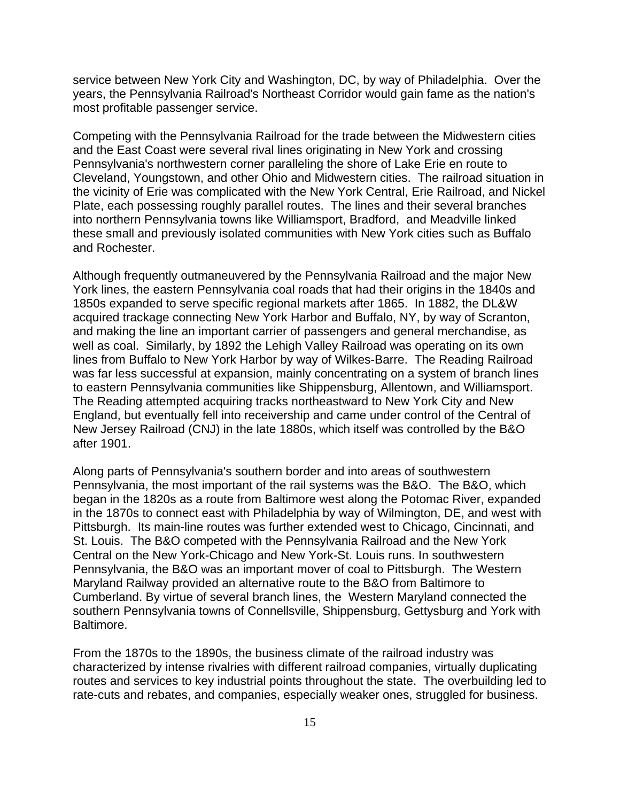service between New York City and Washington, DC, by way of Philadelphia. Over the years, the Pennsylvania Railroad's Northeast Corridor would gain fame as the nation's most profitable passenger service.

Competing with the Pennsylvania Railroad for the trade between the Midwestern cities and the East Coast were several rival lines originating in New York and crossing Pennsylvania's northwestern corner paralleling the shore of Lake Erie en route to Cleveland, Youngstown, and other Ohio and Midwestern cities. The railroad situation in the vicinity of Erie was complicated with the New York Central, Erie Railroad, and Nickel Plate, each possessing roughly parallel routes. The lines and their several branches into northern Pennsylvania towns like Williamsport, Bradford, and Meadville linked these small and previously isolated communities with New York cities such as Buffalo and Rochester.

Although frequently outmaneuvered by the Pennsylvania Railroad and the major New York lines, the eastern Pennsylvania coal roads that had their origins in the 1840s and 1850s expanded to serve specific regional markets after 1865. In 1882, the DL&W acquired trackage connecting New York Harbor and Buffalo, NY, by way of Scranton, and making the line an important carrier of passengers and general merchandise, as well as coal. Similarly, by 1892 the Lehigh Valley Railroad was operating on its own lines from Buffalo to New York Harbor by way of Wilkes-Barre. The Reading Railroad was far less successful at expansion, mainly concentrating on a system of branch lines to eastern Pennsylvania communities like Shippensburg, Allentown, and Williamsport. The Reading attempted acquiring tracks northeastward to New York City and New England, but eventually fell into receivership and came under control of the Central of New Jersey Railroad (CNJ) in the late 1880s, which itself was controlled by the B&O after 1901.

Along parts of Pennsylvania's southern border and into areas of southwestern Pennsylvania, the most important of the rail systems was the B&O. The B&O, which began in the 1820s as a route from Baltimore west along the Potomac River, expanded in the 1870s to connect east with Philadelphia by way of Wilmington, DE, and west with Pittsburgh. Its main-line routes was further extended west to Chicago, Cincinnati, and St. Louis. The B&O competed with the Pennsylvania Railroad and the New York Central on the New York-Chicago and New York-St. Louis runs. In southwestern Pennsylvania, the B&O was an important mover of coal to Pittsburgh. The Western Maryland Railway provided an alternative route to the B&O from Baltimore to Cumberland. By virtue of several branch lines, the Western Maryland connected the southern Pennsylvania towns of Connellsville, Shippensburg, Gettysburg and York with Baltimore.

From the 1870s to the 1890s, the business climate of the railroad industry was characterized by intense rivalries with different railroad companies, virtually duplicating routes and services to key industrial points throughout the state. The overbuilding led to rate-cuts and rebates, and companies, especially weaker ones, struggled for business.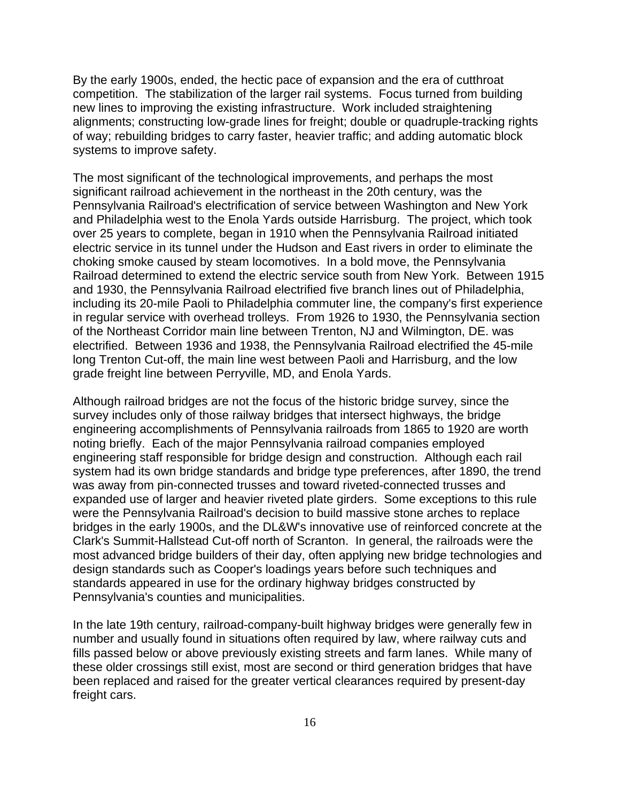By the early 1900s, ended, the hectic pace of expansion and the era of cutthroat competition. The stabilization of the larger rail systems. Focus turned from building new lines to improving the existing infrastructure. Work included straightening alignments; constructing low-grade lines for freight; double or quadruple-tracking rights of way; rebuilding bridges to carry faster, heavier traffic; and adding automatic block systems to improve safety.

The most significant of the technological improvements, and perhaps the most significant railroad achievement in the northeast in the 20th century, was the Pennsylvania Railroad's electrification of service between Washington and New York and Philadelphia west to the Enola Yards outside Harrisburg. The project, which took over 25 years to complete, began in 1910 when the Pennsylvania Railroad initiated electric service in its tunnel under the Hudson and East rivers in order to eliminate the choking smoke caused by steam locomotives. In a bold move, the Pennsylvania Railroad determined to extend the electric service south from New York. Between 1915 and 1930, the Pennsylvania Railroad electrified five branch lines out of Philadelphia, including its 20-mile Paoli to Philadelphia commuter line, the company's first experience in regular service with overhead trolleys. From 1926 to 1930, the Pennsylvania section of the Northeast Corridor main line between Trenton, NJ and Wilmington, DE. was electrified. Between 1936 and 1938, the Pennsylvania Railroad electrified the 45-mile long Trenton Cut-off, the main line west between Paoli and Harrisburg, and the low grade freight line between Perryville, MD, and Enola Yards.

Although railroad bridges are not the focus of the historic bridge survey, since the survey includes only of those railway bridges that intersect highways, the bridge engineering accomplishments of Pennsylvania railroads from 1865 to 1920 are worth noting briefly. Each of the major Pennsylvania railroad companies employed engineering staff responsible for bridge design and construction. Although each rail system had its own bridge standards and bridge type preferences, after 1890, the trend was away from pin-connected trusses and toward riveted-connected trusses and expanded use of larger and heavier riveted plate girders. Some exceptions to this rule were the Pennsylvania Railroad's decision to build massive stone arches to replace bridges in the early 1900s, and the DL&W's innovative use of reinforced concrete at the Clark's Summit-Hallstead Cut-off north of Scranton. In general, the railroads were the most advanced bridge builders of their day, often applying new bridge technologies and design standards such as Cooper's loadings years before such techniques and standards appeared in use for the ordinary highway bridges constructed by Pennsylvania's counties and municipalities.

In the late 19th century, railroad-company-built highway bridges were generally few in number and usually found in situations often required by law, where railway cuts and fills passed below or above previously existing streets and farm lanes. While many of these older crossings still exist, most are second or third generation bridges that have been replaced and raised for the greater vertical clearances required by present-day freight cars.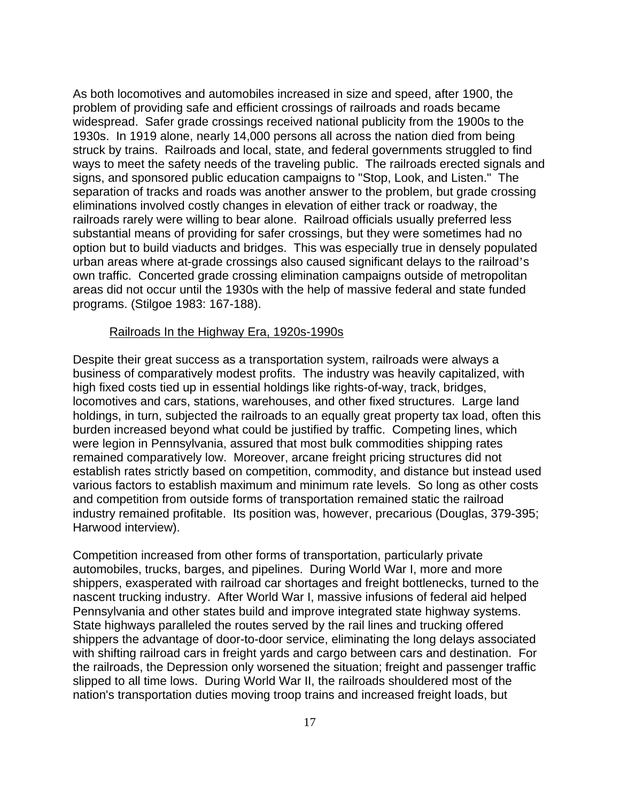As both locomotives and automobiles increased in size and speed, after 1900, the problem of providing safe and efficient crossings of railroads and roads became widespread. Safer grade crossings received national publicity from the 1900s to the 1930s. In 1919 alone, nearly 14,000 persons all across the nation died from being struck by trains. Railroads and local, state, and federal governments struggled to find ways to meet the safety needs of the traveling public. The railroads erected signals and signs, and sponsored public education campaigns to "Stop, Look, and Listen." The separation of tracks and roads was another answer to the problem, but grade crossing eliminations involved costly changes in elevation of either track or roadway, the railroads rarely were willing to bear alone. Railroad officials usually preferred less substantial means of providing for safer crossings, but they were sometimes had no option but to build viaducts and bridges. This was especially true in densely populated urban areas where at-grade crossings also caused significant delays to the railroad's own traffic. Concerted grade crossing elimination campaigns outside of metropolitan areas did not occur until the 1930s with the help of massive federal and state funded programs. (Stilgoe 1983: 167-188).

#### Railroads In the Highway Era, 1920s-1990s

Despite their great success as a transportation system, railroads were always a business of comparatively modest profits. The industry was heavily capitalized, with high fixed costs tied up in essential holdings like rights-of-way, track, bridges, locomotives and cars, stations, warehouses, and other fixed structures. Large land holdings, in turn, subjected the railroads to an equally great property tax load, often this burden increased beyond what could be justified by traffic. Competing lines, which were legion in Pennsylvania, assured that most bulk commodities shipping rates remained comparatively low. Moreover, arcane freight pricing structures did not establish rates strictly based on competition, commodity, and distance but instead used various factors to establish maximum and minimum rate levels. So long as other costs and competition from outside forms of transportation remained static the railroad industry remained profitable. Its position was, however, precarious (Douglas, 379-395; Harwood interview).

Competition increased from other forms of transportation, particularly private automobiles, trucks, barges, and pipelines. During World War I, more and more shippers, exasperated with railroad car shortages and freight bottlenecks, turned to the nascent trucking industry. After World War I, massive infusions of federal aid helped Pennsylvania and other states build and improve integrated state highway systems. State highways paralleled the routes served by the rail lines and trucking offered shippers the advantage of door-to-door service, eliminating the long delays associated with shifting railroad cars in freight yards and cargo between cars and destination. For the railroads, the Depression only worsened the situation; freight and passenger traffic slipped to all time lows. During World War II, the railroads shouldered most of the nation's transportation duties moving troop trains and increased freight loads, but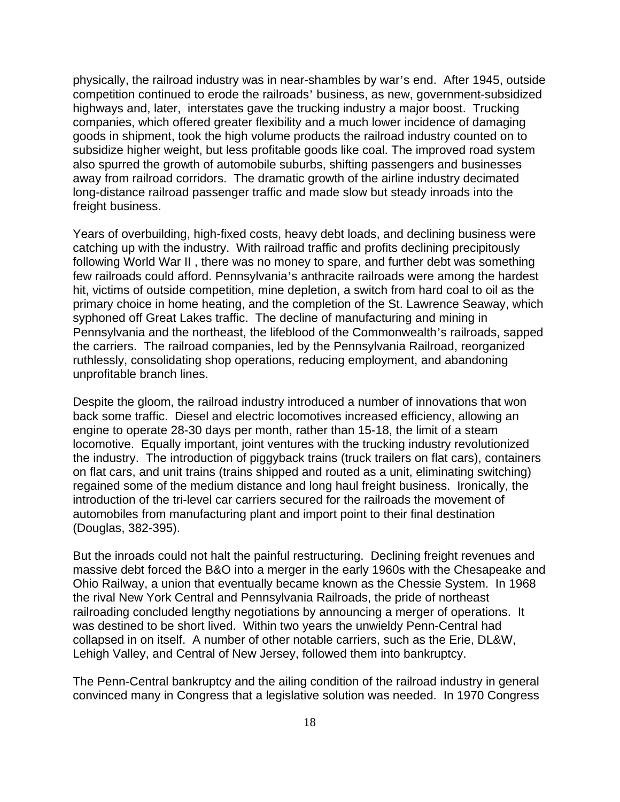physically, the railroad industry was in near-shambles by war's end. After 1945, outside competition continued to erode the railroads' business, as new, government-subsidized highways and, later, interstates gave the trucking industry a major boost. Trucking companies, which offered greater flexibility and a much lower incidence of damaging goods in shipment, took the high volume products the railroad industry counted on to subsidize higher weight, but less profitable goods like coal. The improved road system also spurred the growth of automobile suburbs, shifting passengers and businesses away from railroad corridors. The dramatic growth of the airline industry decimated long-distance railroad passenger traffic and made slow but steady inroads into the freight business.

Years of overbuilding, high-fixed costs, heavy debt loads, and declining business were catching up with the industry. With railroad traffic and profits declining precipitously following World War II , there was no money to spare, and further debt was something few railroads could afford. Pennsylvania's anthracite railroads were among the hardest hit, victims of outside competition, mine depletion, a switch from hard coal to oil as the primary choice in home heating, and the completion of the St. Lawrence Seaway, which syphoned off Great Lakes traffic. The decline of manufacturing and mining in Pennsylvania and the northeast, the lifeblood of the Commonwealth's railroads, sapped the carriers. The railroad companies, led by the Pennsylvania Railroad, reorganized ruthlessly, consolidating shop operations, reducing employment, and abandoning unprofitable branch lines.

Despite the gloom, the railroad industry introduced a number of innovations that won back some traffic. Diesel and electric locomotives increased efficiency, allowing an engine to operate 28-30 days per month, rather than 15-18, the limit of a steam locomotive. Equally important, joint ventures with the trucking industry revolutionized the industry. The introduction of piggyback trains (truck trailers on flat cars), containers on flat cars, and unit trains (trains shipped and routed as a unit, eliminating switching) regained some of the medium distance and long haul freight business. Ironically, the introduction of the tri-level car carriers secured for the railroads the movement of automobiles from manufacturing plant and import point to their final destination (Douglas, 382-395).

But the inroads could not halt the painful restructuring. Declining freight revenues and massive debt forced the B&O into a merger in the early 1960s with the Chesapeake and Ohio Railway, a union that eventually became known as the Chessie System. In 1968 the rival New York Central and Pennsylvania Railroads, the pride of northeast railroading concluded lengthy negotiations by announcing a merger of operations. It was destined to be short lived. Within two years the unwieldy Penn-Central had collapsed in on itself. A number of other notable carriers, such as the Erie, DL&W, Lehigh Valley, and Central of New Jersey, followed them into bankruptcy.

The Penn-Central bankruptcy and the ailing condition of the railroad industry in general convinced many in Congress that a legislative solution was needed. In 1970 Congress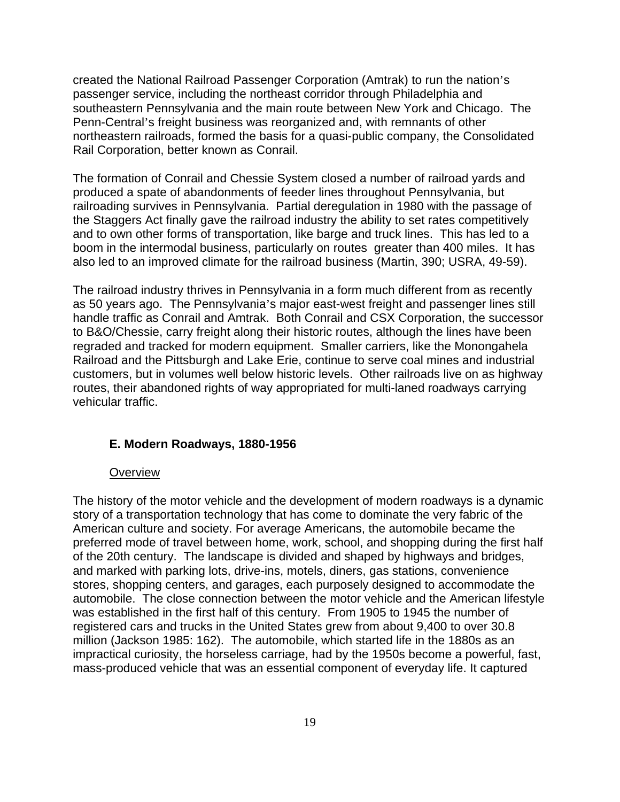created the National Railroad Passenger Corporation (Amtrak) to run the nation's passenger service, including the northeast corridor through Philadelphia and southeastern Pennsylvania and the main route between New York and Chicago. The Penn-Central's freight business was reorganized and, with remnants of other northeastern railroads, formed the basis for a quasi-public company, the Consolidated Rail Corporation, better known as Conrail.

The formation of Conrail and Chessie System closed a number of railroad yards and produced a spate of abandonments of feeder lines throughout Pennsylvania, but railroading survives in Pennsylvania. Partial deregulation in 1980 with the passage of the Staggers Act finally gave the railroad industry the ability to set rates competitively and to own other forms of transportation, like barge and truck lines. This has led to a boom in the intermodal business, particularly on routes greater than 400 miles. It has also led to an improved climate for the railroad business (Martin, 390; USRA, 49-59).

The railroad industry thrives in Pennsylvania in a form much different from as recently as 50 years ago. The Pennsylvania's major east-west freight and passenger lines still handle traffic as Conrail and Amtrak. Both Conrail and CSX Corporation, the successor to B&O/Chessie, carry freight along their historic routes, although the lines have been regraded and tracked for modern equipment. Smaller carriers, like the Monongahela Railroad and the Pittsburgh and Lake Erie, continue to serve coal mines and industrial customers, but in volumes well below historic levels. Other railroads live on as highway routes, their abandoned rights of way appropriated for multi-laned roadways carrying vehicular traffic.

#### **E. Modern Roadways, 1880-1956**

#### **Overview**

The history of the motor vehicle and the development of modern roadways is a dynamic story of a transportation technology that has come to dominate the very fabric of the American culture and society. For average Americans, the automobile became the preferred mode of travel between home, work, school, and shopping during the first half of the 20th century. The landscape is divided and shaped by highways and bridges, and marked with parking lots, drive-ins, motels, diners, gas stations, convenience stores, shopping centers, and garages, each purposely designed to accommodate the automobile. The close connection between the motor vehicle and the American lifestyle was established in the first half of this century. From 1905 to 1945 the number of registered cars and trucks in the United States grew from about 9,400 to over 30.8 million (Jackson 1985: 162). The automobile, which started life in the 1880s as an impractical curiosity, the horseless carriage, had by the 1950s become a powerful, fast, mass-produced vehicle that was an essential component of everyday life. It captured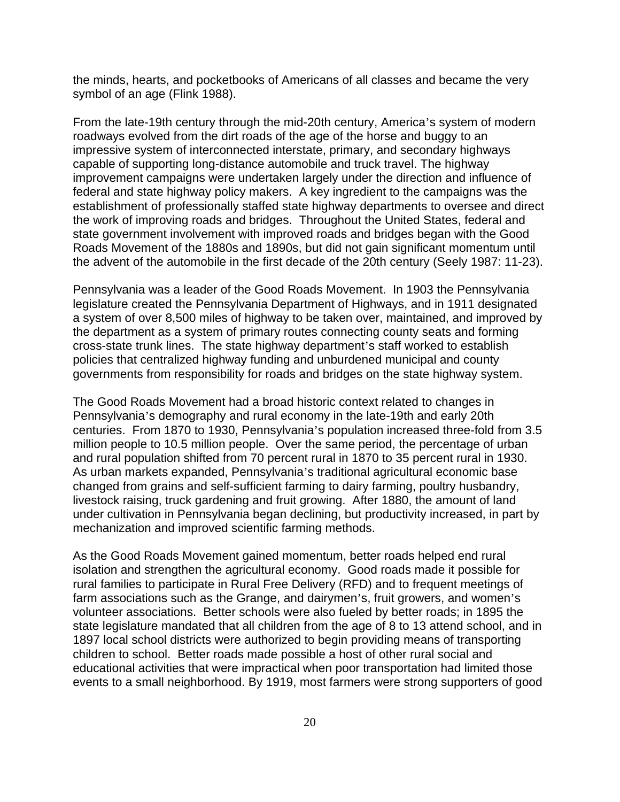the minds, hearts, and pocketbooks of Americans of all classes and became the very symbol of an age (Flink 1988).

From the late-19th century through the mid-20th century, America's system of modern roadways evolved from the dirt roads of the age of the horse and buggy to an impressive system of interconnected interstate, primary, and secondary highways capable of supporting long-distance automobile and truck travel. The highway improvement campaigns were undertaken largely under the direction and influence of federal and state highway policy makers. A key ingredient to the campaigns was the establishment of professionally staffed state highway departments to oversee and direct the work of improving roads and bridges. Throughout the United States, federal and state government involvement with improved roads and bridges began with the Good Roads Movement of the 1880s and 1890s, but did not gain significant momentum until the advent of the automobile in the first decade of the 20th century (Seely 1987: 11-23).

Pennsylvania was a leader of the Good Roads Movement. In 1903 the Pennsylvania legislature created the Pennsylvania Department of Highways, and in 1911 designated a system of over 8,500 miles of highway to be taken over, maintained, and improved by the department as a system of primary routes connecting county seats and forming cross-state trunk lines. The state highway department's staff worked to establish policies that centralized highway funding and unburdened municipal and county governments from responsibility for roads and bridges on the state highway system.

The Good Roads Movement had a broad historic context related to changes in Pennsylvania's demography and rural economy in the late-19th and early 20th centuries. From 1870 to 1930, Pennsylvania's population increased three-fold from 3.5 million people to 10.5 million people. Over the same period, the percentage of urban and rural population shifted from 70 percent rural in 1870 to 35 percent rural in 1930. As urban markets expanded, Pennsylvania's traditional agricultural economic base changed from grains and self-sufficient farming to dairy farming, poultry husbandry, livestock raising, truck gardening and fruit growing. After 1880, the amount of land under cultivation in Pennsylvania began declining, but productivity increased, in part by mechanization and improved scientific farming methods.

As the Good Roads Movement gained momentum, better roads helped end rural isolation and strengthen the agricultural economy. Good roads made it possible for rural families to participate in Rural Free Delivery (RFD) and to frequent meetings of farm associations such as the Grange, and dairymen's, fruit growers, and women's volunteer associations. Better schools were also fueled by better roads; in 1895 the state legislature mandated that all children from the age of 8 to 13 attend school, and in 1897 local school districts were authorized to begin providing means of transporting children to school. Better roads made possible a host of other rural social and educational activities that were impractical when poor transportation had limited those events to a small neighborhood. By 1919, most farmers were strong supporters of good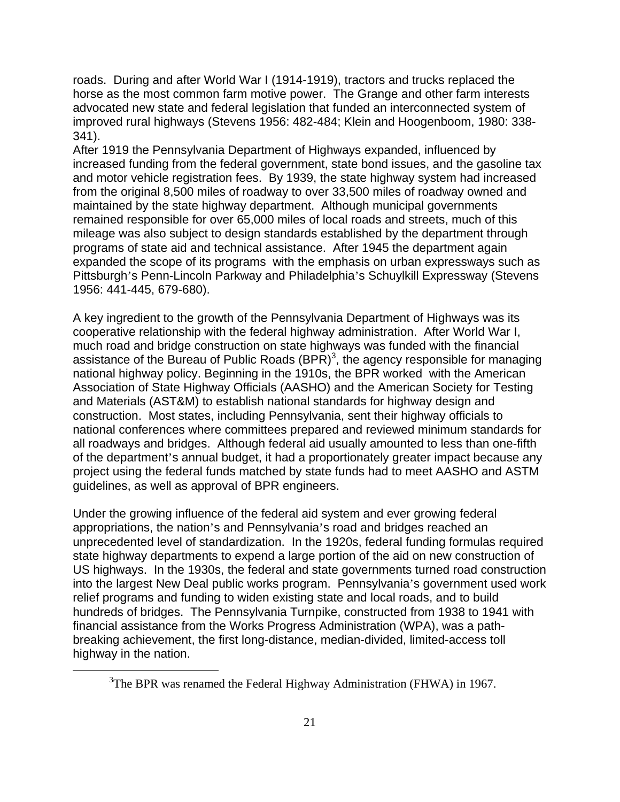roads. During and after World War I (1914-1919), tractors and trucks replaced the horse as the most common farm motive power. The Grange and other farm interests advocated new state and federal legislation that funded an interconnected system of improved rural highways (Stevens 1956: 482-484; Klein and Hoogenboom, 1980: 338- 341).

After 1919 the Pennsylvania Department of Highways expanded, influenced by increased funding from the federal government, state bond issues, and the gasoline tax and motor vehicle registration fees. By 1939, the state highway system had increased from the original 8,500 miles of roadway to over 33,500 miles of roadway owned and maintained by the state highway department. Although municipal governments remained responsible for over 65,000 miles of local roads and streets, much of this mileage was also subject to design standards established by the department through programs of state aid and technical assistance. After 1945 the department again expanded the scope of its programs with the emphasis on urban expressways such as Pittsburgh's Penn-Lincoln Parkway and Philadelphia's Schuylkill Expressway (Stevens 1956: 441-445, 679-680).

A key ingredient to the growth of the Pennsylvania Department of Highways was its cooperative relationship with the federal highway administration. After World War I, much road and bridge construction on state highways was funded with the financial assistance of the Bureau of Public Roads  $(BPR)^3$ , the agency responsible for managing national highway policy. Beginning in the 1910s, the BPR worked with the American Association of State Highway Officials (AASHO) and the American Society for Testing and Materials (AST&M) to establish national standards for highway design and construction. Most states, including Pennsylvania, sent their highway officials to national conferences where committees prepared and reviewed minimum standards for all roadways and bridges. Although federal aid usually amounted to less than one-fifth of the department's annual budget, it had a proportionately greater impact because any project using the federal funds matched by state funds had to meet AASHO and ASTM guidelines, as well as approval of BPR engineers.

Under the growing influence of the federal aid system and ever growing federal appropriations, the nation's and Pennsylvania's road and bridges reached an unprecedented level of standardization. In the 1920s, federal funding formulas required state highway departments to expend a large portion of the aid on new construction of US highways. In the 1930s, the federal and state governments turned road construction into the largest New Deal public works program. Pennsylvania's government used work relief programs and funding to widen existing state and local roads, and to build hundreds of bridges. The Pennsylvania Turnpike, constructed from 1938 to 1941 with financial assistance from the Works Progress Administration (WPA), was a pathbreaking achievement, the first long-distance, median-divided, limited-access toll highway in the nation.

 $\frac{1}{3}$  $3$ The BPR was renamed the Federal Highway Administration (FHWA) in 1967.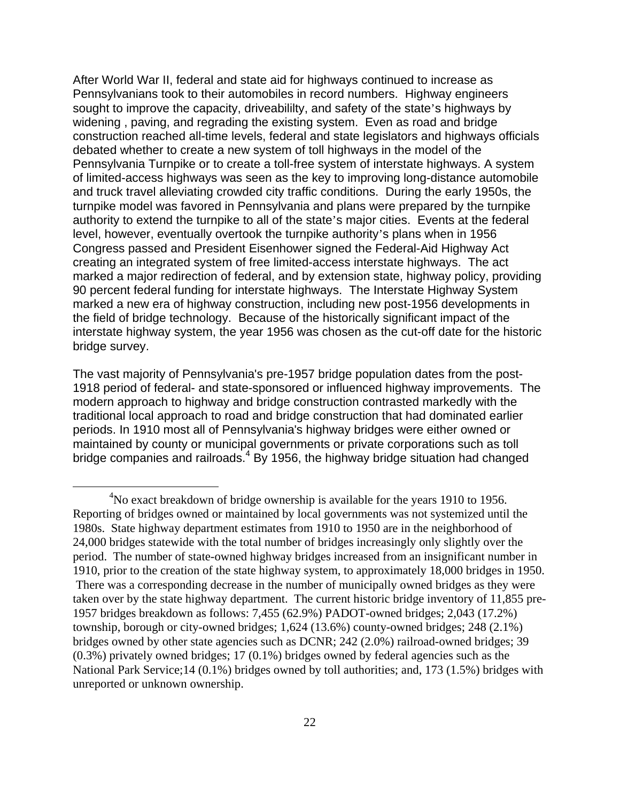After World War II, federal and state aid for highways continued to increase as Pennsylvanians took to their automobiles in record numbers. Highway engineers sought to improve the capacity, driveabililty, and safety of the state's highways by widening , paving, and regrading the existing system. Even as road and bridge construction reached all-time levels, federal and state legislators and highways officials debated whether to create a new system of toll highways in the model of the Pennsylvania Turnpike or to create a toll-free system of interstate highways. A system of limited-access highways was seen as the key to improving long-distance automobile and truck travel alleviating crowded city traffic conditions. During the early 1950s, the turnpike model was favored in Pennsylvania and plans were prepared by the turnpike authority to extend the turnpike to all of the state's major cities. Events at the federal level, however, eventually overtook the turnpike authority's plans when in 1956 Congress passed and President Eisenhower signed the Federal-Aid Highway Act creating an integrated system of free limited-access interstate highways. The act marked a major redirection of federal, and by extension state, highway policy, providing 90 percent federal funding for interstate highways. The Interstate Highway System marked a new era of highway construction, including new post-1956 developments in the field of bridge technology. Because of the historically significant impact of the interstate highway system, the year 1956 was chosen as the cut-off date for the historic bridge survey.

The vast majority of Pennsylvania's pre-1957 bridge population dates from the post-1918 period of federal- and state-sponsored or influenced highway improvements. The modern approach to highway and bridge construction contrasted markedly with the traditional local approach to road and bridge construction that had dominated earlier periods. In 1910 most all of Pennsylvania's highway bridges were either owned or maintained by county or municipal governments or private corporations such as toll bridge companies and railroads.<sup>4</sup> By 1956, the highway bridge situation had changed

 $\overline{4}$  ${}^{4}$ No exact breakdown of bridge ownership is available for the years 1910 to 1956. Reporting of bridges owned or maintained by local governments was not systemized until the 1980s. State highway department estimates from 1910 to 1950 are in the neighborhood of 24,000 bridges statewide with the total number of bridges increasingly only slightly over the period. The number of state-owned highway bridges increased from an insignificant number in 1910, prior to the creation of the state highway system, to approximately 18,000 bridges in 1950. There was a corresponding decrease in the number of municipally owned bridges as they were taken over by the state highway department. The current historic bridge inventory of 11,855 pre-1957 bridges breakdown as follows: 7,455 (62.9%) PADOT-owned bridges; 2,043 (17.2%) township, borough or city-owned bridges; 1,624 (13.6%) county-owned bridges; 248 (2.1%) bridges owned by other state agencies such as DCNR; 242 (2.0%) railroad-owned bridges; 39 (0.3%) privately owned bridges; 17 (0.1%) bridges owned by federal agencies such as the National Park Service;14 (0.1%) bridges owned by toll authorities; and, 173 (1.5%) bridges with unreported or unknown ownership.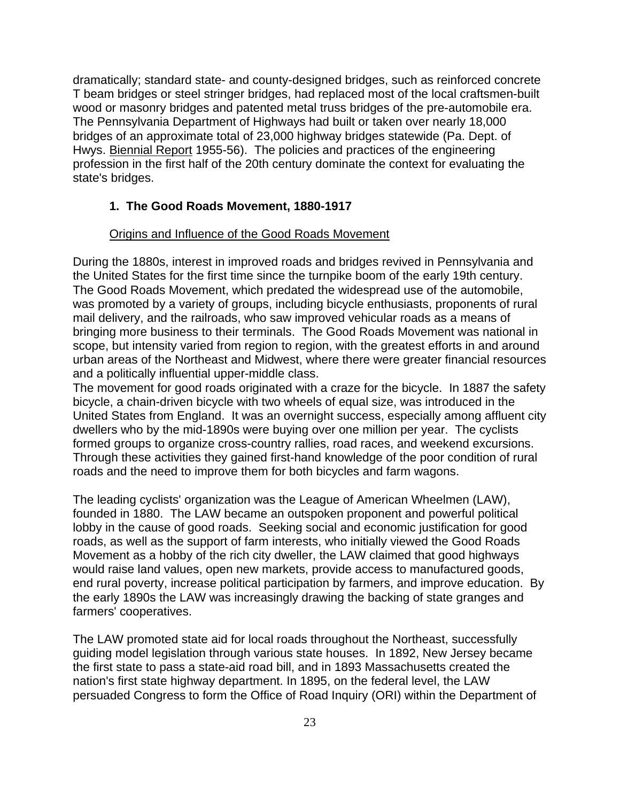dramatically; standard state- and county-designed bridges, such as reinforced concrete T beam bridges or steel stringer bridges, had replaced most of the local craftsmen-built wood or masonry bridges and patented metal truss bridges of the pre-automobile era. The Pennsylvania Department of Highways had built or taken over nearly 18,000 bridges of an approximate total of 23,000 highway bridges statewide (Pa. Dept. of Hwys. Biennial Report 1955-56). The policies and practices of the engineering profession in the first half of the 20th century dominate the context for evaluating the state's bridges.

## **1. The Good Roads Movement, 1880-1917**

#### Origins and Influence of the Good Roads Movement

During the 1880s, interest in improved roads and bridges revived in Pennsylvania and the United States for the first time since the turnpike boom of the early 19th century. The Good Roads Movement, which predated the widespread use of the automobile, was promoted by a variety of groups, including bicycle enthusiasts, proponents of rural mail delivery, and the railroads, who saw improved vehicular roads as a means of bringing more business to their terminals. The Good Roads Movement was national in scope, but intensity varied from region to region, with the greatest efforts in and around urban areas of the Northeast and Midwest, where there were greater financial resources and a politically influential upper-middle class.

The movement for good roads originated with a craze for the bicycle. In 1887 the safety bicycle, a chain-driven bicycle with two wheels of equal size, was introduced in the United States from England. It was an overnight success, especially among affluent city dwellers who by the mid-1890s were buying over one million per year. The cyclists formed groups to organize cross-country rallies, road races, and weekend excursions. Through these activities they gained first-hand knowledge of the poor condition of rural roads and the need to improve them for both bicycles and farm wagons.

The leading cyclists' organization was the League of American Wheelmen (LAW), founded in 1880. The LAW became an outspoken proponent and powerful political lobby in the cause of good roads. Seeking social and economic justification for good roads, as well as the support of farm interests, who initially viewed the Good Roads Movement as a hobby of the rich city dweller, the LAW claimed that good highways would raise land values, open new markets, provide access to manufactured goods, end rural poverty, increase political participation by farmers, and improve education. By the early 1890s the LAW was increasingly drawing the backing of state granges and farmers' cooperatives.

The LAW promoted state aid for local roads throughout the Northeast, successfully guiding model legislation through various state houses. In 1892, New Jersey became the first state to pass a state-aid road bill, and in 1893 Massachusetts created the nation's first state highway department. In 1895, on the federal level, the LAW persuaded Congress to form the Office of Road Inquiry (ORI) within the Department of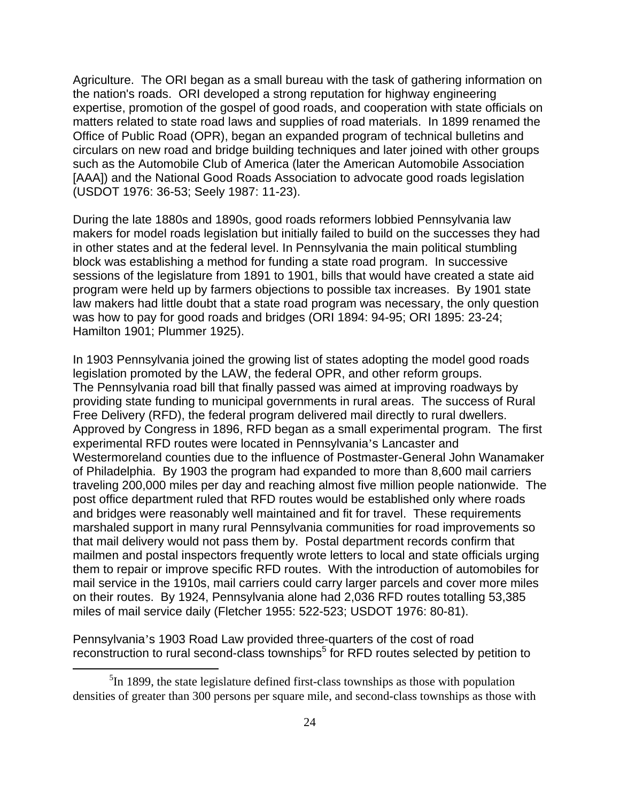Agriculture. The ORI began as a small bureau with the task of gathering information on the nation's roads. ORI developed a strong reputation for highway engineering expertise, promotion of the gospel of good roads, and cooperation with state officials on matters related to state road laws and supplies of road materials. In 1899 renamed the Office of Public Road (OPR), began an expanded program of technical bulletins and circulars on new road and bridge building techniques and later joined with other groups such as the Automobile Club of America (later the American Automobile Association [AAA]) and the National Good Roads Association to advocate good roads legislation (USDOT 1976: 36-53; Seely 1987: 11-23).

During the late 1880s and 1890s, good roads reformers lobbied Pennsylvania law makers for model roads legislation but initially failed to build on the successes they had in other states and at the federal level. In Pennsylvania the main political stumbling block was establishing a method for funding a state road program. In successive sessions of the legislature from 1891 to 1901, bills that would have created a state aid program were held up by farmers objections to possible tax increases. By 1901 state law makers had little doubt that a state road program was necessary, the only question was how to pay for good roads and bridges (ORI 1894: 94-95; ORI 1895: 23-24; Hamilton 1901; Plummer 1925).

In 1903 Pennsylvania joined the growing list of states adopting the model good roads legislation promoted by the LAW, the federal OPR, and other reform groups. The Pennsylvania road bill that finally passed was aimed at improving roadways by providing state funding to municipal governments in rural areas. The success of Rural Free Delivery (RFD), the federal program delivered mail directly to rural dwellers. Approved by Congress in 1896, RFD began as a small experimental program. The first experimental RFD routes were located in Pennsylvania's Lancaster and Westermoreland counties due to the influence of Postmaster-General John Wanamaker of Philadelphia. By 1903 the program had expanded to more than 8,600 mail carriers traveling 200,000 miles per day and reaching almost five million people nationwide. The post office department ruled that RFD routes would be established only where roads and bridges were reasonably well maintained and fit for travel. These requirements marshaled support in many rural Pennsylvania communities for road improvements so that mail delivery would not pass them by. Postal department records confirm that mailmen and postal inspectors frequently wrote letters to local and state officials urging them to repair or improve specific RFD routes. With the introduction of automobiles for mail service in the 1910s, mail carriers could carry larger parcels and cover more miles on their routes. By 1924, Pennsylvania alone had 2,036 RFD routes totalling 53,385 miles of mail service daily (Fletcher 1955: 522-523; USDOT 1976: 80-81).

Pennsylvania's 1903 Road Law provided three-quarters of the cost of road reconstruction to rural second-class townships<sup>5</sup> for RFD routes selected by petition to

 $\frac{1}{5}$  ${}^{5}$ In 1899, the state legislature defined first-class townships as those with population densities of greater than 300 persons per square mile, and second-class townships as those with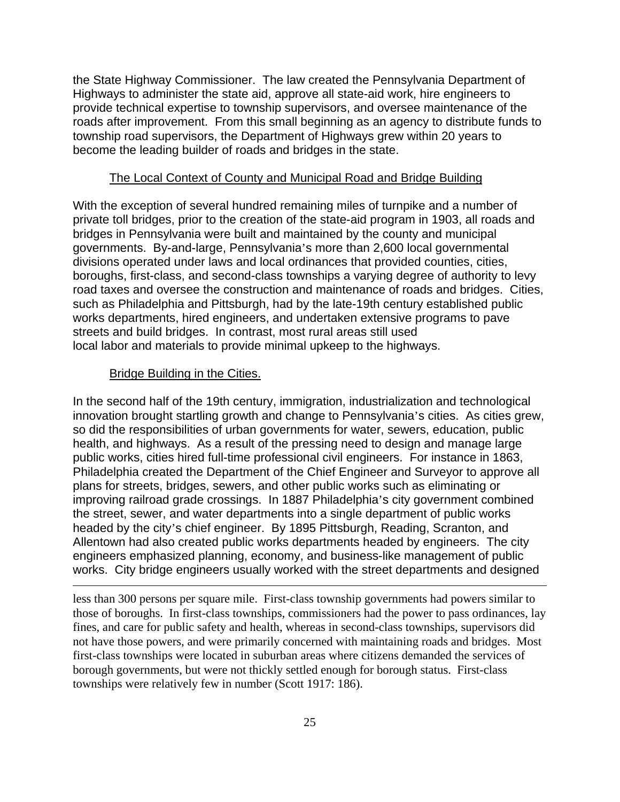the State Highway Commissioner. The law created the Pennsylvania Department of Highways to administer the state aid, approve all state-aid work, hire engineers to provide technical expertise to township supervisors, and oversee maintenance of the roads after improvement. From this small beginning as an agency to distribute funds to township road supervisors, the Department of Highways grew within 20 years to become the leading builder of roads and bridges in the state.

## The Local Context of County and Municipal Road and Bridge Building

With the exception of several hundred remaining miles of turnpike and a number of private toll bridges, prior to the creation of the state-aid program in 1903, all roads and bridges in Pennsylvania were built and maintained by the county and municipal governments. By-and-large, Pennsylvania's more than 2,600 local governmental divisions operated under laws and local ordinances that provided counties, cities, boroughs, first-class, and second-class townships a varying degree of authority to levy road taxes and oversee the construction and maintenance of roads and bridges. Cities, such as Philadelphia and Pittsburgh, had by the late-19th century established public works departments, hired engineers, and undertaken extensive programs to pave streets and build bridges. In contrast, most rural areas still used local labor and materials to provide minimal upkeep to the highways.

#### Bridge Building in the Cities.

 $\overline{a}$ 

In the second half of the 19th century, immigration, industrialization and technological innovation brought startling growth and change to Pennsylvania's cities. As cities grew, so did the responsibilities of urban governments for water, sewers, education, public health, and highways. As a result of the pressing need to design and manage large public works, cities hired full-time professional civil engineers. For instance in 1863, Philadelphia created the Department of the Chief Engineer and Surveyor to approve all plans for streets, bridges, sewers, and other public works such as eliminating or improving railroad grade crossings. In 1887 Philadelphia's city government combined the street, sewer, and water departments into a single department of public works headed by the city's chief engineer. By 1895 Pittsburgh, Reading, Scranton, and Allentown had also created public works departments headed by engineers. The city engineers emphasized planning, economy, and business-like management of public works. City bridge engineers usually worked with the street departments and designed

less than 300 persons per square mile. First-class township governments had powers similar to those of boroughs. In first-class townships, commissioners had the power to pass ordinances, lay fines, and care for public safety and health, whereas in second-class townships, supervisors did not have those powers, and were primarily concerned with maintaining roads and bridges. Most first-class townships were located in suburban areas where citizens demanded the services of borough governments, but were not thickly settled enough for borough status. First-class townships were relatively few in number (Scott 1917: 186).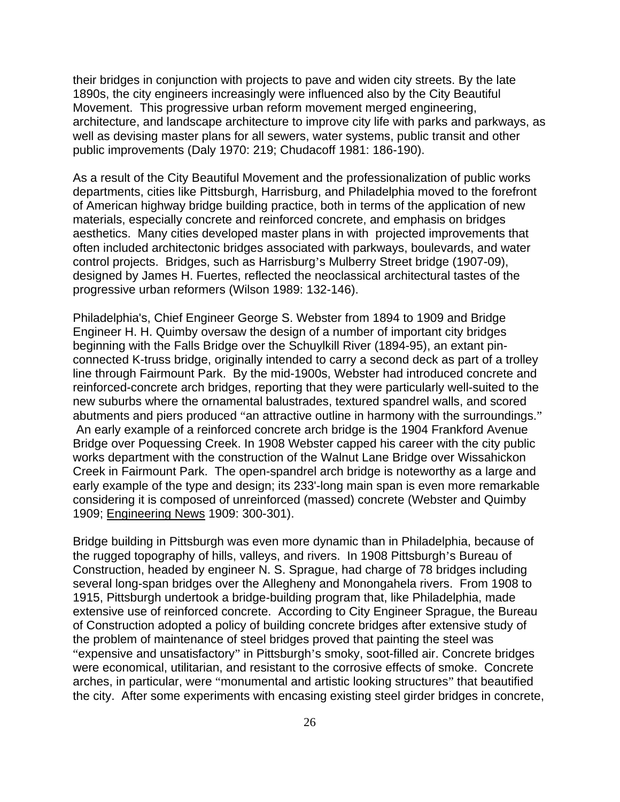their bridges in conjunction with projects to pave and widen city streets. By the late 1890s, the city engineers increasingly were influenced also by the City Beautiful Movement. This progressive urban reform movement merged engineering, architecture, and landscape architecture to improve city life with parks and parkways, as well as devising master plans for all sewers, water systems, public transit and other public improvements (Daly 1970: 219; Chudacoff 1981: 186-190).

As a result of the City Beautiful Movement and the professionalization of public works departments, cities like Pittsburgh, Harrisburg, and Philadelphia moved to the forefront of American highway bridge building practice, both in terms of the application of new materials, especially concrete and reinforced concrete, and emphasis on bridges aesthetics. Many cities developed master plans in with projected improvements that often included architectonic bridges associated with parkways, boulevards, and water control projects. Bridges, such as Harrisburg's Mulberry Street bridge (1907-09), designed by James H. Fuertes, reflected the neoclassical architectural tastes of the progressive urban reformers (Wilson 1989: 132-146).

Philadelphia's, Chief Engineer George S. Webster from 1894 to 1909 and Bridge Engineer H. H. Quimby oversaw the design of a number of important city bridges beginning with the Falls Bridge over the Schuylkill River (1894-95), an extant pinconnected K-truss bridge, originally intended to carry a second deck as part of a trolley line through Fairmount Park. By the mid-1900s, Webster had introduced concrete and reinforced-concrete arch bridges, reporting that they were particularly well-suited to the new suburbs where the ornamental balustrades, textured spandrel walls, and scored abutments and piers produced "an attractive outline in harmony with the surroundings." An early example of a reinforced concrete arch bridge is the 1904 Frankford Avenue Bridge over Poquessing Creek. In 1908 Webster capped his career with the city public works department with the construction of the Walnut Lane Bridge over Wissahickon Creek in Fairmount Park. The open-spandrel arch bridge is noteworthy as a large and early example of the type and design; its 233'-long main span is even more remarkable considering it is composed of unreinforced (massed) concrete (Webster and Quimby 1909; Engineering News 1909: 300-301).

Bridge building in Pittsburgh was even more dynamic than in Philadelphia, because of the rugged topography of hills, valleys, and rivers. In 1908 Pittsburgh's Bureau of Construction, headed by engineer N. S. Sprague, had charge of 78 bridges including several long-span bridges over the Allegheny and Monongahela rivers. From 1908 to 1915, Pittsburgh undertook a bridge-building program that, like Philadelphia, made extensive use of reinforced concrete. According to City Engineer Sprague, the Bureau of Construction adopted a policy of building concrete bridges after extensive study of the problem of maintenance of steel bridges proved that painting the steel was "expensive and unsatisfactory" in Pittsburgh's smoky, soot-filled air. Concrete bridges were economical, utilitarian, and resistant to the corrosive effects of smoke. Concrete arches, in particular, were "monumental and artistic looking structures" that beautified the city. After some experiments with encasing existing steel girder bridges in concrete,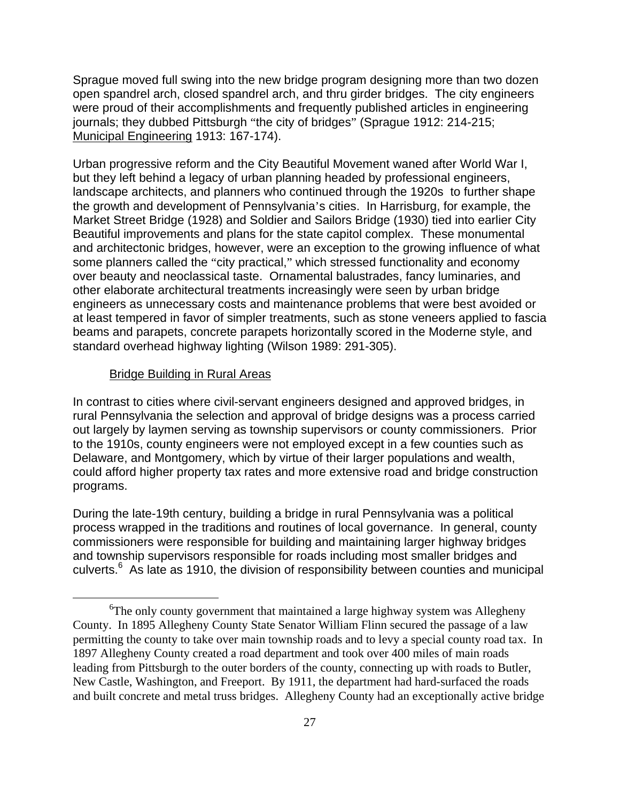Sprague moved full swing into the new bridge program designing more than two dozen open spandrel arch, closed spandrel arch, and thru girder bridges. The city engineers were proud of their accomplishments and frequently published articles in engineering journals; they dubbed Pittsburgh "the city of bridges" (Sprague 1912: 214-215; Municipal Engineering 1913: 167-174).

Urban progressive reform and the City Beautiful Movement waned after World War I, but they left behind a legacy of urban planning headed by professional engineers, landscape architects, and planners who continued through the 1920s to further shape the growth and development of Pennsylvania's cities. In Harrisburg, for example, the Market Street Bridge (1928) and Soldier and Sailors Bridge (1930) tied into earlier City Beautiful improvements and plans for the state capitol complex. These monumental and architectonic bridges, however, were an exception to the growing influence of what some planners called the "city practical," which stressed functionality and economy over beauty and neoclassical taste. Ornamental balustrades, fancy luminaries, and other elaborate architectural treatments increasingly were seen by urban bridge engineers as unnecessary costs and maintenance problems that were best avoided or at least tempered in favor of simpler treatments, such as stone veneers applied to fascia beams and parapets, concrete parapets horizontally scored in the Moderne style, and standard overhead highway lighting (Wilson 1989: 291-305).

#### Bridge Building in Rural Areas

In contrast to cities where civil-servant engineers designed and approved bridges, in rural Pennsylvania the selection and approval of bridge designs was a process carried out largely by laymen serving as township supervisors or county commissioners. Prior to the 1910s, county engineers were not employed except in a few counties such as Delaware, and Montgomery, which by virtue of their larger populations and wealth, could afford higher property tax rates and more extensive road and bridge construction programs.

During the late-19th century, building a bridge in rural Pennsylvania was a political process wrapped in the traditions and routines of local governance. In general, county commissioners were responsible for building and maintaining larger highway bridges and township supervisors responsible for roads including most smaller bridges and culverts.<sup>6</sup> As late as 1910, the division of responsibility between counties and municipal

 <sup>6</sup> <sup>6</sup>The only county government that maintained a large highway system was Allegheny County. In 1895 Allegheny County State Senator William Flinn secured the passage of a law permitting the county to take over main township roads and to levy a special county road tax. In 1897 Allegheny County created a road department and took over 400 miles of main roads leading from Pittsburgh to the outer borders of the county, connecting up with roads to Butler, New Castle, Washington, and Freeport. By 1911, the department had hard-surfaced the roads and built concrete and metal truss bridges. Allegheny County had an exceptionally active bridge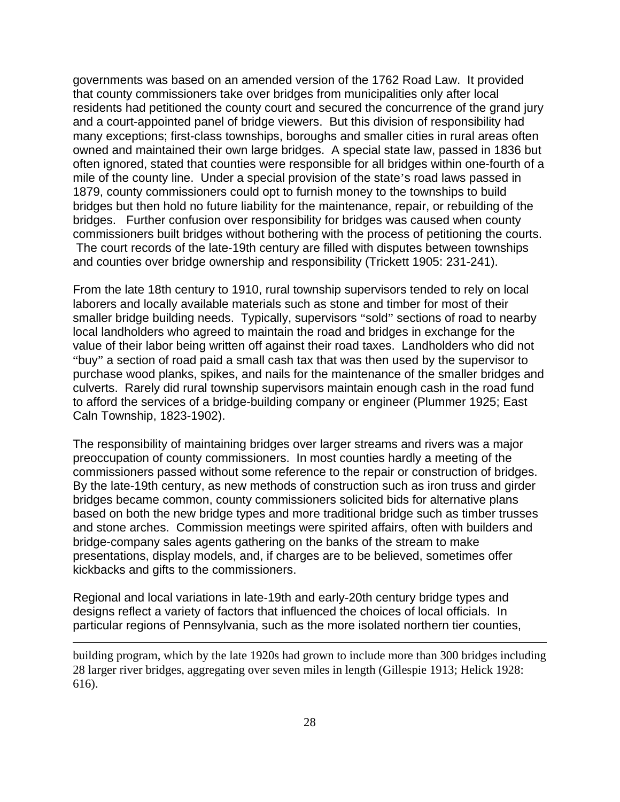governments was based on an amended version of the 1762 Road Law. It provided that county commissioners take over bridges from municipalities only after local residents had petitioned the county court and secured the concurrence of the grand jury and a court-appointed panel of bridge viewers. But this division of responsibility had many exceptions; first-class townships, boroughs and smaller cities in rural areas often owned and maintained their own large bridges. A special state law, passed in 1836 but often ignored, stated that counties were responsible for all bridges within one-fourth of a mile of the county line. Under a special provision of the state's road laws passed in 1879, county commissioners could opt to furnish money to the townships to build bridges but then hold no future liability for the maintenance, repair, or rebuilding of the bridges. Further confusion over responsibility for bridges was caused when county commissioners built bridges without bothering with the process of petitioning the courts. The court records of the late-19th century are filled with disputes between townships and counties over bridge ownership and responsibility (Trickett 1905: 231-241).

From the late 18th century to 1910, rural township supervisors tended to rely on local laborers and locally available materials such as stone and timber for most of their smaller bridge building needs. Typically, supervisors "sold" sections of road to nearby local landholders who agreed to maintain the road and bridges in exchange for the value of their labor being written off against their road taxes. Landholders who did not "buy" a section of road paid a small cash tax that was then used by the supervisor to purchase wood planks, spikes, and nails for the maintenance of the smaller bridges and culverts. Rarely did rural township supervisors maintain enough cash in the road fund to afford the services of a bridge-building company or engineer (Plummer 1925; East Caln Township, 1823-1902).

The responsibility of maintaining bridges over larger streams and rivers was a major preoccupation of county commissioners. In most counties hardly a meeting of the commissioners passed without some reference to the repair or construction of bridges. By the late-19th century, as new methods of construction such as iron truss and girder bridges became common, county commissioners solicited bids for alternative plans based on both the new bridge types and more traditional bridge such as timber trusses and stone arches. Commission meetings were spirited affairs, often with builders and bridge-company sales agents gathering on the banks of the stream to make presentations, display models, and, if charges are to be believed, sometimes offer kickbacks and gifts to the commissioners.

Regional and local variations in late-19th and early-20th century bridge types and designs reflect a variety of factors that influenced the choices of local officials. In particular regions of Pennsylvania, such as the more isolated northern tier counties,

1

building program, which by the late 1920s had grown to include more than 300 bridges including 28 larger river bridges, aggregating over seven miles in length (Gillespie 1913; Helick 1928: 616).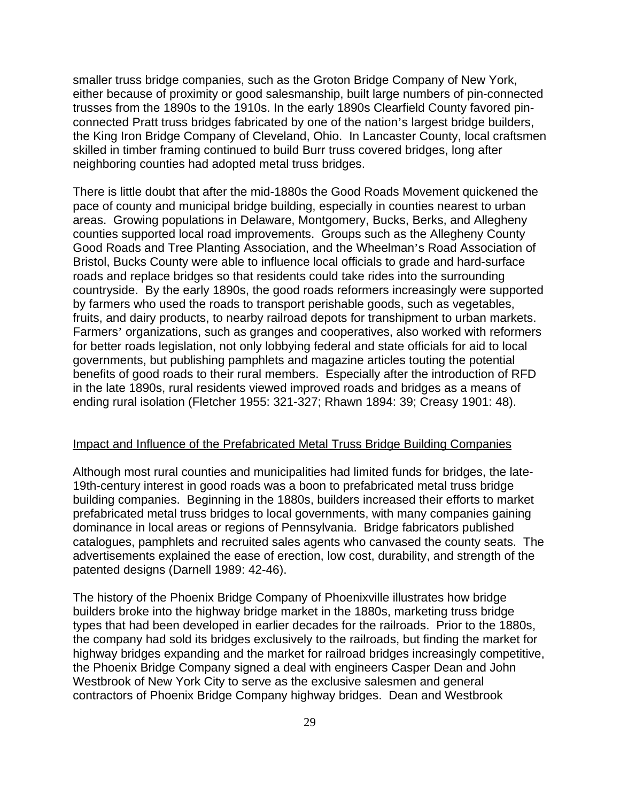smaller truss bridge companies, such as the Groton Bridge Company of New York, either because of proximity or good salesmanship, built large numbers of pin-connected trusses from the 1890s to the 1910s. In the early 1890s Clearfield County favored pinconnected Pratt truss bridges fabricated by one of the nation's largest bridge builders, the King Iron Bridge Company of Cleveland, Ohio. In Lancaster County, local craftsmen skilled in timber framing continued to build Burr truss covered bridges, long after neighboring counties had adopted metal truss bridges.

There is little doubt that after the mid-1880s the Good Roads Movement quickened the pace of county and municipal bridge building, especially in counties nearest to urban areas. Growing populations in Delaware, Montgomery, Bucks, Berks, and Allegheny counties supported local road improvements. Groups such as the Allegheny County Good Roads and Tree Planting Association, and the Wheelman's Road Association of Bristol, Bucks County were able to influence local officials to grade and hard-surface roads and replace bridges so that residents could take rides into the surrounding countryside. By the early 1890s, the good roads reformers increasingly were supported by farmers who used the roads to transport perishable goods, such as vegetables, fruits, and dairy products, to nearby railroad depots for transhipment to urban markets. Farmers' organizations, such as granges and cooperatives, also worked with reformers for better roads legislation, not only lobbying federal and state officials for aid to local governments, but publishing pamphlets and magazine articles touting the potential benefits of good roads to their rural members. Especially after the introduction of RFD in the late 1890s, rural residents viewed improved roads and bridges as a means of ending rural isolation (Fletcher 1955: 321-327; Rhawn 1894: 39; Creasy 1901: 48).

#### Impact and Influence of the Prefabricated Metal Truss Bridge Building Companies

Although most rural counties and municipalities had limited funds for bridges, the late-19th-century interest in good roads was a boon to prefabricated metal truss bridge building companies. Beginning in the 1880s, builders increased their efforts to market prefabricated metal truss bridges to local governments, with many companies gaining dominance in local areas or regions of Pennsylvania. Bridge fabricators published catalogues, pamphlets and recruited sales agents who canvased the county seats. The advertisements explained the ease of erection, low cost, durability, and strength of the patented designs (Darnell 1989: 42-46).

The history of the Phoenix Bridge Company of Phoenixville illustrates how bridge builders broke into the highway bridge market in the 1880s, marketing truss bridge types that had been developed in earlier decades for the railroads. Prior to the 1880s, the company had sold its bridges exclusively to the railroads, but finding the market for highway bridges expanding and the market for railroad bridges increasingly competitive, the Phoenix Bridge Company signed a deal with engineers Casper Dean and John Westbrook of New York City to serve as the exclusive salesmen and general contractors of Phoenix Bridge Company highway bridges. Dean and Westbrook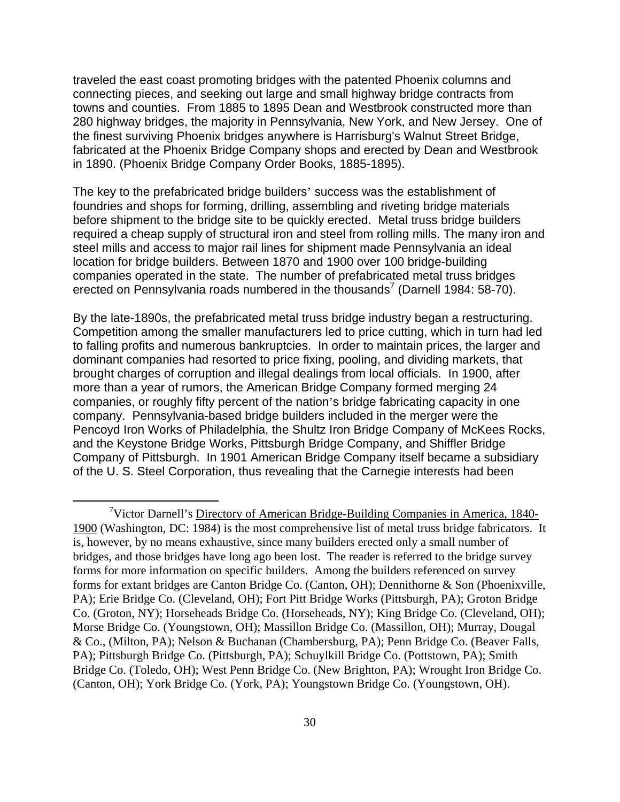traveled the east coast promoting bridges with the patented Phoenix columns and connecting pieces, and seeking out large and small highway bridge contracts from towns and counties. From 1885 to 1895 Dean and Westbrook constructed more than 280 highway bridges, the majority in Pennsylvania, New York, and New Jersey. One of the finest surviving Phoenix bridges anywhere is Harrisburg's Walnut Street Bridge, fabricated at the Phoenix Bridge Company shops and erected by Dean and Westbrook in 1890. (Phoenix Bridge Company Order Books, 1885-1895).

The key to the prefabricated bridge builders' success was the establishment of foundries and shops for forming, drilling, assembling and riveting bridge materials before shipment to the bridge site to be quickly erected. Metal truss bridge builders required a cheap supply of structural iron and steel from rolling mills. The many iron and steel mills and access to major rail lines for shipment made Pennsylvania an ideal location for bridge builders. Between 1870 and 1900 over 100 bridge-building companies operated in the state. The number of prefabricated metal truss bridges erected on Pennsylvania roads numbered in the thousands<sup>7</sup> (Darnell 1984: 58-70).

By the late-1890s, the prefabricated metal truss bridge industry began a restructuring. Competition among the smaller manufacturers led to price cutting, which in turn had led to falling profits and numerous bankruptcies. In order to maintain prices, the larger and dominant companies had resorted to price fixing, pooling, and dividing markets, that brought charges of corruption and illegal dealings from local officials. In 1900, after more than a year of rumors, the American Bridge Company formed merging 24 companies, or roughly fifty percent of the nation's bridge fabricating capacity in one company. Pennsylvania-based bridge builders included in the merger were the Pencoyd Iron Works of Philadelphia, the Shultz Iron Bridge Company of McKees Rocks, and the Keystone Bridge Works, Pittsburgh Bridge Company, and Shiffler Bridge Company of Pittsburgh. In 1901 American Bridge Company itself became a subsidiary of the U. S. Steel Corporation, thus revealing that the Carnegie interests had been

 $\frac{1}{7}$ <sup>7</sup>Victor Darnell's Directory of American Bridge-Building Companies in America, 1840-1900 (Washington, DC: 1984) is the most comprehensive list of metal truss bridge fabricators. It is, however, by no means exhaustive, since many builders erected only a small number of bridges, and those bridges have long ago been lost. The reader is referred to the bridge survey forms for more information on specific builders. Among the builders referenced on survey forms for extant bridges are Canton Bridge Co. (Canton, OH); Dennithorne & Son (Phoenixville, PA); Erie Bridge Co. (Cleveland, OH); Fort Pitt Bridge Works (Pittsburgh, PA); Groton Bridge Co. (Groton, NY); Horseheads Bridge Co. (Horseheads, NY); King Bridge Co. (Cleveland, OH); Morse Bridge Co. (Youngstown, OH); Massillon Bridge Co. (Massillon, OH); Murray, Dougal & Co., (Milton, PA); Nelson & Buchanan (Chambersburg, PA); Penn Bridge Co. (Beaver Falls, PA); Pittsburgh Bridge Co. (Pittsburgh, PA); Schuylkill Bridge Co. (Pottstown, PA); Smith Bridge Co. (Toledo, OH); West Penn Bridge Co. (New Brighton, PA); Wrought Iron Bridge Co. (Canton, OH); York Bridge Co. (York, PA); Youngstown Bridge Co. (Youngstown, OH).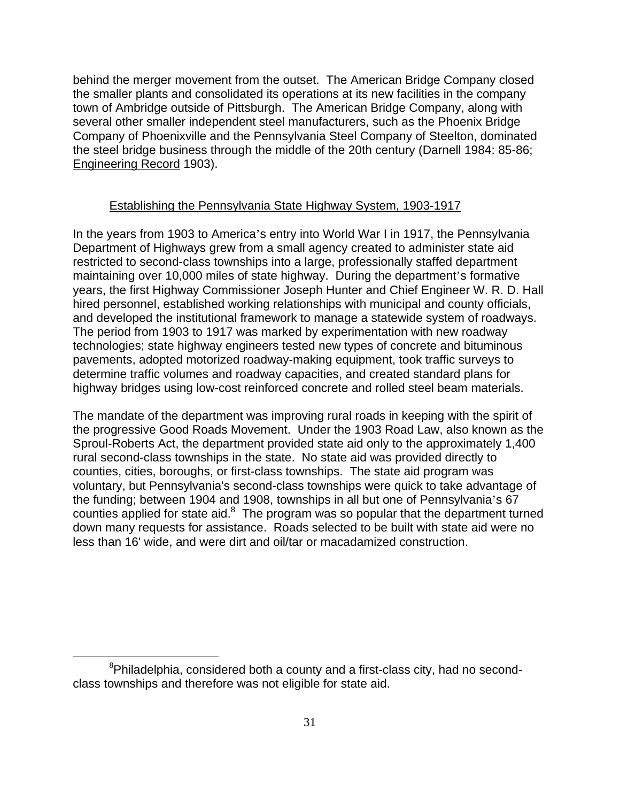behind the merger movement from the outset. The American Bridge Company closed the smaller plants and consolidated its operations at its new facilities in the company town of Ambridge outside of Pittsburgh. The American Bridge Company, along with several other smaller independent steel manufacturers, such as the Phoenix Bridge Company of Phoenixville and the Pennsylvania Steel Company of Steelton, dominated the steel bridge business through the middle of the 20th century (Darnell 1984: 85-86; Engineering Record 1903).

## Establishing the Pennsylvania State Highway System, 1903-1917

In the years from 1903 to America's entry into World War I in 1917, the Pennsylvania Department of Highways grew from a small agency created to administer state aid restricted to second-class townships into a large, professionally staffed department maintaining over 10,000 miles of state highway. During the department's formative years, the first Highway Commissioner Joseph Hunter and Chief Engineer W. R. D. Hall hired personnel, established working relationships with municipal and county officials, and developed the institutional framework to manage a statewide system of roadways. The period from 1903 to 1917 was marked by experimentation with new roadway technologies; state highway engineers tested new types of concrete and bituminous pavements, adopted motorized roadway-making equipment, took traffic surveys to determine traffic volumes and roadway capacities, and created standard plans for highway bridges using low-cost reinforced concrete and rolled steel beam materials.

The mandate of the department was improving rural roads in keeping with the spirit of the progressive Good Roads Movement. Under the 1903 Road Law, also known as the Sproul-Roberts Act, the department provided state aid only to the approximately 1,400 rural second-class townships in the state. No state aid was provided directly to counties, cities, boroughs, or first-class townships. The state aid program was voluntary, but Pennsylvania's second-class townships were quick to take advantage of the funding; between 1904 and 1908, townships in all but one of Pennsylvania's 67 counties applied for state aid. $8$  The program was so popular that the department turned down many requests for assistance. Roads selected to be built with state aid were no less than 16' wide, and were dirt and oil/tar or macadamized construction.

 <sup>8</sup>  ${}^{8}$ Philadelphia, considered both a county and a first-class city, had no secondclass townships and therefore was not eligible for state aid.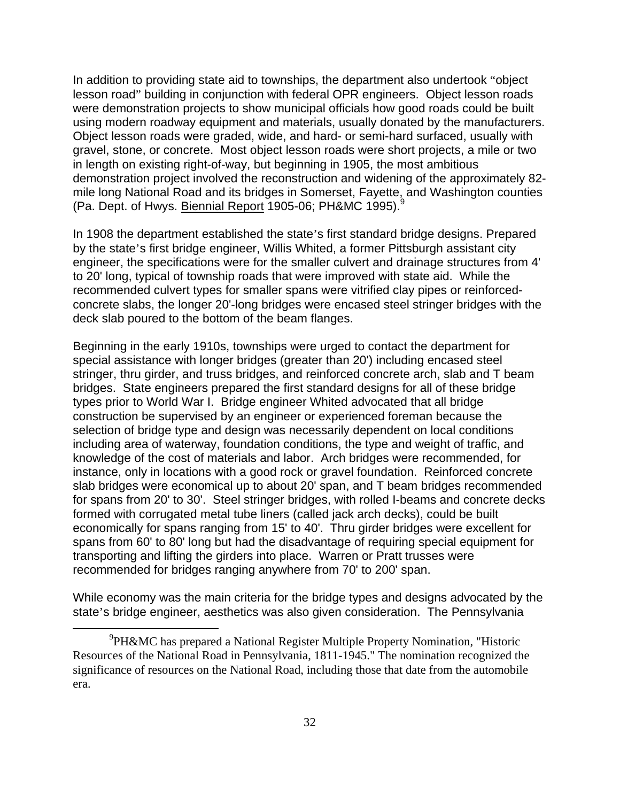In addition to providing state aid to townships, the department also undertook "object lesson road" building in conjunction with federal OPR engineers. Object lesson roads were demonstration projects to show municipal officials how good roads could be built using modern roadway equipment and materials, usually donated by the manufacturers. Object lesson roads were graded, wide, and hard- or semi-hard surfaced, usually with gravel, stone, or concrete. Most object lesson roads were short projects, a mile or two in length on existing right-of-way, but beginning in 1905, the most ambitious demonstration project involved the reconstruction and widening of the approximately 82 mile long National Road and its bridges in Somerset, Fayette, and Washington counties (Pa. Dept. of Hwys. Biennial Report 1905-06; PH&MC 1995).<sup>9</sup>

In 1908 the department established the state's first standard bridge designs. Prepared by the state's first bridge engineer, Willis Whited, a former Pittsburgh assistant city engineer, the specifications were for the smaller culvert and drainage structures from 4' to 20' long, typical of township roads that were improved with state aid. While the recommended culvert types for smaller spans were vitrified clay pipes or reinforcedconcrete slabs, the longer 20'-long bridges were encased steel stringer bridges with the deck slab poured to the bottom of the beam flanges.

Beginning in the early 1910s, townships were urged to contact the department for special assistance with longer bridges (greater than 20') including encased steel stringer, thru girder, and truss bridges, and reinforced concrete arch, slab and T beam bridges. State engineers prepared the first standard designs for all of these bridge types prior to World War I. Bridge engineer Whited advocated that all bridge construction be supervised by an engineer or experienced foreman because the selection of bridge type and design was necessarily dependent on local conditions including area of waterway, foundation conditions, the type and weight of traffic, and knowledge of the cost of materials and labor. Arch bridges were recommended, for instance, only in locations with a good rock or gravel foundation. Reinforced concrete slab bridges were economical up to about 20' span, and T beam bridges recommended for spans from 20' to 30'. Steel stringer bridges, with rolled I-beams and concrete decks formed with corrugated metal tube liners (called jack arch decks), could be built economically for spans ranging from 15' to 40'. Thru girder bridges were excellent for spans from 60' to 80' long but had the disadvantage of requiring special equipment for transporting and lifting the girders into place. Warren or Pratt trusses were recommended for bridges ranging anywhere from 70' to 200' span.

While economy was the main criteria for the bridge types and designs advocated by the state's bridge engineer, aesthetics was also given consideration. The Pennsylvania

 $\frac{1}{\sqrt{9}}$ <sup>9</sup>PH&MC has prepared a National Register Multiple Property Nomination, "Historic Resources of the National Road in Pennsylvania, 1811-1945." The nomination recognized the significance of resources on the National Road, including those that date from the automobile era.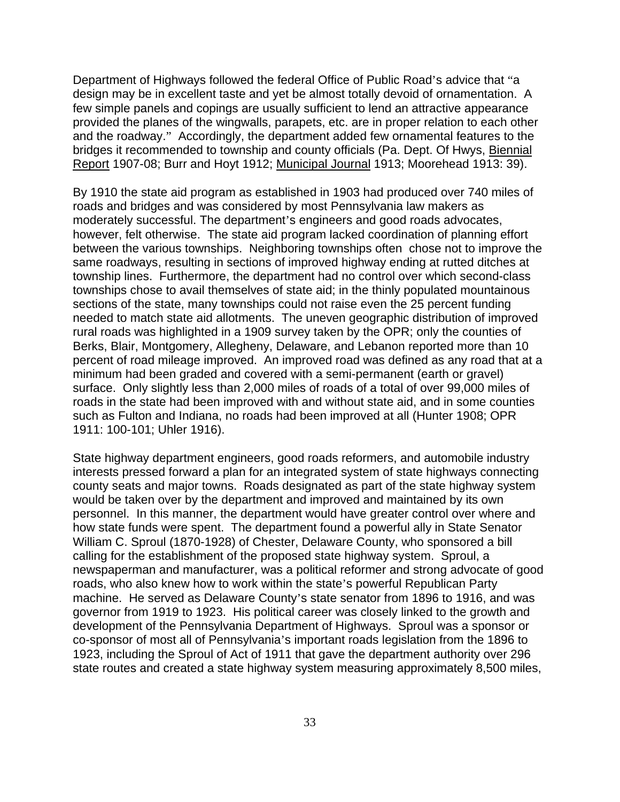Department of Highways followed the federal Office of Public Road's advice that "a design may be in excellent taste and yet be almost totally devoid of ornamentation. A few simple panels and copings are usually sufficient to lend an attractive appearance provided the planes of the wingwalls, parapets, etc. are in proper relation to each other and the roadway." Accordingly, the department added few ornamental features to the bridges it recommended to township and county officials (Pa. Dept. Of Hwys, Biennial Report 1907-08; Burr and Hoyt 1912; Municipal Journal 1913; Moorehead 1913: 39).

By 1910 the state aid program as established in 1903 had produced over 740 miles of roads and bridges and was considered by most Pennsylvania law makers as moderately successful. The department's engineers and good roads advocates, however, felt otherwise. The state aid program lacked coordination of planning effort between the various townships. Neighboring townships often chose not to improve the same roadways, resulting in sections of improved highway ending at rutted ditches at township lines. Furthermore, the department had no control over which second-class townships chose to avail themselves of state aid; in the thinly populated mountainous sections of the state, many townships could not raise even the 25 percent funding needed to match state aid allotments. The uneven geographic distribution of improved rural roads was highlighted in a 1909 survey taken by the OPR; only the counties of Berks, Blair, Montgomery, Allegheny, Delaware, and Lebanon reported more than 10 percent of road mileage improved. An improved road was defined as any road that at a minimum had been graded and covered with a semi-permanent (earth or gravel) surface. Only slightly less than 2,000 miles of roads of a total of over 99,000 miles of roads in the state had been improved with and without state aid, and in some counties such as Fulton and Indiana, no roads had been improved at all (Hunter 1908; OPR 1911: 100-101; Uhler 1916).

State highway department engineers, good roads reformers, and automobile industry interests pressed forward a plan for an integrated system of state highways connecting county seats and major towns. Roads designated as part of the state highway system would be taken over by the department and improved and maintained by its own personnel. In this manner, the department would have greater control over where and how state funds were spent. The department found a powerful ally in State Senator William C. Sproul (1870-1928) of Chester, Delaware County, who sponsored a bill calling for the establishment of the proposed state highway system. Sproul, a newspaperman and manufacturer, was a political reformer and strong advocate of good roads, who also knew how to work within the state's powerful Republican Party machine. He served as Delaware County's state senator from 1896 to 1916, and was governor from 1919 to 1923. His political career was closely linked to the growth and development of the Pennsylvania Department of Highways. Sproul was a sponsor or co-sponsor of most all of Pennsylvania's important roads legislation from the 1896 to 1923, including the Sproul of Act of 1911 that gave the department authority over 296 state routes and created a state highway system measuring approximately 8,500 miles,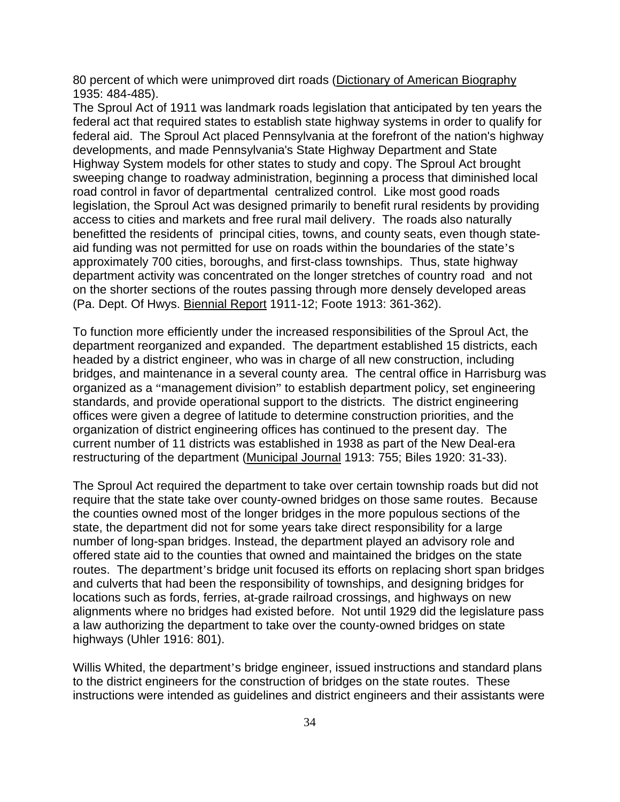80 percent of which were unimproved dirt roads (Dictionary of American Biography 1935: 484-485).

The Sproul Act of 1911 was landmark roads legislation that anticipated by ten years the federal act that required states to establish state highway systems in order to qualify for federal aid. The Sproul Act placed Pennsylvania at the forefront of the nation's highway developments, and made Pennsylvania's State Highway Department and State Highway System models for other states to study and copy. The Sproul Act brought sweeping change to roadway administration, beginning a process that diminished local road control in favor of departmental centralized control. Like most good roads legislation, the Sproul Act was designed primarily to benefit rural residents by providing access to cities and markets and free rural mail delivery. The roads also naturally benefitted the residents of principal cities, towns, and county seats, even though stateaid funding was not permitted for use on roads within the boundaries of the state's approximately 700 cities, boroughs, and first-class townships. Thus, state highway department activity was concentrated on the longer stretches of country road and not on the shorter sections of the routes passing through more densely developed areas (Pa. Dept. Of Hwys. Biennial Report 1911-12; Foote 1913: 361-362).

To function more efficiently under the increased responsibilities of the Sproul Act, the department reorganized and expanded. The department established 15 districts, each headed by a district engineer, who was in charge of all new construction, including bridges, and maintenance in a several county area. The central office in Harrisburg was organized as a "management division" to establish department policy, set engineering standards, and provide operational support to the districts. The district engineering offices were given a degree of latitude to determine construction priorities, and the organization of district engineering offices has continued to the present day. The current number of 11 districts was established in 1938 as part of the New Deal-era restructuring of the department (Municipal Journal 1913: 755; Biles 1920: 31-33).

The Sproul Act required the department to take over certain township roads but did not require that the state take over county-owned bridges on those same routes. Because the counties owned most of the longer bridges in the more populous sections of the state, the department did not for some years take direct responsibility for a large number of long-span bridges. Instead, the department played an advisory role and offered state aid to the counties that owned and maintained the bridges on the state routes. The department's bridge unit focused its efforts on replacing short span bridges and culverts that had been the responsibility of townships, and designing bridges for locations such as fords, ferries, at-grade railroad crossings, and highways on new alignments where no bridges had existed before. Not until 1929 did the legislature pass a law authorizing the department to take over the county-owned bridges on state highways (Uhler 1916: 801).

Willis Whited, the department's bridge engineer, issued instructions and standard plans to the district engineers for the construction of bridges on the state routes. These instructions were intended as guidelines and district engineers and their assistants were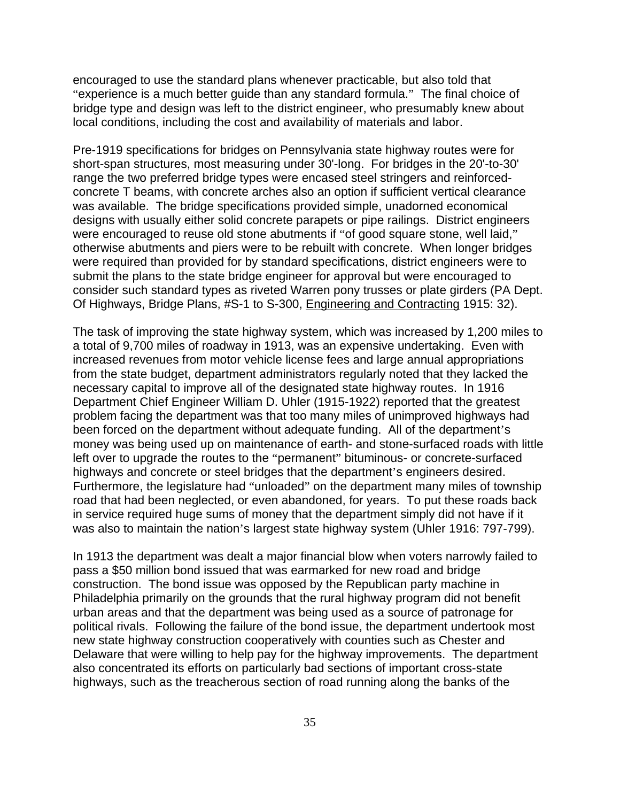encouraged to use the standard plans whenever practicable, but also told that "experience is a much better guide than any standard formula." The final choice of bridge type and design was left to the district engineer, who presumably knew about local conditions, including the cost and availability of materials and labor.

Pre-1919 specifications for bridges on Pennsylvania state highway routes were for short-span structures, most measuring under 30'-long. For bridges in the 20'-to-30' range the two preferred bridge types were encased steel stringers and reinforcedconcrete T beams, with concrete arches also an option if sufficient vertical clearance was available. The bridge specifications provided simple, unadorned economical designs with usually either solid concrete parapets or pipe railings. District engineers were encouraged to reuse old stone abutments if "of good square stone, well laid," otherwise abutments and piers were to be rebuilt with concrete. When longer bridges were required than provided for by standard specifications, district engineers were to submit the plans to the state bridge engineer for approval but were encouraged to consider such standard types as riveted Warren pony trusses or plate girders (PA Dept. Of Highways, Bridge Plans, #S-1 to S-300, Engineering and Contracting 1915: 32).

The task of improving the state highway system, which was increased by 1,200 miles to a total of 9,700 miles of roadway in 1913, was an expensive undertaking. Even with increased revenues from motor vehicle license fees and large annual appropriations from the state budget, department administrators regularly noted that they lacked the necessary capital to improve all of the designated state highway routes. In 1916 Department Chief Engineer William D. Uhler (1915-1922) reported that the greatest problem facing the department was that too many miles of unimproved highways had been forced on the department without adequate funding. All of the department's money was being used up on maintenance of earth- and stone-surfaced roads with little left over to upgrade the routes to the "permanent" bituminous- or concrete-surfaced highways and concrete or steel bridges that the department's engineers desired. Furthermore, the legislature had "unloaded" on the department many miles of township road that had been neglected, or even abandoned, for years. To put these roads back in service required huge sums of money that the department simply did not have if it was also to maintain the nation's largest state highway system (Uhler 1916: 797-799).

In 1913 the department was dealt a major financial blow when voters narrowly failed to pass a \$50 million bond issued that was earmarked for new road and bridge construction. The bond issue was opposed by the Republican party machine in Philadelphia primarily on the grounds that the rural highway program did not benefit urban areas and that the department was being used as a source of patronage for political rivals. Following the failure of the bond issue, the department undertook most new state highway construction cooperatively with counties such as Chester and Delaware that were willing to help pay for the highway improvements. The department also concentrated its efforts on particularly bad sections of important cross-state highways, such as the treacherous section of road running along the banks of the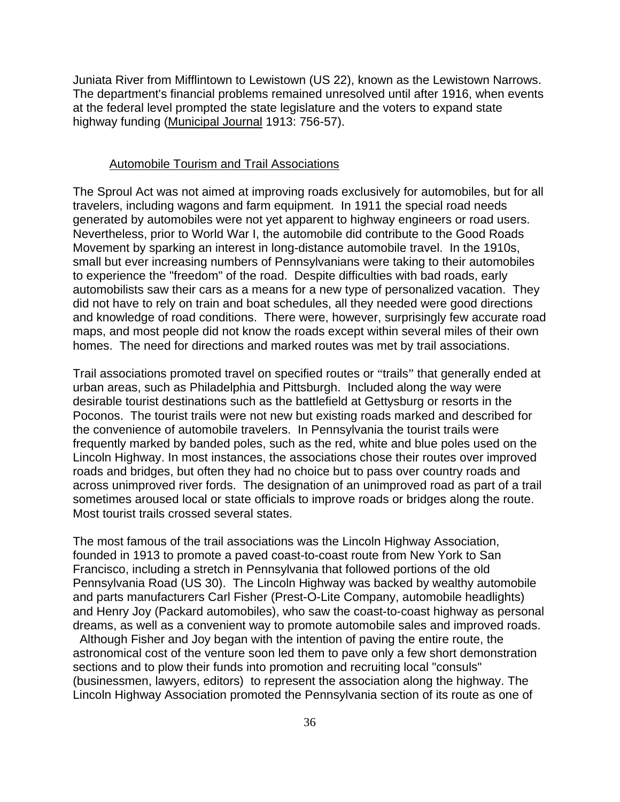Juniata River from Mifflintown to Lewistown (US 22), known as the Lewistown Narrows. The department's financial problems remained unresolved until after 1916, when events at the federal level prompted the state legislature and the voters to expand state highway funding (Municipal Journal 1913: 756-57).

#### Automobile Tourism and Trail Associations

The Sproul Act was not aimed at improving roads exclusively for automobiles, but for all travelers, including wagons and farm equipment. In 1911 the special road needs generated by automobiles were not yet apparent to highway engineers or road users. Nevertheless, prior to World War I, the automobile did contribute to the Good Roads Movement by sparking an interest in long-distance automobile travel. In the 1910s, small but ever increasing numbers of Pennsylvanians were taking to their automobiles to experience the "freedom" of the road. Despite difficulties with bad roads, early automobilists saw their cars as a means for a new type of personalized vacation. They did not have to rely on train and boat schedules, all they needed were good directions and knowledge of road conditions. There were, however, surprisingly few accurate road maps, and most people did not know the roads except within several miles of their own homes. The need for directions and marked routes was met by trail associations.

Trail associations promoted travel on specified routes or "trails" that generally ended at urban areas, such as Philadelphia and Pittsburgh. Included along the way were desirable tourist destinations such as the battlefield at Gettysburg or resorts in the Poconos. The tourist trails were not new but existing roads marked and described for the convenience of automobile travelers. In Pennsylvania the tourist trails were frequently marked by banded poles, such as the red, white and blue poles used on the Lincoln Highway. In most instances, the associations chose their routes over improved roads and bridges, but often they had no choice but to pass over country roads and across unimproved river fords. The designation of an unimproved road as part of a trail sometimes aroused local or state officials to improve roads or bridges along the route. Most tourist trails crossed several states.

The most famous of the trail associations was the Lincoln Highway Association, founded in 1913 to promote a paved coast-to-coast route from New York to San Francisco, including a stretch in Pennsylvania that followed portions of the old Pennsylvania Road (US 30). The Lincoln Highway was backed by wealthy automobile and parts manufacturers Carl Fisher (Prest-O-Lite Company, automobile headlights) and Henry Joy (Packard automobiles), who saw the coast-to-coast highway as personal dreams, as well as a convenient way to promote automobile sales and improved roads.

 Although Fisher and Joy began with the intention of paving the entire route, the astronomical cost of the venture soon led them to pave only a few short demonstration sections and to plow their funds into promotion and recruiting local "consuls" (businessmen, lawyers, editors) to represent the association along the highway. The Lincoln Highway Association promoted the Pennsylvania section of its route as one of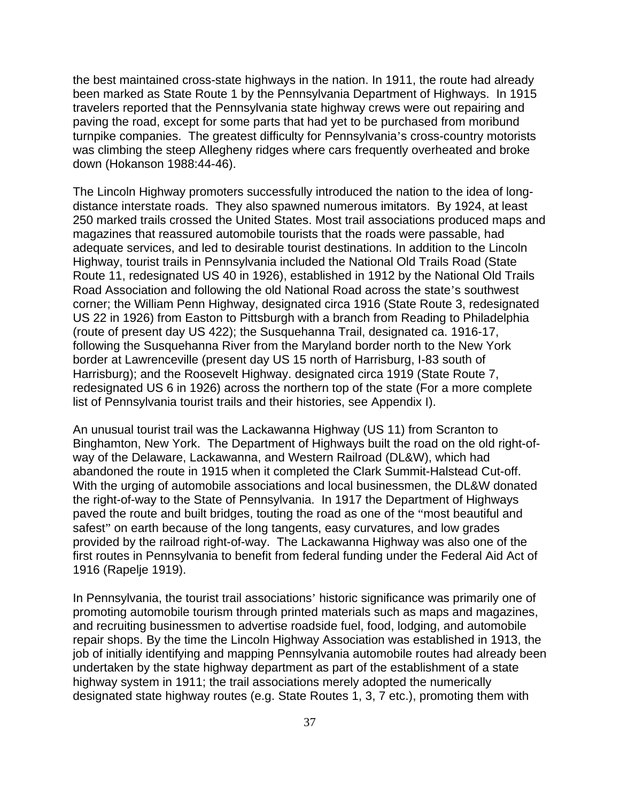the best maintained cross-state highways in the nation. In 1911, the route had already been marked as State Route 1 by the Pennsylvania Department of Highways. In 1915 travelers reported that the Pennsylvania state highway crews were out repairing and paving the road, except for some parts that had yet to be purchased from moribund turnpike companies. The greatest difficulty for Pennsylvania's cross-country motorists was climbing the steep Allegheny ridges where cars frequently overheated and broke down (Hokanson 1988:44-46).

The Lincoln Highway promoters successfully introduced the nation to the idea of longdistance interstate roads. They also spawned numerous imitators. By 1924, at least 250 marked trails crossed the United States. Most trail associations produced maps and magazines that reassured automobile tourists that the roads were passable, had adequate services, and led to desirable tourist destinations. In addition to the Lincoln Highway, tourist trails in Pennsylvania included the National Old Trails Road (State Route 11, redesignated US 40 in 1926), established in 1912 by the National Old Trails Road Association and following the old National Road across the state's southwest corner; the William Penn Highway, designated circa 1916 (State Route 3, redesignated US 22 in 1926) from Easton to Pittsburgh with a branch from Reading to Philadelphia (route of present day US 422); the Susquehanna Trail, designated ca. 1916-17, following the Susquehanna River from the Maryland border north to the New York border at Lawrenceville (present day US 15 north of Harrisburg, I-83 south of Harrisburg); and the Roosevelt Highway. designated circa 1919 (State Route 7, redesignated US 6 in 1926) across the northern top of the state (For a more complete list of Pennsylvania tourist trails and their histories, see Appendix I).

An unusual tourist trail was the Lackawanna Highway (US 11) from Scranton to Binghamton, New York. The Department of Highways built the road on the old right-ofway of the Delaware, Lackawanna, and Western Railroad (DL&W), which had abandoned the route in 1915 when it completed the Clark Summit-Halstead Cut-off. With the urging of automobile associations and local businessmen, the DL&W donated the right-of-way to the State of Pennsylvania. In 1917 the Department of Highways paved the route and built bridges, touting the road as one of the "most beautiful and safest" on earth because of the long tangents, easy curvatures, and low grades provided by the railroad right-of-way. The Lackawanna Highway was also one of the first routes in Pennsylvania to benefit from federal funding under the Federal Aid Act of 1916 (Rapelje 1919).

In Pennsylvania, the tourist trail associations' historic significance was primarily one of promoting automobile tourism through printed materials such as maps and magazines, and recruiting businessmen to advertise roadside fuel, food, lodging, and automobile repair shops. By the time the Lincoln Highway Association was established in 1913, the job of initially identifying and mapping Pennsylvania automobile routes had already been undertaken by the state highway department as part of the establishment of a state highway system in 1911; the trail associations merely adopted the numerically designated state highway routes (e.g. State Routes 1, 3, 7 etc.), promoting them with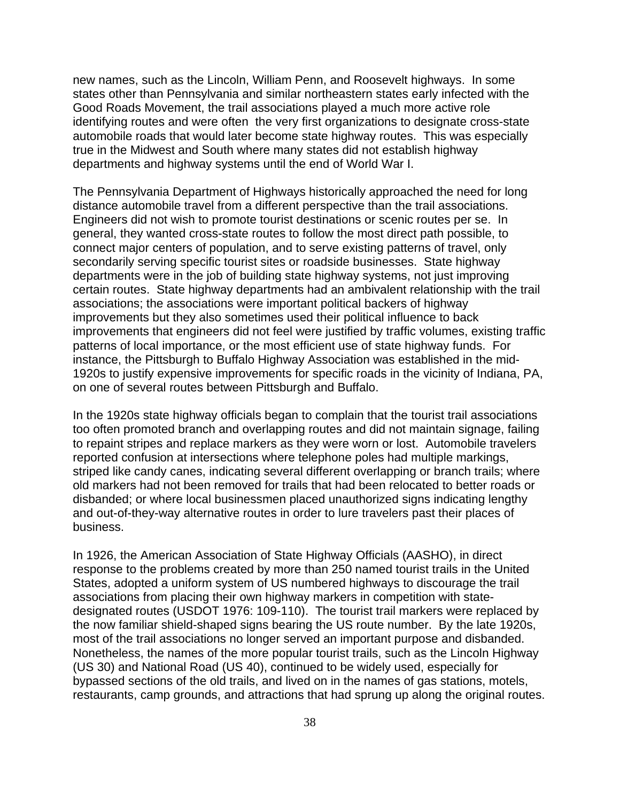new names, such as the Lincoln, William Penn, and Roosevelt highways. In some states other than Pennsylvania and similar northeastern states early infected with the Good Roads Movement, the trail associations played a much more active role identifying routes and were often the very first organizations to designate cross-state automobile roads that would later become state highway routes. This was especially true in the Midwest and South where many states did not establish highway departments and highway systems until the end of World War I.

The Pennsylvania Department of Highways historically approached the need for long distance automobile travel from a different perspective than the trail associations. Engineers did not wish to promote tourist destinations or scenic routes per se. In general, they wanted cross-state routes to follow the most direct path possible, to connect major centers of population, and to serve existing patterns of travel, only secondarily serving specific tourist sites or roadside businesses. State highway departments were in the job of building state highway systems, not just improving certain routes. State highway departments had an ambivalent relationship with the trail associations; the associations were important political backers of highway improvements but they also sometimes used their political influence to back improvements that engineers did not feel were justified by traffic volumes, existing traffic patterns of local importance, or the most efficient use of state highway funds. For instance, the Pittsburgh to Buffalo Highway Association was established in the mid-1920s to justify expensive improvements for specific roads in the vicinity of Indiana, PA, on one of several routes between Pittsburgh and Buffalo.

In the 1920s state highway officials began to complain that the tourist trail associations too often promoted branch and overlapping routes and did not maintain signage, failing to repaint stripes and replace markers as they were worn or lost. Automobile travelers reported confusion at intersections where telephone poles had multiple markings, striped like candy canes, indicating several different overlapping or branch trails; where old markers had not been removed for trails that had been relocated to better roads or disbanded; or where local businessmen placed unauthorized signs indicating lengthy and out-of-they-way alternative routes in order to lure travelers past their places of business.

In 1926, the American Association of State Highway Officials (AASHO), in direct response to the problems created by more than 250 named tourist trails in the United States, adopted a uniform system of US numbered highways to discourage the trail associations from placing their own highway markers in competition with statedesignated routes (USDOT 1976: 109-110). The tourist trail markers were replaced by the now familiar shield-shaped signs bearing the US route number. By the late 1920s, most of the trail associations no longer served an important purpose and disbanded. Nonetheless, the names of the more popular tourist trails, such as the Lincoln Highway (US 30) and National Road (US 40), continued to be widely used, especially for bypassed sections of the old trails, and lived on in the names of gas stations, motels, restaurants, camp grounds, and attractions that had sprung up along the original routes.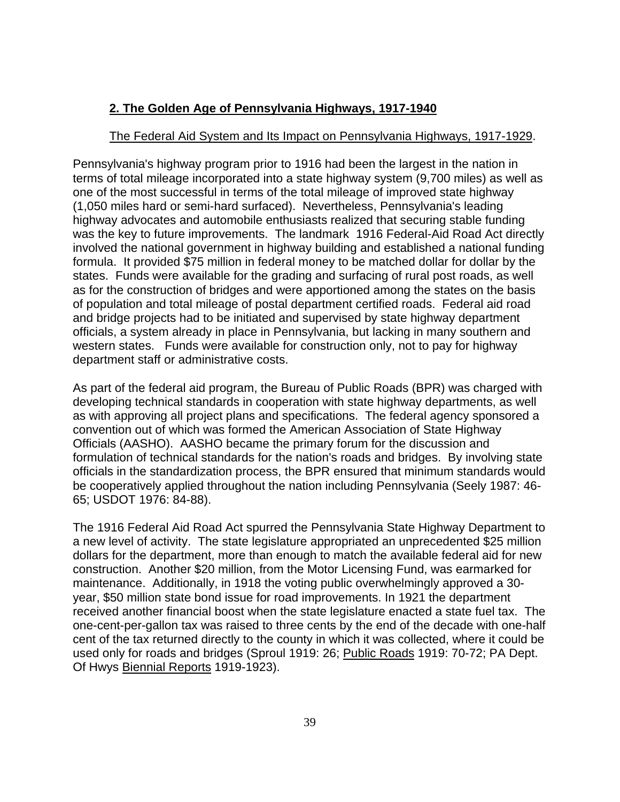# **2. The Golden Age of Pennsylvania Highways, 1917-1940**

# The Federal Aid System and Its Impact on Pennsylvania Highways, 1917-1929.

Pennsylvania's highway program prior to 1916 had been the largest in the nation in terms of total mileage incorporated into a state highway system (9,700 miles) as well as one of the most successful in terms of the total mileage of improved state highway (1,050 miles hard or semi-hard surfaced). Nevertheless, Pennsylvania's leading highway advocates and automobile enthusiasts realized that securing stable funding was the key to future improvements. The landmark 1916 Federal-Aid Road Act directly involved the national government in highway building and established a national funding formula. It provided \$75 million in federal money to be matched dollar for dollar by the states. Funds were available for the grading and surfacing of rural post roads, as well as for the construction of bridges and were apportioned among the states on the basis of population and total mileage of postal department certified roads. Federal aid road and bridge projects had to be initiated and supervised by state highway department officials, a system already in place in Pennsylvania, but lacking in many southern and western states. Funds were available for construction only, not to pay for highway department staff or administrative costs.

As part of the federal aid program, the Bureau of Public Roads (BPR) was charged with developing technical standards in cooperation with state highway departments, as well as with approving all project plans and specifications. The federal agency sponsored a convention out of which was formed the American Association of State Highway Officials (AASHO). AASHO became the primary forum for the discussion and formulation of technical standards for the nation's roads and bridges. By involving state officials in the standardization process, the BPR ensured that minimum standards would be cooperatively applied throughout the nation including Pennsylvania (Seely 1987: 46- 65; USDOT 1976: 84-88).

The 1916 Federal Aid Road Act spurred the Pennsylvania State Highway Department to a new level of activity. The state legislature appropriated an unprecedented \$25 million dollars for the department, more than enough to match the available federal aid for new construction. Another \$20 million, from the Motor Licensing Fund, was earmarked for maintenance. Additionally, in 1918 the voting public overwhelmingly approved a 30 year, \$50 million state bond issue for road improvements. In 1921 the department received another financial boost when the state legislature enacted a state fuel tax. The one-cent-per-gallon tax was raised to three cents by the end of the decade with one-half cent of the tax returned directly to the county in which it was collected, where it could be used only for roads and bridges (Sproul 1919: 26; Public Roads 1919: 70-72; PA Dept. Of Hwys Biennial Reports 1919-1923).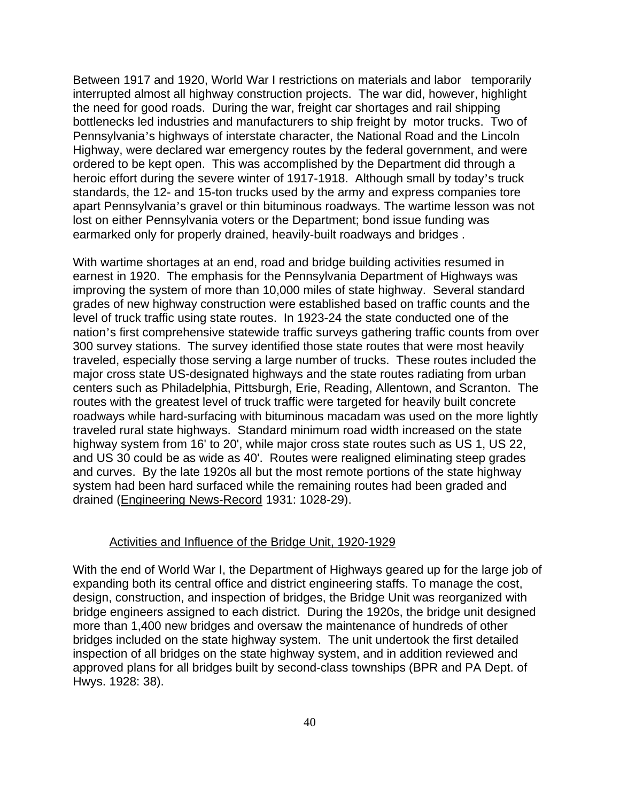Between 1917 and 1920, World War I restrictions on materials and labor temporarily interrupted almost all highway construction projects. The war did, however, highlight the need for good roads. During the war, freight car shortages and rail shipping bottlenecks led industries and manufacturers to ship freight by motor trucks. Two of Pennsylvania's highways of interstate character, the National Road and the Lincoln Highway, were declared war emergency routes by the federal government, and were ordered to be kept open. This was accomplished by the Department did through a heroic effort during the severe winter of 1917-1918. Although small by today's truck standards, the 12- and 15-ton trucks used by the army and express companies tore apart Pennsylvania's gravel or thin bituminous roadways. The wartime lesson was not lost on either Pennsylvania voters or the Department; bond issue funding was earmarked only for properly drained, heavily-built roadways and bridges .

With wartime shortages at an end, road and bridge building activities resumed in earnest in 1920. The emphasis for the Pennsylvania Department of Highways was improving the system of more than 10,000 miles of state highway. Several standard grades of new highway construction were established based on traffic counts and the level of truck traffic using state routes. In 1923-24 the state conducted one of the nation's first comprehensive statewide traffic surveys gathering traffic counts from over 300 survey stations. The survey identified those state routes that were most heavily traveled, especially those serving a large number of trucks. These routes included the major cross state US-designated highways and the state routes radiating from urban centers such as Philadelphia, Pittsburgh, Erie, Reading, Allentown, and Scranton. The routes with the greatest level of truck traffic were targeted for heavily built concrete roadways while hard-surfacing with bituminous macadam was used on the more lightly traveled rural state highways. Standard minimum road width increased on the state highway system from 16' to 20', while major cross state routes such as US 1, US 22, and US 30 could be as wide as 40'. Routes were realigned eliminating steep grades and curves. By the late 1920s all but the most remote portions of the state highway system had been hard surfaced while the remaining routes had been graded and drained (Engineering News-Record 1931: 1028-29).

### Activities and Influence of the Bridge Unit, 1920-1929

With the end of World War I, the Department of Highways geared up for the large job of expanding both its central office and district engineering staffs. To manage the cost, design, construction, and inspection of bridges, the Bridge Unit was reorganized with bridge engineers assigned to each district. During the 1920s, the bridge unit designed more than 1,400 new bridges and oversaw the maintenance of hundreds of other bridges included on the state highway system. The unit undertook the first detailed inspection of all bridges on the state highway system, and in addition reviewed and approved plans for all bridges built by second-class townships (BPR and PA Dept. of Hwys. 1928: 38).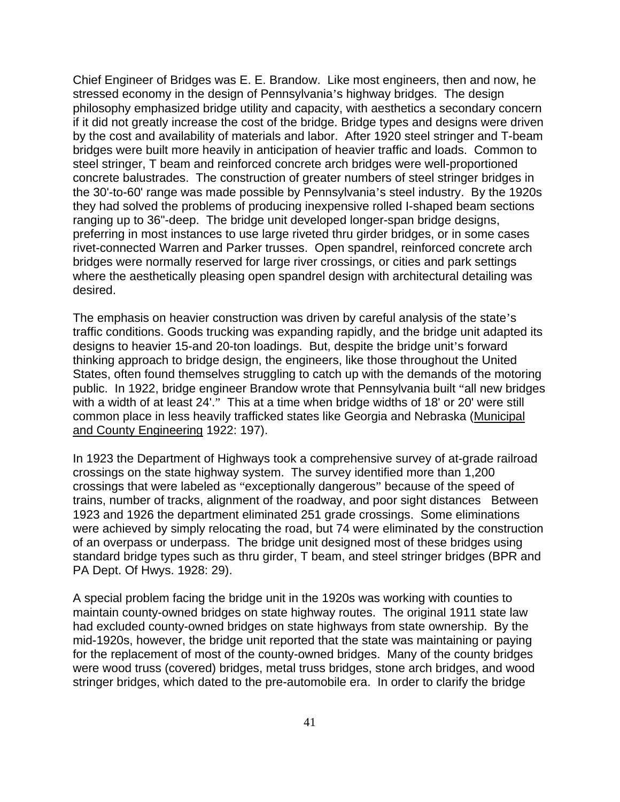Chief Engineer of Bridges was E. E. Brandow. Like most engineers, then and now, he stressed economy in the design of Pennsylvania's highway bridges. The design philosophy emphasized bridge utility and capacity, with aesthetics a secondary concern if it did not greatly increase the cost of the bridge. Bridge types and designs were driven by the cost and availability of materials and labor. After 1920 steel stringer and T-beam bridges were built more heavily in anticipation of heavier traffic and loads. Common to steel stringer, T beam and reinforced concrete arch bridges were well-proportioned concrete balustrades. The construction of greater numbers of steel stringer bridges in the 30'-to-60' range was made possible by Pennsylvania's steel industry. By the 1920s they had solved the problems of producing inexpensive rolled I-shaped beam sections ranging up to 36"-deep. The bridge unit developed longer-span bridge designs, preferring in most instances to use large riveted thru girder bridges, or in some cases rivet-connected Warren and Parker trusses. Open spandrel, reinforced concrete arch bridges were normally reserved for large river crossings, or cities and park settings where the aesthetically pleasing open spandrel design with architectural detailing was desired.

The emphasis on heavier construction was driven by careful analysis of the state's traffic conditions. Goods trucking was expanding rapidly, and the bridge unit adapted its designs to heavier 15-and 20-ton loadings. But, despite the bridge unit's forward thinking approach to bridge design, the engineers, like those throughout the United States, often found themselves struggling to catch up with the demands of the motoring public. In 1922, bridge engineer Brandow wrote that Pennsylvania built "all new bridges with a width of at least 24'." This at a time when bridge widths of 18' or 20' were still common place in less heavily trafficked states like Georgia and Nebraska (Municipal and County Engineering 1922: 197).

In 1923 the Department of Highways took a comprehensive survey of at-grade railroad crossings on the state highway system. The survey identified more than 1,200 crossings that were labeled as "exceptionally dangerous" because of the speed of trains, number of tracks, alignment of the roadway, and poor sight distances Between 1923 and 1926 the department eliminated 251 grade crossings. Some eliminations were achieved by simply relocating the road, but 74 were eliminated by the construction of an overpass or underpass. The bridge unit designed most of these bridges using standard bridge types such as thru girder, T beam, and steel stringer bridges (BPR and PA Dept. Of Hwys. 1928: 29).

A special problem facing the bridge unit in the 1920s was working with counties to maintain county-owned bridges on state highway routes. The original 1911 state law had excluded county-owned bridges on state highways from state ownership. By the mid-1920s, however, the bridge unit reported that the state was maintaining or paying for the replacement of most of the county-owned bridges. Many of the county bridges were wood truss (covered) bridges, metal truss bridges, stone arch bridges, and wood stringer bridges, which dated to the pre-automobile era. In order to clarify the bridge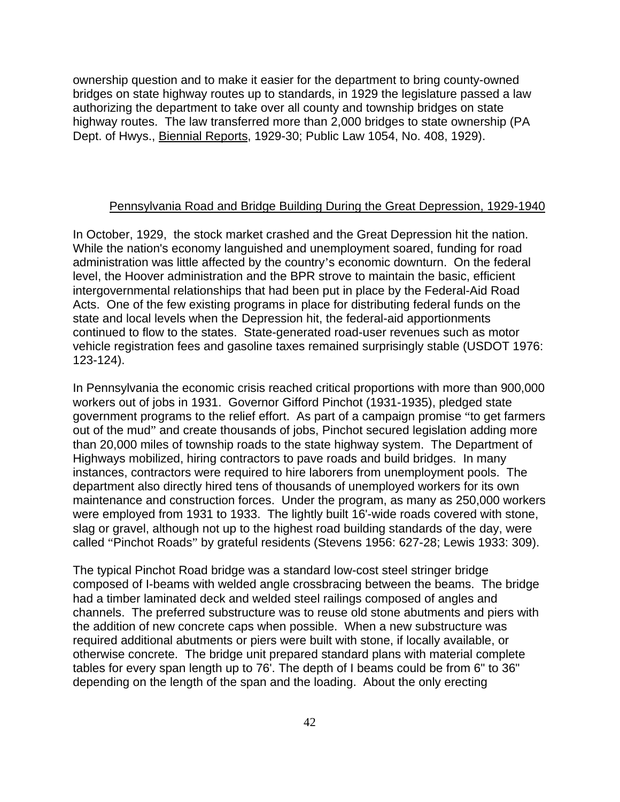ownership question and to make it easier for the department to bring county-owned bridges on state highway routes up to standards, in 1929 the legislature passed a law authorizing the department to take over all county and township bridges on state highway routes. The law transferred more than 2,000 bridges to state ownership (PA Dept. of Hwys., Biennial Reports, 1929-30; Public Law 1054, No. 408, 1929).

## Pennsylvania Road and Bridge Building During the Great Depression, 1929-1940

In October, 1929, the stock market crashed and the Great Depression hit the nation. While the nation's economy languished and unemployment soared, funding for road administration was little affected by the country's economic downturn. On the federal level, the Hoover administration and the BPR strove to maintain the basic, efficient intergovernmental relationships that had been put in place by the Federal-Aid Road Acts. One of the few existing programs in place for distributing federal funds on the state and local levels when the Depression hit, the federal-aid apportionments continued to flow to the states. State-generated road-user revenues such as motor vehicle registration fees and gasoline taxes remained surprisingly stable (USDOT 1976: 123-124).

In Pennsylvania the economic crisis reached critical proportions with more than 900,000 workers out of jobs in 1931. Governor Gifford Pinchot (1931-1935), pledged state government programs to the relief effort. As part of a campaign promise "to get farmers out of the mud" and create thousands of jobs, Pinchot secured legislation adding more than 20,000 miles of township roads to the state highway system. The Department of Highways mobilized, hiring contractors to pave roads and build bridges. In many instances, contractors were required to hire laborers from unemployment pools. The department also directly hired tens of thousands of unemployed workers for its own maintenance and construction forces. Under the program, as many as 250,000 workers were employed from 1931 to 1933. The lightly built 16'-wide roads covered with stone, slag or gravel, although not up to the highest road building standards of the day, were called "Pinchot Roads" by grateful residents (Stevens 1956: 627-28; Lewis 1933: 309).

The typical Pinchot Road bridge was a standard low-cost steel stringer bridge composed of I-beams with welded angle crossbracing between the beams. The bridge had a timber laminated deck and welded steel railings composed of angles and channels. The preferred substructure was to reuse old stone abutments and piers with the addition of new concrete caps when possible. When a new substructure was required additional abutments or piers were built with stone, if locally available, or otherwise concrete. The bridge unit prepared standard plans with material complete tables for every span length up to 76'. The depth of I beams could be from 6" to 36" depending on the length of the span and the loading. About the only erecting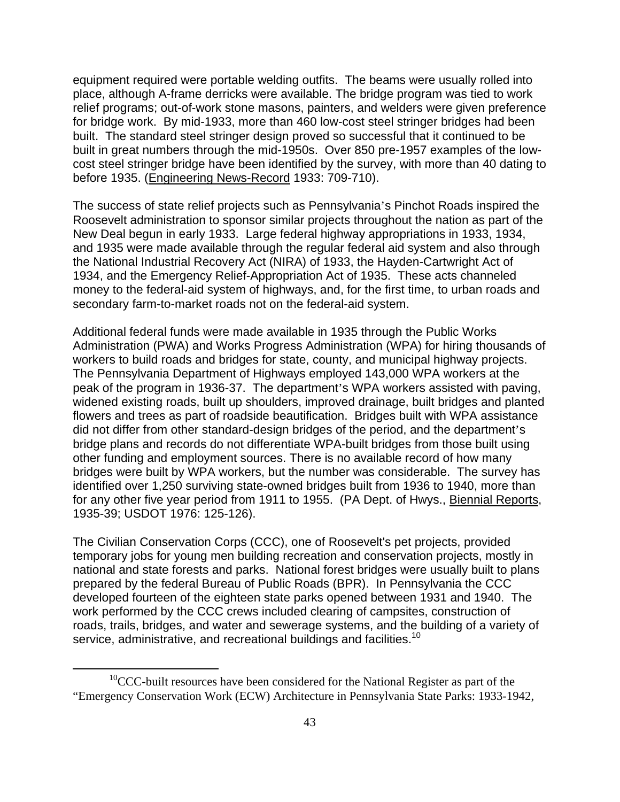equipment required were portable welding outfits. The beams were usually rolled into place, although A-frame derricks were available. The bridge program was tied to work relief programs; out-of-work stone masons, painters, and welders were given preference for bridge work. By mid-1933, more than 460 low-cost steel stringer bridges had been built. The standard steel stringer design proved so successful that it continued to be built in great numbers through the mid-1950s. Over 850 pre-1957 examples of the lowcost steel stringer bridge have been identified by the survey, with more than 40 dating to before 1935. (Engineering News-Record 1933: 709-710).

The success of state relief projects such as Pennsylvania's Pinchot Roads inspired the Roosevelt administration to sponsor similar projects throughout the nation as part of the New Deal begun in early 1933. Large federal highway appropriations in 1933, 1934, and 1935 were made available through the regular federal aid system and also through the National Industrial Recovery Act (NIRA) of 1933, the Hayden-Cartwright Act of 1934, and the Emergency Relief-Appropriation Act of 1935. These acts channeled money to the federal-aid system of highways, and, for the first time, to urban roads and secondary farm-to-market roads not on the federal-aid system.

Additional federal funds were made available in 1935 through the Public Works Administration (PWA) and Works Progress Administration (WPA) for hiring thousands of workers to build roads and bridges for state, county, and municipal highway projects. The Pennsylvania Department of Highways employed 143,000 WPA workers at the peak of the program in 1936-37. The department's WPA workers assisted with paving, widened existing roads, built up shoulders, improved drainage, built bridges and planted flowers and trees as part of roadside beautification. Bridges built with WPA assistance did not differ from other standard-design bridges of the period, and the department's bridge plans and records do not differentiate WPA-built bridges from those built using other funding and employment sources. There is no available record of how many bridges were built by WPA workers, but the number was considerable. The survey has identified over 1,250 surviving state-owned bridges built from 1936 to 1940, more than for any other five year period from 1911 to 1955. (PA Dept. of Hwys., Biennial Reports, 1935-39; USDOT 1976: 125-126).

The Civilian Conservation Corps (CCC), one of Roosevelt's pet projects, provided temporary jobs for young men building recreation and conservation projects, mostly in national and state forests and parks. National forest bridges were usually built to plans prepared by the federal Bureau of Public Roads (BPR). In Pennsylvania the CCC developed fourteen of the eighteen state parks opened between 1931 and 1940. The work performed by the CCC crews included clearing of campsites, construction of roads, trails, bridges, and water and sewerage systems, and the building of a variety of service, administrative, and recreational buildings and facilities.<sup>10</sup>

 $10$ CCC-built resources have been considered for the National Register as part of the "Emergency Conservation Work (ECW) Architecture in Pennsylvania State Parks: 1933-1942,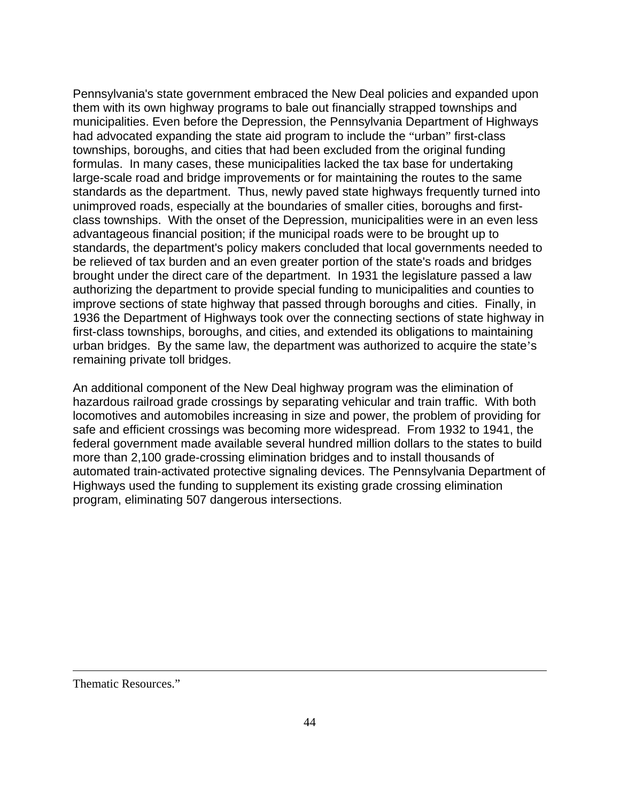Pennsylvania's state government embraced the New Deal policies and expanded upon them with its own highway programs to bale out financially strapped townships and municipalities. Even before the Depression, the Pennsylvania Department of Highways had advocated expanding the state aid program to include the "urban" first-class townships, boroughs, and cities that had been excluded from the original funding formulas. In many cases, these municipalities lacked the tax base for undertaking large-scale road and bridge improvements or for maintaining the routes to the same standards as the department. Thus, newly paved state highways frequently turned into unimproved roads, especially at the boundaries of smaller cities, boroughs and firstclass townships. With the onset of the Depression, municipalities were in an even less advantageous financial position; if the municipal roads were to be brought up to standards, the department's policy makers concluded that local governments needed to be relieved of tax burden and an even greater portion of the state's roads and bridges brought under the direct care of the department. In 1931 the legislature passed a law authorizing the department to provide special funding to municipalities and counties to improve sections of state highway that passed through boroughs and cities. Finally, in 1936 the Department of Highways took over the connecting sections of state highway in first-class townships, boroughs, and cities, and extended its obligations to maintaining urban bridges. By the same law, the department was authorized to acquire the state's remaining private toll bridges.

An additional component of the New Deal highway program was the elimination of hazardous railroad grade crossings by separating vehicular and train traffic. With both locomotives and automobiles increasing in size and power, the problem of providing for safe and efficient crossings was becoming more widespread. From 1932 to 1941, the federal government made available several hundred million dollars to the states to build more than 2,100 grade-crossing elimination bridges and to install thousands of automated train-activated protective signaling devices. The Pennsylvania Department of Highways used the funding to supplement its existing grade crossing elimination program, eliminating 507 dangerous intersections.

Thematic Resources."

1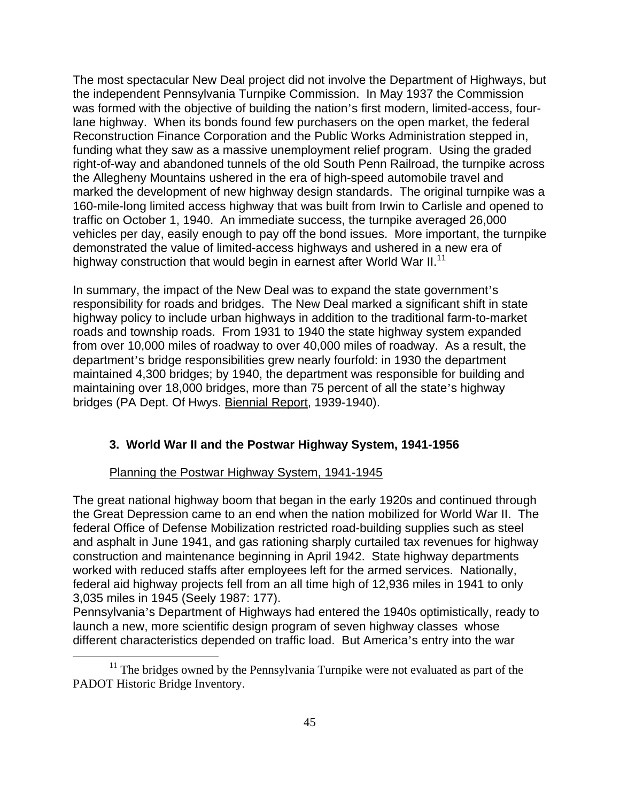The most spectacular New Deal project did not involve the Department of Highways, but the independent Pennsylvania Turnpike Commission. In May 1937 the Commission was formed with the objective of building the nation's first modern, limited-access, fourlane highway. When its bonds found few purchasers on the open market, the federal Reconstruction Finance Corporation and the Public Works Administration stepped in, funding what they saw as a massive unemployment relief program. Using the graded right-of-way and abandoned tunnels of the old South Penn Railroad, the turnpike across the Allegheny Mountains ushered in the era of high-speed automobile travel and marked the development of new highway design standards. The original turnpike was a 160-mile-long limited access highway that was built from Irwin to Carlisle and opened to traffic on October 1, 1940. An immediate success, the turnpike averaged 26,000 vehicles per day, easily enough to pay off the bond issues. More important, the turnpike demonstrated the value of limited-access highways and ushered in a new era of highway construction that would begin in earnest after World War II.<sup>11</sup>

In summary, the impact of the New Deal was to expand the state government's responsibility for roads and bridges. The New Deal marked a significant shift in state highway policy to include urban highways in addition to the traditional farm-to-market roads and township roads. From 1931 to 1940 the state highway system expanded from over 10,000 miles of roadway to over 40,000 miles of roadway. As a result, the department's bridge responsibilities grew nearly fourfold: in 1930 the department maintained 4,300 bridges; by 1940, the department was responsible for building and maintaining over 18,000 bridges, more than 75 percent of all the state's highway bridges (PA Dept. Of Hwys. Biennial Report, 1939-1940).

# **3. World War II and the Postwar Highway System, 1941-1956**

# Planning the Postwar Highway System, 1941-1945

The great national highway boom that began in the early 1920s and continued through the Great Depression came to an end when the nation mobilized for World War II. The federal Office of Defense Mobilization restricted road-building supplies such as steel and asphalt in June 1941, and gas rationing sharply curtailed tax revenues for highway construction and maintenance beginning in April 1942. State highway departments worked with reduced staffs after employees left for the armed services. Nationally, federal aid highway projects fell from an all time high of 12,936 miles in 1941 to only 3,035 miles in 1945 (Seely 1987: 177).

Pennsylvania's Department of Highways had entered the 1940s optimistically, ready to launch a new, more scientific design program of seven highway classes whose different characteristics depended on traffic load. But America's entry into the war

<sup>&</sup>lt;sup>11</sup> The bridges owned by the Pennsylvania Turnpike were not evaluated as part of the PADOT Historic Bridge Inventory.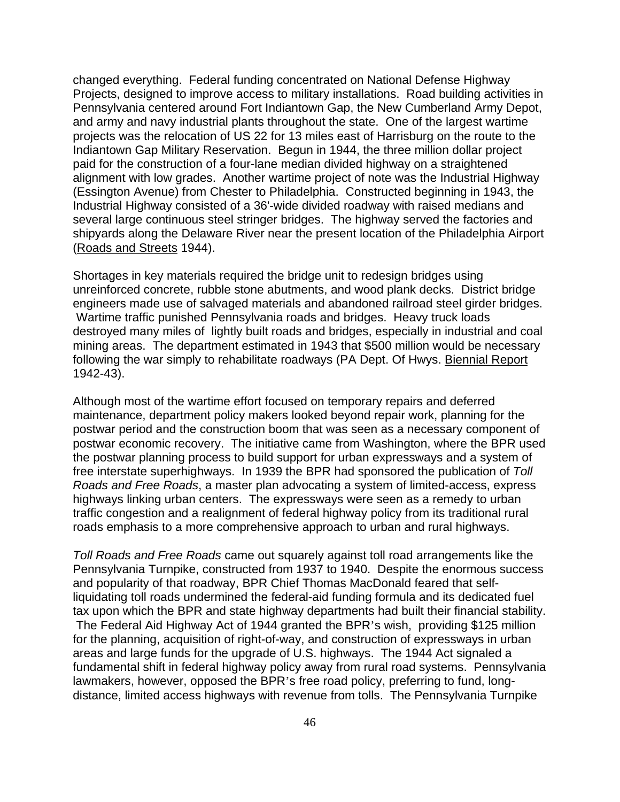changed everything. Federal funding concentrated on National Defense Highway Projects, designed to improve access to military installations. Road building activities in Pennsylvania centered around Fort Indiantown Gap, the New Cumberland Army Depot, and army and navy industrial plants throughout the state. One of the largest wartime projects was the relocation of US 22 for 13 miles east of Harrisburg on the route to the Indiantown Gap Military Reservation. Begun in 1944, the three million dollar project paid for the construction of a four-lane median divided highway on a straightened alignment with low grades. Another wartime project of note was the Industrial Highway (Essington Avenue) from Chester to Philadelphia. Constructed beginning in 1943, the Industrial Highway consisted of a 36'-wide divided roadway with raised medians and several large continuous steel stringer bridges. The highway served the factories and shipyards along the Delaware River near the present location of the Philadelphia Airport (Roads and Streets 1944).

Shortages in key materials required the bridge unit to redesign bridges using unreinforced concrete, rubble stone abutments, and wood plank decks. District bridge engineers made use of salvaged materials and abandoned railroad steel girder bridges. Wartime traffic punished Pennsylvania roads and bridges. Heavy truck loads destroyed many miles of lightly built roads and bridges, especially in industrial and coal mining areas. The department estimated in 1943 that \$500 million would be necessary following the war simply to rehabilitate roadways (PA Dept. Of Hwys. Biennial Report 1942-43).

Although most of the wartime effort focused on temporary repairs and deferred maintenance, department policy makers looked beyond repair work, planning for the postwar period and the construction boom that was seen as a necessary component of postwar economic recovery. The initiative came from Washington, where the BPR used the postwar planning process to build support for urban expressways and a system of free interstate superhighways. In 1939 the BPR had sponsored the publication of *Toll Roads and Free Roads*, a master plan advocating a system of limited-access, express highways linking urban centers. The expressways were seen as a remedy to urban traffic congestion and a realignment of federal highway policy from its traditional rural roads emphasis to a more comprehensive approach to urban and rural highways.

*Toll Roads and Free Roads* came out squarely against toll road arrangements like the Pennsylvania Turnpike, constructed from 1937 to 1940. Despite the enormous success and popularity of that roadway, BPR Chief Thomas MacDonald feared that selfliquidating toll roads undermined the federal-aid funding formula and its dedicated fuel tax upon which the BPR and state highway departments had built their financial stability. The Federal Aid Highway Act of 1944 granted the BPR's wish, providing \$125 million for the planning, acquisition of right-of-way, and construction of expressways in urban areas and large funds for the upgrade of U.S. highways. The 1944 Act signaled a fundamental shift in federal highway policy away from rural road systems. Pennsylvania lawmakers, however, opposed the BPR's free road policy, preferring to fund, longdistance, limited access highways with revenue from tolls. The Pennsylvania Turnpike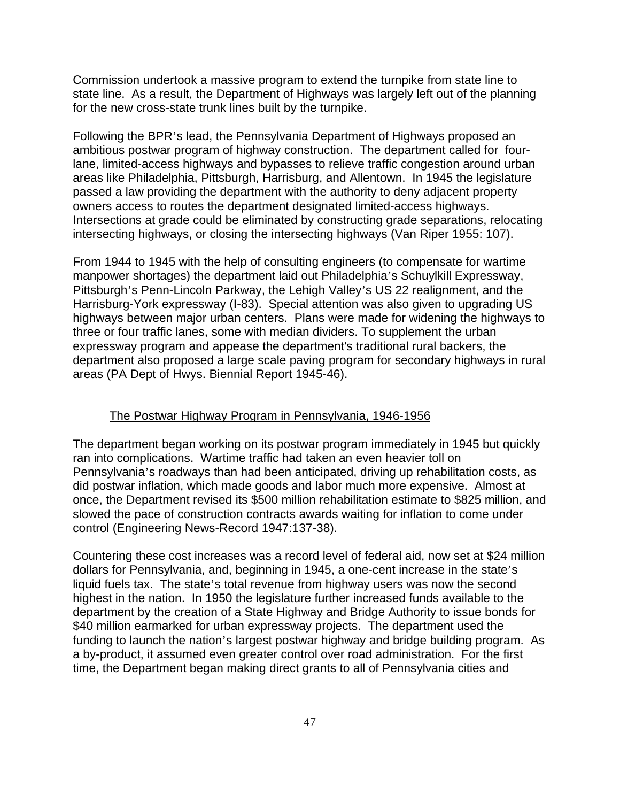Commission undertook a massive program to extend the turnpike from state line to state line. As a result, the Department of Highways was largely left out of the planning for the new cross-state trunk lines built by the turnpike.

Following the BPR's lead, the Pennsylvania Department of Highways proposed an ambitious postwar program of highway construction. The department called for fourlane, limited-access highways and bypasses to relieve traffic congestion around urban areas like Philadelphia, Pittsburgh, Harrisburg, and Allentown. In 1945 the legislature passed a law providing the department with the authority to deny adjacent property owners access to routes the department designated limited-access highways. Intersections at grade could be eliminated by constructing grade separations, relocating intersecting highways, or closing the intersecting highways (Van Riper 1955: 107).

From 1944 to 1945 with the help of consulting engineers (to compensate for wartime manpower shortages) the department laid out Philadelphia's Schuylkill Expressway, Pittsburgh's Penn-Lincoln Parkway, the Lehigh Valley's US 22 realignment, and the Harrisburg-York expressway (I-83). Special attention was also given to upgrading US highways between major urban centers. Plans were made for widening the highways to three or four traffic lanes, some with median dividers. To supplement the urban expressway program and appease the department's traditional rural backers, the department also proposed a large scale paving program for secondary highways in rural areas (PA Dept of Hwys. Biennial Report 1945-46).

#### The Postwar Highway Program in Pennsylvania, 1946-1956

The department began working on its postwar program immediately in 1945 but quickly ran into complications. Wartime traffic had taken an even heavier toll on Pennsylvania's roadways than had been anticipated, driving up rehabilitation costs, as did postwar inflation, which made goods and labor much more expensive. Almost at once, the Department revised its \$500 million rehabilitation estimate to \$825 million, and slowed the pace of construction contracts awards waiting for inflation to come under control (Engineering News-Record 1947:137-38).

Countering these cost increases was a record level of federal aid, now set at \$24 million dollars for Pennsylvania, and, beginning in 1945, a one-cent increase in the state's liquid fuels tax. The state's total revenue from highway users was now the second highest in the nation. In 1950 the legislature further increased funds available to the department by the creation of a State Highway and Bridge Authority to issue bonds for \$40 million earmarked for urban expressway projects. The department used the funding to launch the nation's largest postwar highway and bridge building program. As a by-product, it assumed even greater control over road administration. For the first time, the Department began making direct grants to all of Pennsylvania cities and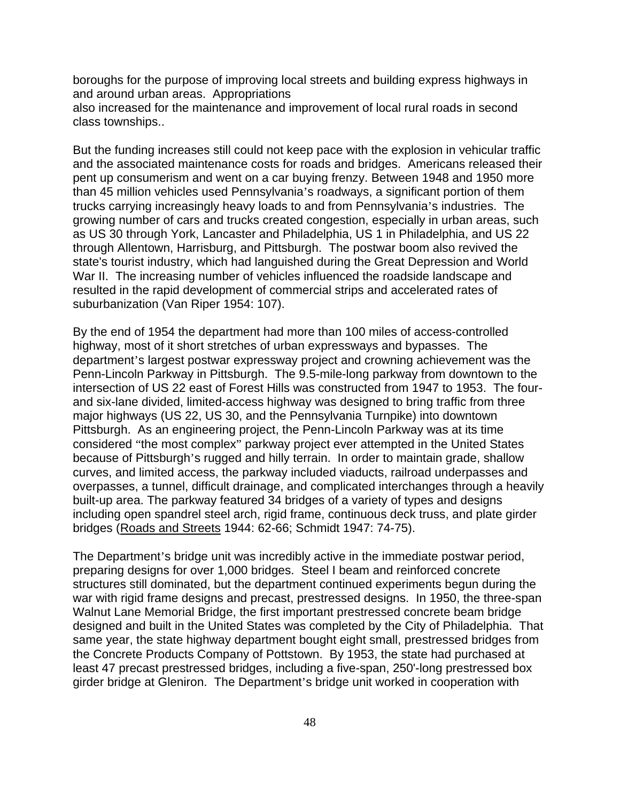boroughs for the purpose of improving local streets and building express highways in and around urban areas. Appropriations

also increased for the maintenance and improvement of local rural roads in second class townships..

But the funding increases still could not keep pace with the explosion in vehicular traffic and the associated maintenance costs for roads and bridges. Americans released their pent up consumerism and went on a car buying frenzy. Between 1948 and 1950 more than 45 million vehicles used Pennsylvania's roadways, a significant portion of them trucks carrying increasingly heavy loads to and from Pennsylvania's industries. The growing number of cars and trucks created congestion, especially in urban areas, such as US 30 through York, Lancaster and Philadelphia, US 1 in Philadelphia, and US 22 through Allentown, Harrisburg, and Pittsburgh. The postwar boom also revived the state's tourist industry, which had languished during the Great Depression and World War II. The increasing number of vehicles influenced the roadside landscape and resulted in the rapid development of commercial strips and accelerated rates of suburbanization (Van Riper 1954: 107).

By the end of 1954 the department had more than 100 miles of access-controlled highway, most of it short stretches of urban expressways and bypasses. The department's largest postwar expressway project and crowning achievement was the Penn-Lincoln Parkway in Pittsburgh. The 9.5-mile-long parkway from downtown to the intersection of US 22 east of Forest Hills was constructed from 1947 to 1953. The fourand six-lane divided, limited-access highway was designed to bring traffic from three major highways (US 22, US 30, and the Pennsylvania Turnpike) into downtown Pittsburgh. As an engineering project, the Penn-Lincoln Parkway was at its time considered "the most complex" parkway project ever attempted in the United States because of Pittsburgh's rugged and hilly terrain. In order to maintain grade, shallow curves, and limited access, the parkway included viaducts, railroad underpasses and overpasses, a tunnel, difficult drainage, and complicated interchanges through a heavily built-up area. The parkway featured 34 bridges of a variety of types and designs including open spandrel steel arch, rigid frame, continuous deck truss, and plate girder bridges (Roads and Streets 1944: 62-66; Schmidt 1947: 74-75).

The Department's bridge unit was incredibly active in the immediate postwar period, preparing designs for over 1,000 bridges. Steel I beam and reinforced concrete structures still dominated, but the department continued experiments begun during the war with rigid frame designs and precast, prestressed designs. In 1950, the three-span Walnut Lane Memorial Bridge, the first important prestressed concrete beam bridge designed and built in the United States was completed by the City of Philadelphia. That same year, the state highway department bought eight small, prestressed bridges from the Concrete Products Company of Pottstown. By 1953, the state had purchased at least 47 precast prestressed bridges, including a five-span, 250'-long prestressed box girder bridge at Gleniron. The Department's bridge unit worked in cooperation with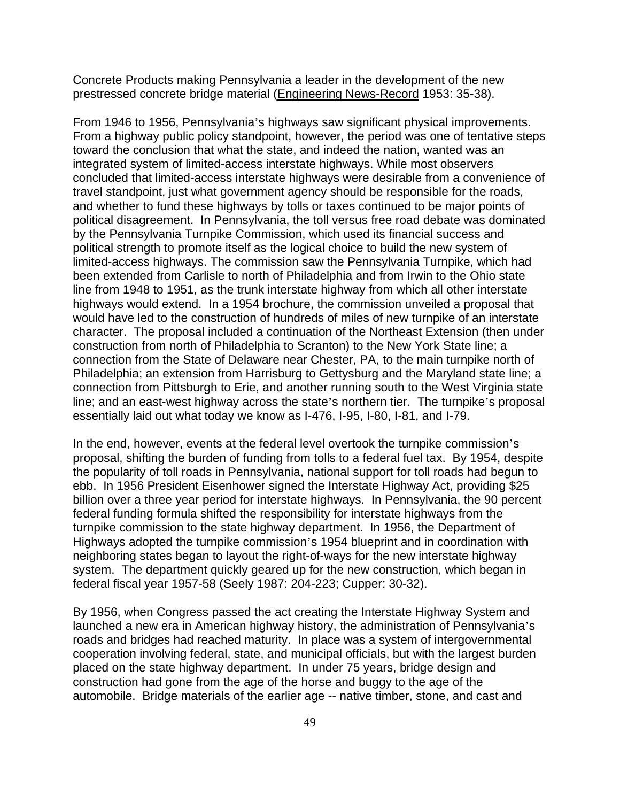Concrete Products making Pennsylvania a leader in the development of the new prestressed concrete bridge material (Engineering News-Record 1953: 35-38).

From 1946 to 1956, Pennsylvania's highways saw significant physical improvements. From a highway public policy standpoint, however, the period was one of tentative steps toward the conclusion that what the state, and indeed the nation, wanted was an integrated system of limited-access interstate highways. While most observers concluded that limited-access interstate highways were desirable from a convenience of travel standpoint, just what government agency should be responsible for the roads, and whether to fund these highways by tolls or taxes continued to be major points of political disagreement. In Pennsylvania, the toll versus free road debate was dominated by the Pennsylvania Turnpike Commission, which used its financial success and political strength to promote itself as the logical choice to build the new system of limited-access highways. The commission saw the Pennsylvania Turnpike, which had been extended from Carlisle to north of Philadelphia and from Irwin to the Ohio state line from 1948 to 1951, as the trunk interstate highway from which all other interstate highways would extend. In a 1954 brochure, the commission unveiled a proposal that would have led to the construction of hundreds of miles of new turnpike of an interstate character. The proposal included a continuation of the Northeast Extension (then under construction from north of Philadelphia to Scranton) to the New York State line; a connection from the State of Delaware near Chester, PA, to the main turnpike north of Philadelphia; an extension from Harrisburg to Gettysburg and the Maryland state line; a connection from Pittsburgh to Erie, and another running south to the West Virginia state line; and an east-west highway across the state's northern tier. The turnpike's proposal essentially laid out what today we know as I-476, I-95, I-80, I-81, and I-79.

In the end, however, events at the federal level overtook the turnpike commission's proposal, shifting the burden of funding from tolls to a federal fuel tax. By 1954, despite the popularity of toll roads in Pennsylvania, national support for toll roads had begun to ebb. In 1956 President Eisenhower signed the Interstate Highway Act, providing \$25 billion over a three year period for interstate highways. In Pennsylvania, the 90 percent federal funding formula shifted the responsibility for interstate highways from the turnpike commission to the state highway department. In 1956, the Department of Highways adopted the turnpike commission's 1954 blueprint and in coordination with neighboring states began to layout the right-of-ways for the new interstate highway system. The department quickly geared up for the new construction, which began in federal fiscal year 1957-58 (Seely 1987: 204-223; Cupper: 30-32).

By 1956, when Congress passed the act creating the Interstate Highway System and launched a new era in American highway history, the administration of Pennsylvania's roads and bridges had reached maturity. In place was a system of intergovernmental cooperation involving federal, state, and municipal officials, but with the largest burden placed on the state highway department. In under 75 years, bridge design and construction had gone from the age of the horse and buggy to the age of the automobile. Bridge materials of the earlier age -- native timber, stone, and cast and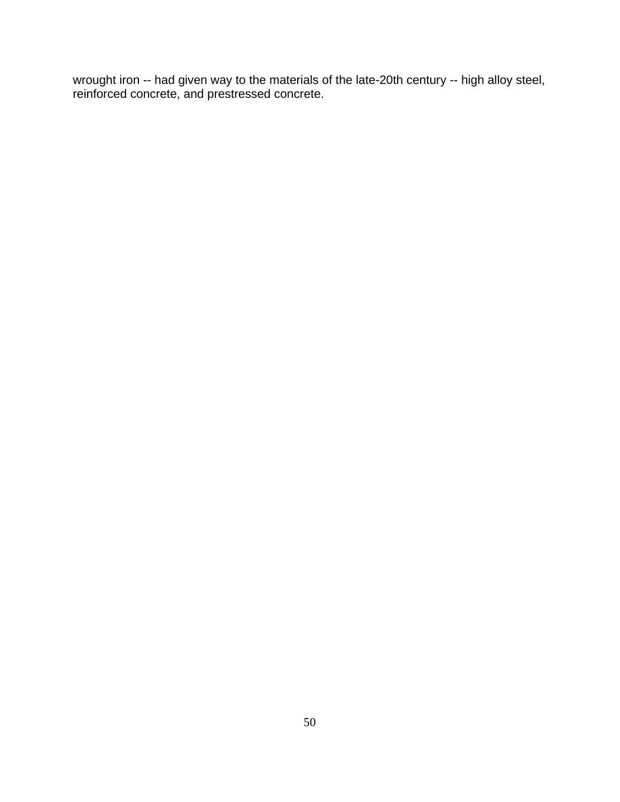wrought iron -- had given way to the materials of the late-20th century -- high alloy steel, reinforced concrete, and prestressed concrete.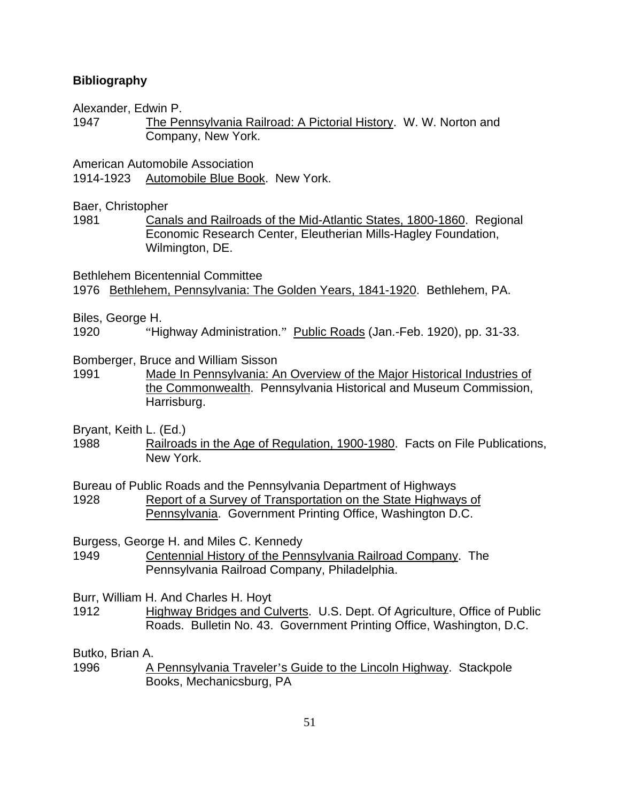## **Bibliography**

Alexander, Edwin P.

1947 The Pennsylvania Railroad: A Pictorial History. W. W. Norton and Company, New York.

American Automobile Association

1914-1923 Automobile Blue Book. New York.

Baer, Christopher

1981 Canals and Railroads of the Mid-Atlantic States, 1800-1860. Regional Economic Research Center, Eleutherian Mills-Hagley Foundation, Wilmington, DE.

Bethlehem Bicentennial Committee 1976 Bethlehem, Pennsylvania: The Golden Years, 1841-1920. Bethlehem, PA.

Biles, George H.

1920 "Highway Administration." Public Roads (Jan.-Feb. 1920), pp. 31-33.

Bomberger, Bruce and William Sisson

1991 Made In Pennsylvania: An Overview of the Major Historical Industries of the Commonwealth. Pennsylvania Historical and Museum Commission, Harrisburg.

Bryant, Keith L. (Ed.)

1988 Railroads in the Age of Regulation, 1900-1980. Facts on File Publications, New York.

Bureau of Public Roads and the Pennsylvania Department of Highways 1928 Report of a Survey of Transportation on the State Highways of Pennsylvania. Government Printing Office, Washington D.C.

Burgess, George H. and Miles C. Kennedy

1949 Centennial History of the Pennsylvania Railroad Company. The Pennsylvania Railroad Company, Philadelphia.

Burr, William H. And Charles H. Hoyt

1912 Highway Bridges and Culverts. U.S. Dept. Of Agriculture, Office of Public Roads. Bulletin No. 43. Government Printing Office, Washington, D.C.

Butko, Brian A.

1996 A Pennsylvania Traveler's Guide to the Lincoln Highway. Stackpole Books, Mechanicsburg, PA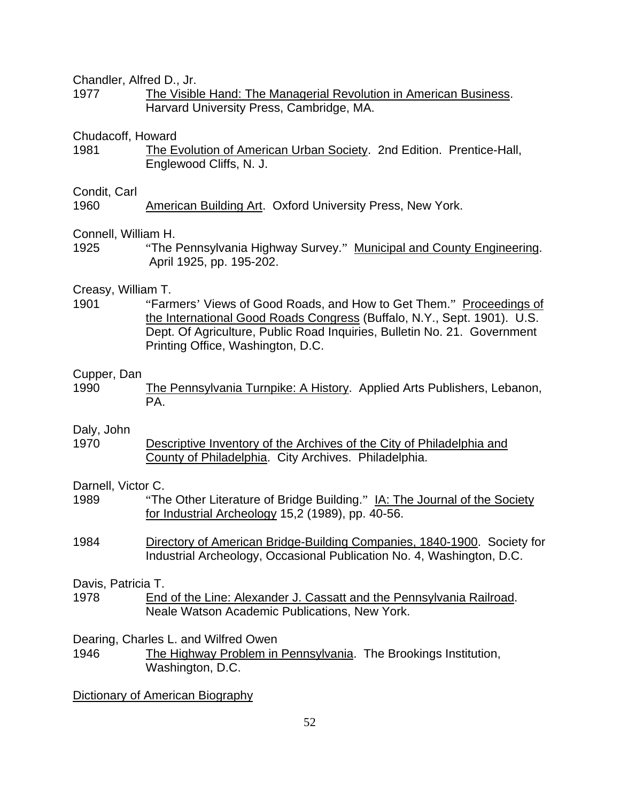Chandler, Alfred D., Jr.

1977 The Visible Hand: The Managerial Revolution in American Business. Harvard University Press, Cambridge, MA.

## Chudacoff, Howard

1981 The Evolution of American Urban Society. 2nd Edition. Prentice-Hall, Englewood Cliffs, N. J.

#### Condit, Carl

1960 American Building Art. Oxford University Press, New York.

## Connell, William H.

1925 "The Pennsylvania Highway Survey." Municipal and County Engineering. April 1925, pp. 195-202.

## Creasy, William T.

1901 "Farmers' Views of Good Roads, and How to Get Them." Proceedings of the International Good Roads Congress (Buffalo, N.Y., Sept. 1901). U.S. Dept. Of Agriculture, Public Road Inquiries, Bulletin No. 21. Government Printing Office, Washington, D.C.

#### Cupper, Dan

1990 The Pennsylvania Turnpike: A History. Applied Arts Publishers, Lebanon, PA.

#### Daly, John

1970 Descriptive Inventory of the Archives of the City of Philadelphia and County of Philadelphia. City Archives. Philadelphia.

## Darnell, Victor C.

- 1989 "The Other Literature of Bridge Building." IA: The Journal of the Society for Industrial Archeology 15,2 (1989), pp. 40-56.
- 1984 Directory of American Bridge-Building Companies, 1840-1900. Society for Industrial Archeology, Occasional Publication No. 4, Washington, D.C.

#### Davis, Patricia T.

1978 End of the Line: Alexander J. Cassatt and the Pennsylvania Railroad. Neale Watson Academic Publications, New York.

Dearing, Charles L. and Wilfred Owen

1946 The Highway Problem in Pennsylvania. The Brookings Institution, Washington, D.C.

Dictionary of American Biography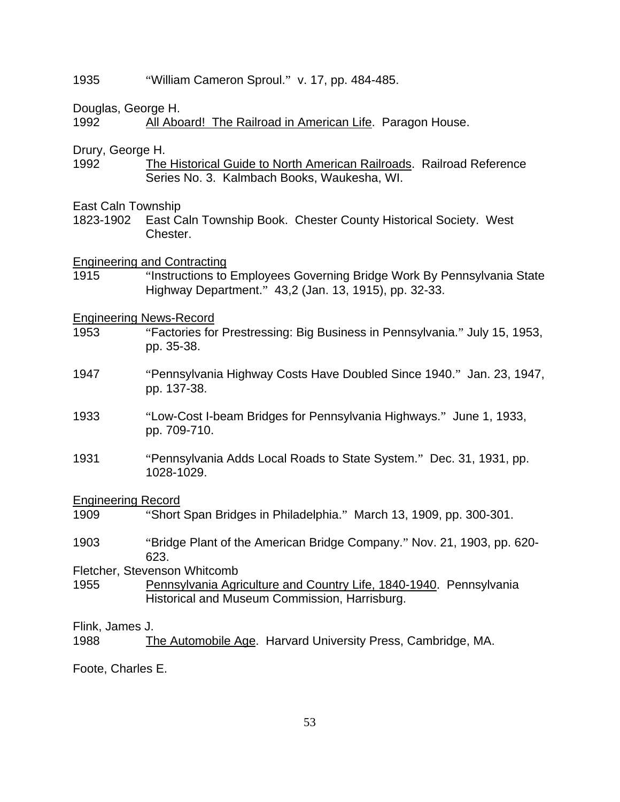## 1935 "William Cameron Sproul." v. 17, pp. 484-485.

Douglas, George H.

1992 All Aboard! The Railroad in American Life. Paragon House.

Drury, George H.

1992 The Historical Guide to North American Railroads. Railroad Reference Series No. 3. Kalmbach Books, Waukesha, WI.

East Caln Township

1823-1902 East Caln Township Book. Chester County Historical Society. West Chester.

Engineering and Contracting

1915 "Instructions to Employees Governing Bridge Work By Pennsylvania State Highway Department." 43,2 (Jan. 13, 1915), pp. 32-33.

Engineering News-Record

- 1953 "Factories for Prestressing: Big Business in Pennsylvania." July 15, 1953, pp. 35-38.
- 1947 "Pennsylvania Highway Costs Have Doubled Since 1940." Jan. 23, 1947, pp. 137-38.
- 1933 "Low-Cost I-beam Bridges for Pennsylvania Highways." June 1, 1933, pp. 709-710.
- 1931 "Pennsylvania Adds Local Roads to State System." Dec. 31, 1931, pp. 1028-1029.

Engineering Record

- 1909 "Short Span Bridges in Philadelphia." March 13, 1909, pp. 300-301.
- 1903 "Bridge Plant of the American Bridge Company." Nov. 21, 1903, pp. 620- 623.

Fletcher, Stevenson Whitcomb

1955 Pennsylvania Agriculture and Country Life, 1840-1940. Pennsylvania Historical and Museum Commission, Harrisburg.

Flink, James J.

1988 The Automobile Age. Harvard University Press, Cambridge, MA.

Foote, Charles E.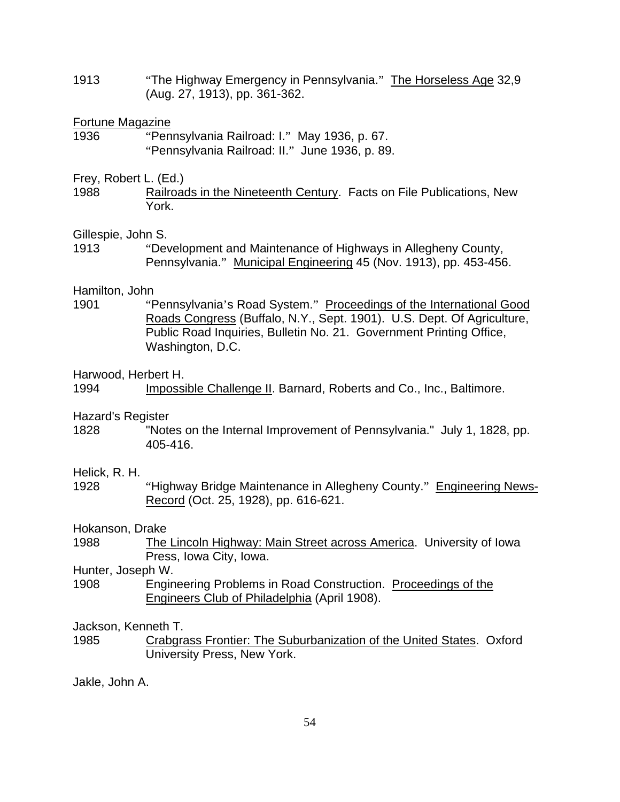1913 **The Highway Emergency in Pennsylvania.**" The Horseless Age 32,9 (Aug. 27, 1913), pp. 361-362.

## Fortune Magazine

1936 "Pennsylvania Railroad: I." May 1936, p. 67. "Pennsylvania Railroad: II." June 1936, p. 89.

## Frey, Robert L. (Ed.)

1988 Railroads in the Nineteenth Century. Facts on File Publications, New York.

## Gillespie, John S.

1913 "Development and Maintenance of Highways in Allegheny County, Pennsylvania." Municipal Engineering 45 (Nov. 1913), pp. 453-456.

## Hamilton, John

1901 "Pennsylvania's Road System." Proceedings of the International Good Roads Congress (Buffalo, N.Y., Sept. 1901). U.S. Dept. Of Agriculture, Public Road Inquiries, Bulletin No. 21. Government Printing Office, Washington, D.C.

## Harwood, Herbert H.

# Hazard's Register

1828 "Notes on the Internal Improvement of Pennsylvania." July 1, 1828, pp. 405-416.

## Helick, R. H.

1928 "Highway Bridge Maintenance in Allegheny County." Engineering News-Record (Oct. 25, 1928), pp. 616-621.

# Hokanson, Drake

1988 The Lincoln Highway: Main Street across America. University of Iowa Press, Iowa City, Iowa.

# Hunter, Joseph W.

1908 Engineering Problems in Road Construction. Proceedings of the Engineers Club of Philadelphia (April 1908).

Jackson, Kenneth T.

1985 Crabgrass Frontier: The Suburbanization of the United States. Oxford University Press, New York.

Jakle, John A.

<sup>1994</sup> Impossible Challenge II. Barnard, Roberts and Co., Inc., Baltimore.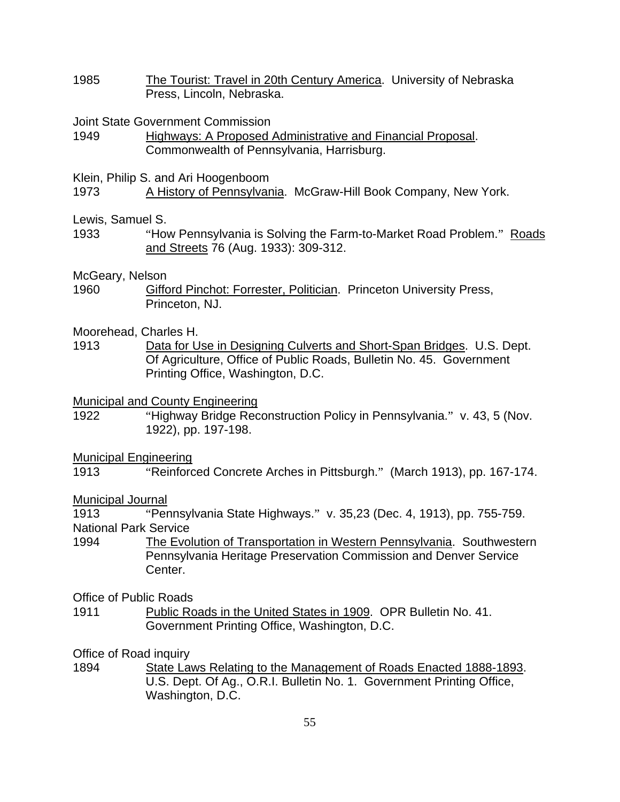- 1985 The Tourist: Travel in 20th Century America. University of Nebraska Press, Lincoln, Nebraska.
- Joint State Government Commission
- 1949 Highways: A Proposed Administrative and Financial Proposal. Commonwealth of Pennsylvania, Harrisburg.
- Klein, Philip S. and Ari Hoogenboom
- 1973 A History of Pennsylvania. McGraw-Hill Book Company, New York.
- Lewis, Samuel S.
- 1933 "How Pennsylvania is Solving the Farm-to-Market Road Problem." Roads and Streets 76 (Aug. 1933): 309-312.

## McGeary, Nelson

- 1960 Gifford Pinchot: Forrester, Politician. Princeton University Press, Princeton, NJ.
- Moorehead, Charles H.
- 1913 Data for Use in Designing Culverts and Short-Span Bridges. U.S. Dept. Of Agriculture, Office of Public Roads, Bulletin No. 45. Government Printing Office, Washington, D.C.

Municipal and County Engineering

1922 "Highway Bridge Reconstruction Policy in Pennsylvania." v. 43, 5 (Nov. 1922), pp. 197-198.

## Municipal Engineering

1913 "Reinforced Concrete Arches in Pittsburgh." (March 1913), pp. 167-174.

## Municipal Journal

1913 "Pennsylvania State Highways." v. 35,23 (Dec. 4, 1913), pp. 755-759. National Park Service

1994 The Evolution of Transportation in Western Pennsylvania. Southwestern Pennsylvania Heritage Preservation Commission and Denver Service Center.

## Office of Public Roads

1911 Public Roads in the United States in 1909. OPR Bulletin No. 41. Government Printing Office, Washington, D.C.

Office of Road inquiry

1894 State Laws Relating to the Management of Roads Enacted 1888-1893. U.S. Dept. Of Ag., O.R.I. Bulletin No. 1. Government Printing Office, Washington, D.C.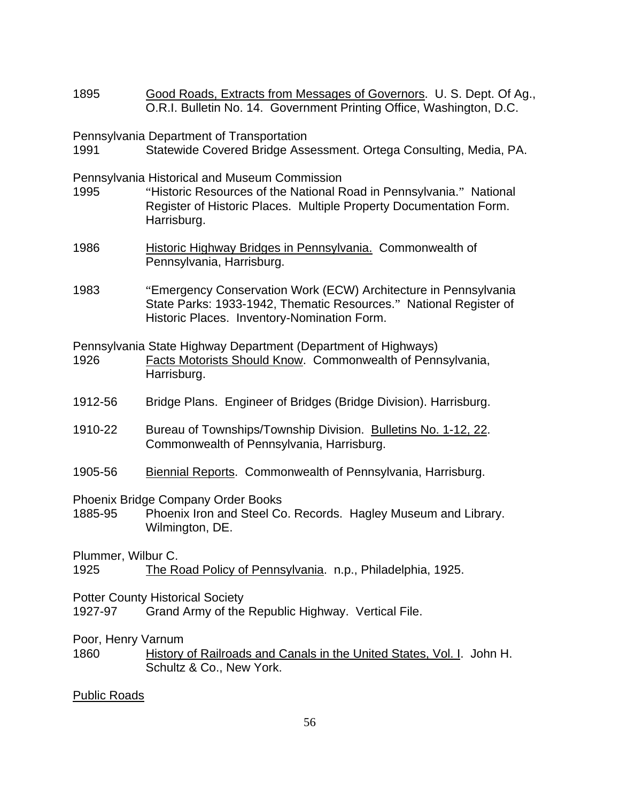1895 Good Roads, Extracts from Messages of Governors. U. S. Dept. Of Ag., O.R.I. Bulletin No. 14. Government Printing Office, Washington, D.C.

Pennsylvania Department of Transportation

1991 Statewide Covered Bridge Assessment. Ortega Consulting, Media, PA.

Pennsylvania Historical and Museum Commission

- 1995 "Historic Resources of the National Road in Pennsylvania." National Register of Historic Places. Multiple Property Documentation Form. Harrisburg.
- 1986 Historic Highway Bridges in Pennsylvania. Commonwealth of Pennsylvania, Harrisburg.
- 1983 "Emergency Conservation Work (ECW) Architecture in Pennsylvania State Parks: 1933-1942, Thematic Resources." National Register of Historic Places. Inventory-Nomination Form.

Pennsylvania State Highway Department (Department of Highways)

- 1926 Facts Motorists Should Know. Commonwealth of Pennsylvania, Harrisburg.
- 1912-56 Bridge Plans. Engineer of Bridges (Bridge Division). Harrisburg.
- 1910-22 Bureau of Townships/Township Division. Bulletins No. 1-12, 22. Commonwealth of Pennsylvania, Harrisburg.
- 1905-56 Biennial Reports. Commonwealth of Pennsylvania, Harrisburg.

Phoenix Bridge Company Order Books

1885-95 Phoenix Iron and Steel Co. Records. Hagley Museum and Library. Wilmington, DE.

Plummer, Wilbur C.

1925 The Road Policy of Pennsylvania. n.p., Philadelphia, 1925.

- Potter County Historical Society
- 1927-97 Grand Army of the Republic Highway. Vertical File.

Poor, Henry Varnum

1860 History of Railroads and Canals in the United States, Vol. I. John H. Schultz & Co., New York.

## Public Roads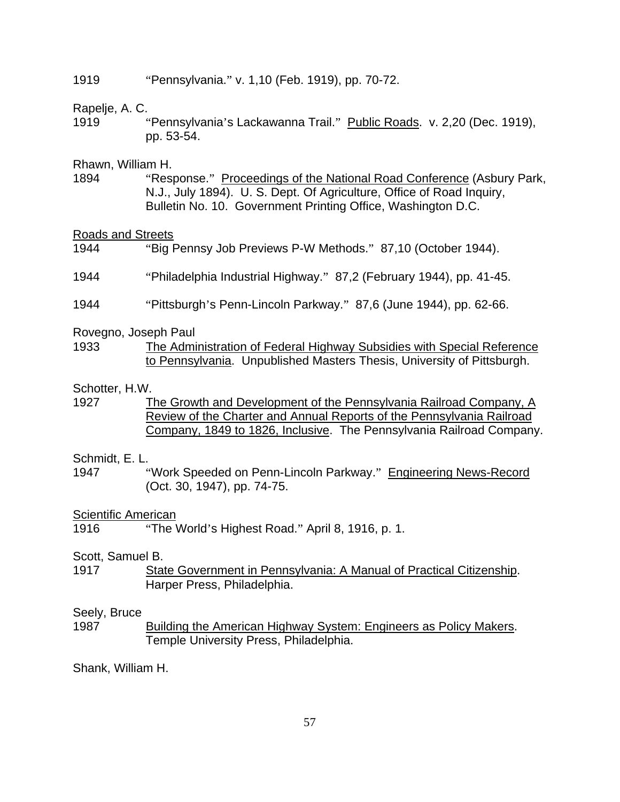### 1919 "Pennsylvania." v. 1,10 (Feb. 1919), pp. 70-72.

## Rapelje, A. C.

1919 "Pennsylvania's Lackawanna Trail." Public Roads. v. 2,20 (Dec. 1919), pp. 53-54.

## Rhawn, William H.

1894 "Response." Proceedings of the National Road Conference (Asbury Park, N.J., July 1894). U. S. Dept. Of Agriculture, Office of Road Inquiry, Bulletin No. 10. Government Printing Office, Washington D.C.

#### Roads and Streets

- 1944 "Big Pennsy Job Previews P-W Methods." 87,10 (October 1944).
- 1944 "Philadelphia Industrial Highway." 87,2 (February 1944), pp. 41-45.
- 1944 "Pittsburgh's Penn-Lincoln Parkway." 87,6 (June 1944), pp. 62-66.

#### Rovegno, Joseph Paul

1933 The Administration of Federal Highway Subsidies with Special Reference to Pennsylvania. Unpublished Masters Thesis, University of Pittsburgh.

#### Schotter, H.W.

1927 The Growth and Development of the Pennsylvania Railroad Company, A Review of the Charter and Annual Reports of the Pennsylvania Railroad Company, 1849 to 1826, Inclusive. The Pennsylvania Railroad Company.

## Schmidt, E. L.

1947 "Work Speeded on Penn-Lincoln Parkway." Engineering News-Record (Oct. 30, 1947), pp. 74-75.

## Scientific American

1916 "The World's Highest Road." April 8, 1916, p. 1.

## Scott, Samuel B.

1917 State Government in Pennsylvania: A Manual of Practical Citizenship. Harper Press, Philadelphia.

#### Seely, Bruce

1987 Building the American Highway System: Engineers as Policy Makers. Temple University Press, Philadelphia.

Shank, William H.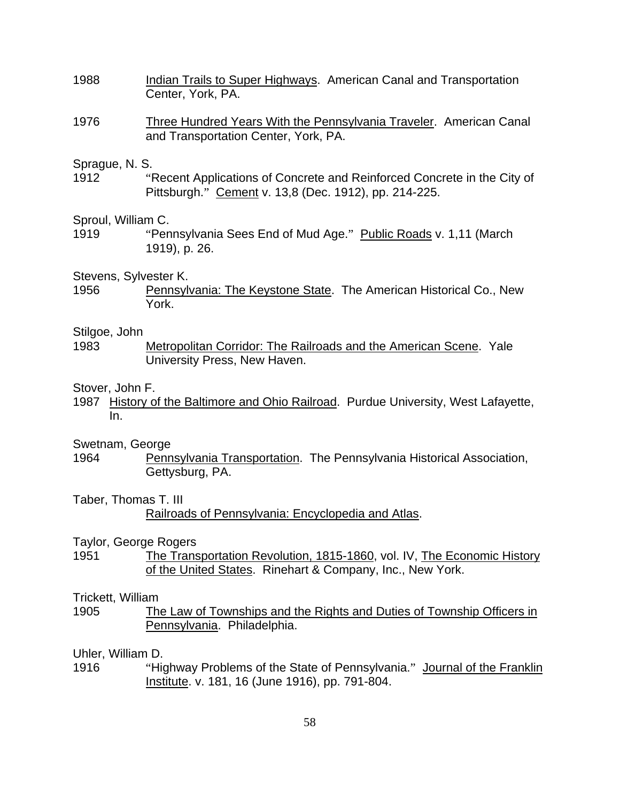- 1988 Indian Trails to Super Highways. American Canal and Transportation Center, York, PA.
- 1976 Three Hundred Years With the Pennsylvania Traveler. American Canal and Transportation Center, York, PA.

#### Sprague, N. S.

1912 "Recent Applications of Concrete and Reinforced Concrete in the City of Pittsburgh." Cement v. 13,8 (Dec. 1912), pp. 214-225.

#### Sproul, William C.

1919 "Pennsylvania Sees End of Mud Age." Public Roads v. 1,11 (March 1919), p. 26.

#### Stevens, Sylvester K.

1956 Pennsylvania: The Keystone State. The American Historical Co., New York.

#### Stilgoe, John

1983 Metropolitan Corridor: The Railroads and the American Scene. Yale University Press, New Haven.

#### Stover, John F.

1987 History of the Baltimore and Ohio Railroad. Purdue University, West Lafayette, In.

#### Swetnam, George

1964 Pennsylvania Transportation. The Pennsylvania Historical Association, Gettysburg, PA.

## Taber, Thomas T. III

Taylor, George Rogers

1951 The Transportation Revolution, 1815-1860, vol. IV, The Economic History of the United States. Rinehart & Company, Inc., New York.

#### Trickett, William

1905 The Law of Townships and the Rights and Duties of Township Officers in Pennsylvania. Philadelphia.

Uhler, William D.

1916 "Highway Problems of the State of Pennsylvania." Journal of the Franklin Institute. v. 181, 16 (June 1916), pp. 791-804.

Railroads of Pennsylvania: Encyclopedia and Atlas.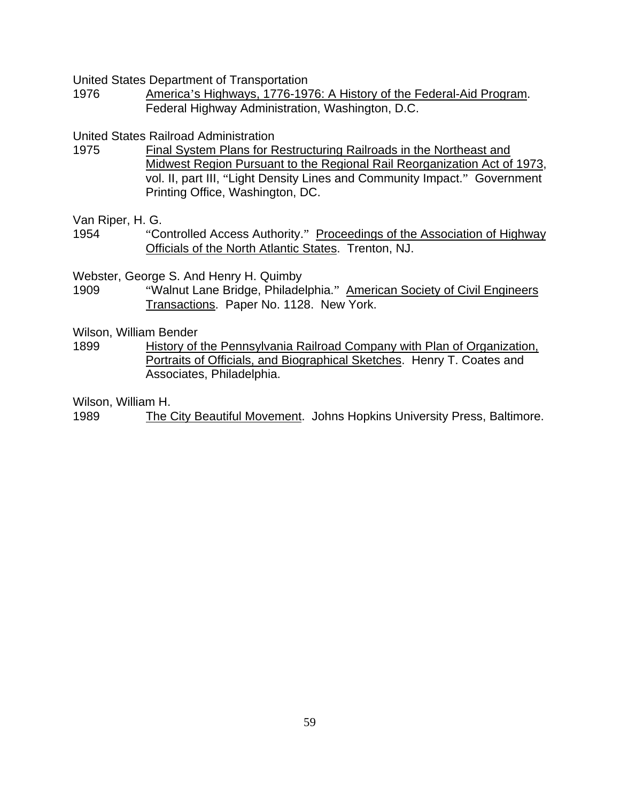United States Department of Transportation

1976 America's Highways, 1776-1976: A History of the Federal-Aid Program. Federal Highway Administration, Washington, D.C.

United States Railroad Administration

- 1975 Final System Plans for Restructuring Railroads in the Northeast and Midwest Region Pursuant to the Regional Rail Reorganization Act of 1973, vol. II, part III, "Light Density Lines and Community Impact." Government Printing Office, Washington, DC.
- Van Riper, H. G.
- 1954 "Controlled Access Authority." Proceedings of the Association of Highway Officials of the North Atlantic States. Trenton, NJ.

Webster, George S. And Henry H. Quimby

1909 "Walnut Lane Bridge, Philadelphia." American Society of Civil Engineers Transactions. Paper No. 1128. New York.

Wilson, William Bender

1899 History of the Pennsylvania Railroad Company with Plan of Organization, Portraits of Officials, and Biographical Sketches. Henry T. Coates and Associates, Philadelphia.

Wilson, William H.

1989 The City Beautiful Movement. Johns Hopkins University Press, Baltimore.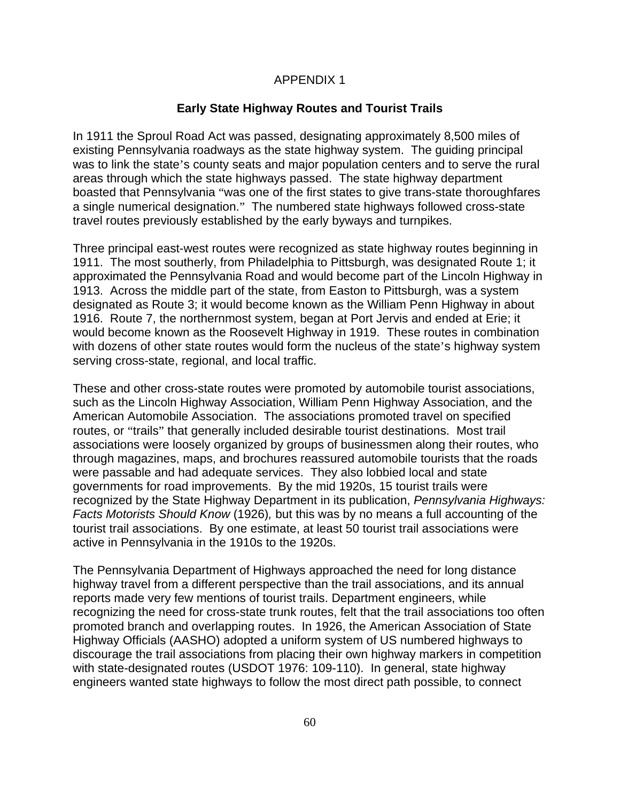## APPENDIX 1

## **Early State Highway Routes and Tourist Trails**

In 1911 the Sproul Road Act was passed, designating approximately 8,500 miles of existing Pennsylvania roadways as the state highway system. The guiding principal was to link the state's county seats and major population centers and to serve the rural areas through which the state highways passed. The state highway department boasted that Pennsylvania "was one of the first states to give trans-state thoroughfares a single numerical designation." The numbered state highways followed cross-state travel routes previously established by the early byways and turnpikes.

Three principal east-west routes were recognized as state highway routes beginning in 1911. The most southerly, from Philadelphia to Pittsburgh, was designated Route 1; it approximated the Pennsylvania Road and would become part of the Lincoln Highway in 1913. Across the middle part of the state, from Easton to Pittsburgh, was a system designated as Route 3; it would become known as the William Penn Highway in about 1916. Route 7, the northernmost system, began at Port Jervis and ended at Erie; it would become known as the Roosevelt Highway in 1919. These routes in combination with dozens of other state routes would form the nucleus of the state's highway system serving cross-state, regional, and local traffic.

These and other cross-state routes were promoted by automobile tourist associations, such as the Lincoln Highway Association, William Penn Highway Association, and the American Automobile Association. The associations promoted travel on specified routes, or "trails" that generally included desirable tourist destinations. Most trail associations were loosely organized by groups of businessmen along their routes, who through magazines, maps, and brochures reassured automobile tourists that the roads were passable and had adequate services. They also lobbied local and state governments for road improvements. By the mid 1920s, 15 tourist trails were recognized by the State Highway Department in its publication, *Pennsylvania Highways: Facts Motorists Should Know* (1926)*,* but this was by no means a full accounting of the tourist trail associations. By one estimate, at least 50 tourist trail associations were active in Pennsylvania in the 1910s to the 1920s.

The Pennsylvania Department of Highways approached the need for long distance highway travel from a different perspective than the trail associations, and its annual reports made very few mentions of tourist trails. Department engineers, while recognizing the need for cross-state trunk routes, felt that the trail associations too often promoted branch and overlapping routes. In 1926, the American Association of State Highway Officials (AASHO) adopted a uniform system of US numbered highways to discourage the trail associations from placing their own highway markers in competition with state-designated routes (USDOT 1976: 109-110). In general, state highway engineers wanted state highways to follow the most direct path possible, to connect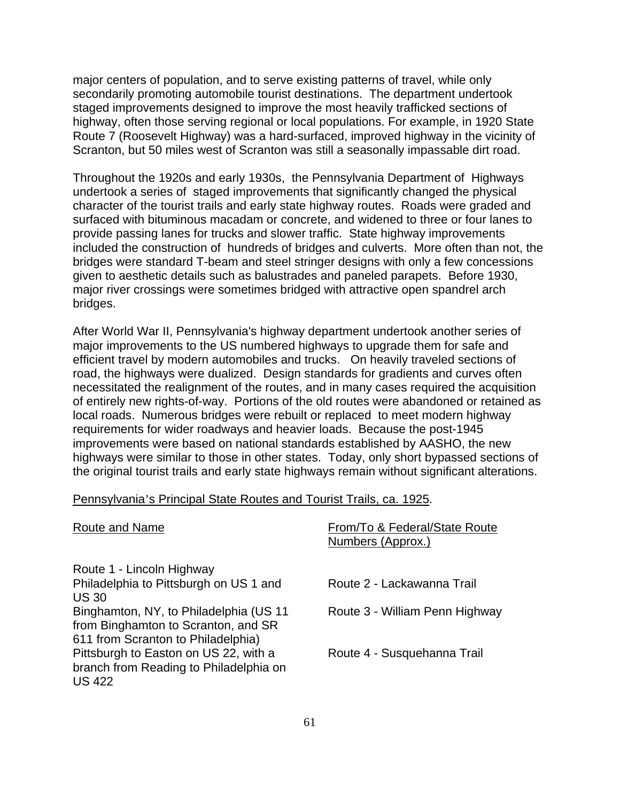major centers of population, and to serve existing patterns of travel, while only secondarily promoting automobile tourist destinations. The department undertook staged improvements designed to improve the most heavily trafficked sections of highway, often those serving regional or local populations. For example, in 1920 State Route 7 (Roosevelt Highway) was a hard-surfaced, improved highway in the vicinity of Scranton, but 50 miles west of Scranton was still a seasonally impassable dirt road.

Throughout the 1920s and early 1930s, the Pennsylvania Department of Highways undertook a series of staged improvements that significantly changed the physical character of the tourist trails and early state highway routes. Roads were graded and surfaced with bituminous macadam or concrete, and widened to three or four lanes to provide passing lanes for trucks and slower traffic. State highway improvements included the construction of hundreds of bridges and culverts. More often than not, the bridges were standard T-beam and steel stringer designs with only a few concessions given to aesthetic details such as balustrades and paneled parapets. Before 1930, major river crossings were sometimes bridged with attractive open spandrel arch bridges.

After World War II, Pennsylvania's highway department undertook another series of major improvements to the US numbered highways to upgrade them for safe and efficient travel by modern automobiles and trucks. On heavily traveled sections of road, the highways were dualized. Design standards for gradients and curves often necessitated the realignment of the routes, and in many cases required the acquisition of entirely new rights-of-way. Portions of the old routes were abandoned or retained as local roads. Numerous bridges were rebuilt or replaced to meet modern highway requirements for wider roadways and heavier loads. Because the post-1945 improvements were based on national standards established by AASHO, the new highways were similar to those in other states. Today, only short bypassed sections of the original tourist trails and early state highways remain without significant alterations.

|  |  | Pennsylvania s Philicipal State Routes and Tourist Trails. Ca. 1925. |  |  |
|--|--|----------------------------------------------------------------------|--|--|
|  |  |                                                                      |  |  |

Pennsylvania's Principal State Routes and Tourist Trails, ca. 1925.

| <b>Route and Name</b>                                                                            | From/To & Federal/State Route<br>Numbers (Approx.) |
|--------------------------------------------------------------------------------------------------|----------------------------------------------------|
| Route 1 - Lincoln Highway                                                                        |                                                    |
| Philadelphia to Pittsburgh on US 1 and                                                           | Route 2 - Lackawanna Trail                         |
| <b>US 30</b>                                                                                     |                                                    |
| Binghamton, NY, to Philadelphia (US 11<br>from Binghamton to Scranton, and SR                    | Route 3 - William Penn Highway                     |
| 611 from Scranton to Philadelphia)                                                               |                                                    |
| Pittsburgh to Easton on US 22, with a<br>branch from Reading to Philadelphia on<br><b>US 422</b> | Route 4 - Susquehanna Trail                        |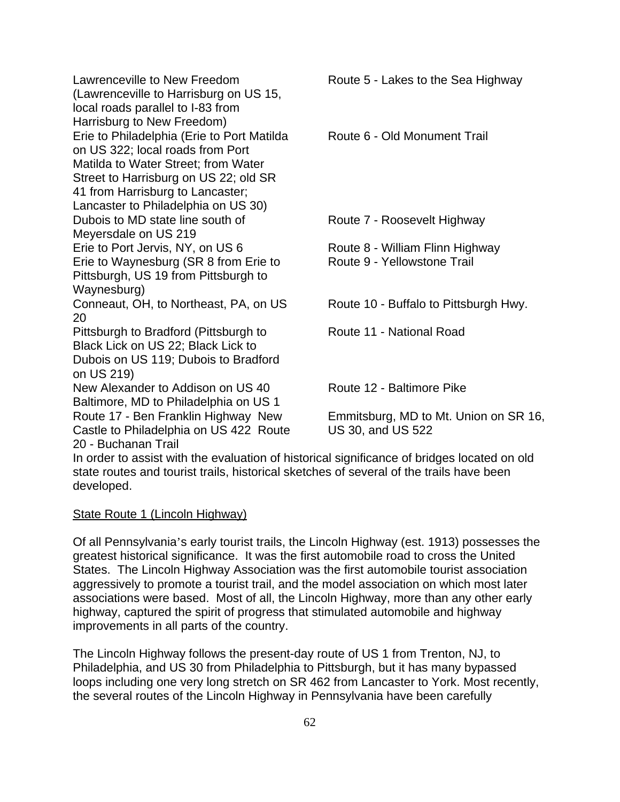Lawrenceville to New Freedom (Lawrenceville to Harrisburg on US 15, local roads parallel to I-83 from Harrisburg to New Freedom) Route 5 - Lakes to the Sea Highway Erie to Philadelphia (Erie to Port Matilda on US 322; local roads from Port Matilda to Water Street; from Water Street to Harrisburg on US 22; old SR 41 from Harrisburg to Lancaster; Lancaster to Philadelphia on US 30) Route 6 - Old Monument Trail Dubois to MD state line south of Meyersdale on US 219 Route 7 - Roosevelt Highway Erie to Port Jervis, NY, on US 6 Route 8 - William Flinn Highway Erie to Waynesburg (SR 8 from Erie to Pittsburgh, US 19 from Pittsburgh to Waynesburg) Route 9 - Yellowstone Trail Conneaut, OH, to Northeast, PA, on US 20 Route 10 - Buffalo to Pittsburgh Hwy. Pittsburgh to Bradford (Pittsburgh to Black Lick on US 22; Black Lick to Dubois on US 119; Dubois to Bradford on US 219) Route 11 - National Road New Alexander to Addison on US 40 Route 12 - Baltimore Pike Baltimore, MD to Philadelphia on US 1 Route 17 - Ben Franklin Highway New Castle to Philadelphia on US 422 Route 20 - Buchanan Trail Emmitsburg, MD to Mt. Union on SR 16, US 30, and US 522 In order to assist with the evaluation of historical significance of bridges located on old state routes and tourist trails, historical sketches of several of the trails have been

# State Route 1 (Lincoln Highway)

developed.

Of all Pennsylvania's early tourist trails, the Lincoln Highway (est. 1913) possesses the greatest historical significance. It was the first automobile road to cross the United States. The Lincoln Highway Association was the first automobile tourist association aggressively to promote a tourist trail, and the model association on which most later associations were based. Most of all, the Lincoln Highway, more than any other early highway, captured the spirit of progress that stimulated automobile and highway improvements in all parts of the country.

The Lincoln Highway follows the present-day route of US 1 from Trenton, NJ, to Philadelphia, and US 30 from Philadelphia to Pittsburgh, but it has many bypassed loops including one very long stretch on SR 462 from Lancaster to York. Most recently, the several routes of the Lincoln Highway in Pennsylvania have been carefully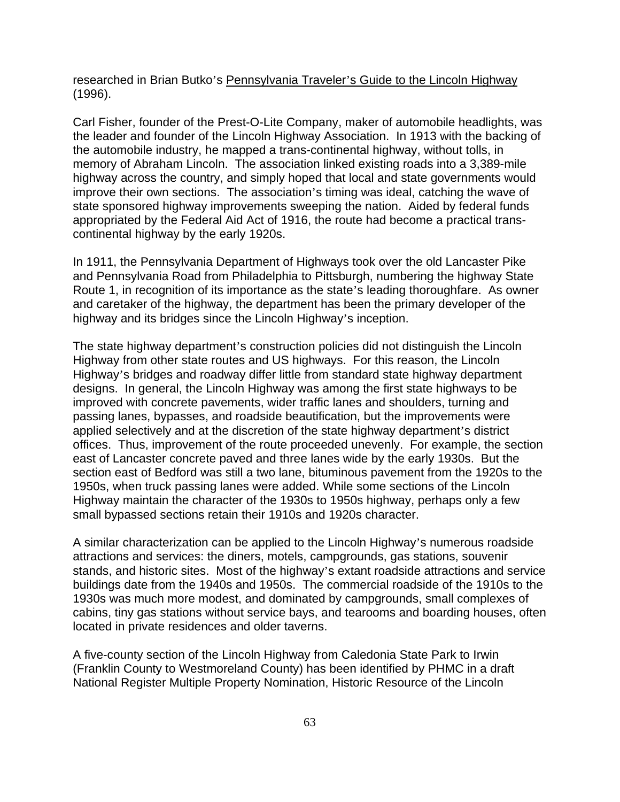researched in Brian Butko's Pennsylvania Traveler's Guide to the Lincoln Highway (1996).

Carl Fisher, founder of the Prest-O-Lite Company, maker of automobile headlights, was the leader and founder of the Lincoln Highway Association. In 1913 with the backing of the automobile industry, he mapped a trans-continental highway, without tolls, in memory of Abraham Lincoln. The association linked existing roads into a 3,389-mile highway across the country, and simply hoped that local and state governments would improve their own sections. The association's timing was ideal, catching the wave of state sponsored highway improvements sweeping the nation. Aided by federal funds appropriated by the Federal Aid Act of 1916, the route had become a practical transcontinental highway by the early 1920s.

In 1911, the Pennsylvania Department of Highways took over the old Lancaster Pike and Pennsylvania Road from Philadelphia to Pittsburgh, numbering the highway State Route 1, in recognition of its importance as the state's leading thoroughfare. As owner and caretaker of the highway, the department has been the primary developer of the highway and its bridges since the Lincoln Highway's inception.

The state highway department's construction policies did not distinguish the Lincoln Highway from other state routes and US highways. For this reason, the Lincoln Highway's bridges and roadway differ little from standard state highway department designs. In general, the Lincoln Highway was among the first state highways to be improved with concrete pavements, wider traffic lanes and shoulders, turning and passing lanes, bypasses, and roadside beautification, but the improvements were applied selectively and at the discretion of the state highway department's district offices. Thus, improvement of the route proceeded unevenly. For example, the section east of Lancaster concrete paved and three lanes wide by the early 1930s. But the section east of Bedford was still a two lane, bituminous pavement from the 1920s to the 1950s, when truck passing lanes were added. While some sections of the Lincoln Highway maintain the character of the 1930s to 1950s highway, perhaps only a few small bypassed sections retain their 1910s and 1920s character.

A similar characterization can be applied to the Lincoln Highway's numerous roadside attractions and services: the diners, motels, campgrounds, gas stations, souvenir stands, and historic sites. Most of the highway's extant roadside attractions and service buildings date from the 1940s and 1950s. The commercial roadside of the 1910s to the 1930s was much more modest, and dominated by campgrounds, small complexes of cabins, tiny gas stations without service bays, and tearooms and boarding houses, often located in private residences and older taverns.

A five-county section of the Lincoln Highway from Caledonia State Park to Irwin (Franklin County to Westmoreland County) has been identified by PHMC in a draft National Register Multiple Property Nomination, Historic Resource of the Lincoln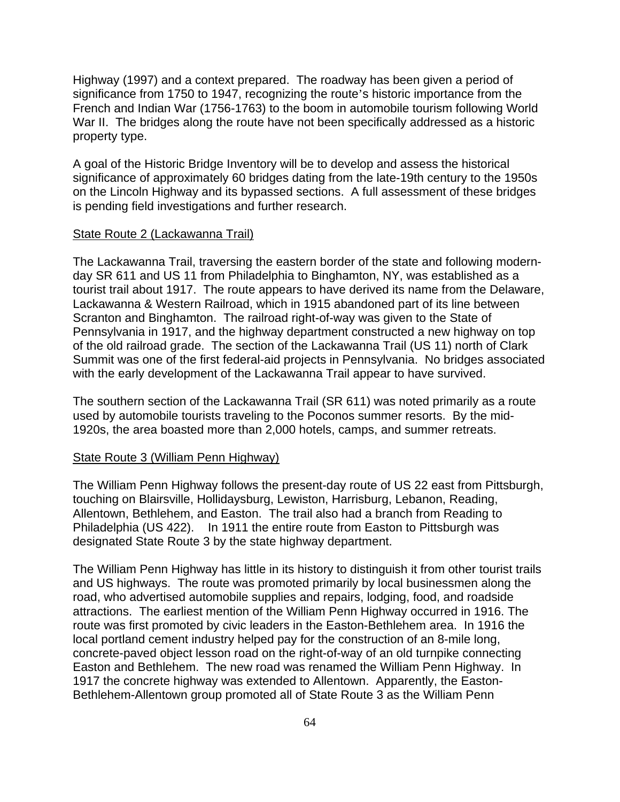Highway (1997) and a context prepared. The roadway has been given a period of significance from 1750 to 1947, recognizing the route's historic importance from the French and Indian War (1756-1763) to the boom in automobile tourism following World War II. The bridges along the route have not been specifically addressed as a historic property type.

A goal of the Historic Bridge Inventory will be to develop and assess the historical significance of approximately 60 bridges dating from the late-19th century to the 1950s on the Lincoln Highway and its bypassed sections. A full assessment of these bridges is pending field investigations and further research.

## State Route 2 (Lackawanna Trail)

The Lackawanna Trail, traversing the eastern border of the state and following modernday SR 611 and US 11 from Philadelphia to Binghamton, NY, was established as a tourist trail about 1917. The route appears to have derived its name from the Delaware, Lackawanna & Western Railroad, which in 1915 abandoned part of its line between Scranton and Binghamton. The railroad right-of-way was given to the State of Pennsylvania in 1917, and the highway department constructed a new highway on top of the old railroad grade. The section of the Lackawanna Trail (US 11) north of Clark Summit was one of the first federal-aid projects in Pennsylvania. No bridges associated with the early development of the Lackawanna Trail appear to have survived.

The southern section of the Lackawanna Trail (SR 611) was noted primarily as a route used by automobile tourists traveling to the Poconos summer resorts. By the mid-1920s, the area boasted more than 2,000 hotels, camps, and summer retreats.

#### State Route 3 (William Penn Highway)

The William Penn Highway follows the present-day route of US 22 east from Pittsburgh, touching on Blairsville, Hollidaysburg, Lewiston, Harrisburg, Lebanon, Reading, Allentown, Bethlehem, and Easton. The trail also had a branch from Reading to Philadelphia (US 422). In 1911 the entire route from Easton to Pittsburgh was designated State Route 3 by the state highway department.

The William Penn Highway has little in its history to distinguish it from other tourist trails and US highways. The route was promoted primarily by local businessmen along the road, who advertised automobile supplies and repairs, lodging, food, and roadside attractions. The earliest mention of the William Penn Highway occurred in 1916. The route was first promoted by civic leaders in the Easton-Bethlehem area. In 1916 the local portland cement industry helped pay for the construction of an 8-mile long, concrete-paved object lesson road on the right-of-way of an old turnpike connecting Easton and Bethlehem. The new road was renamed the William Penn Highway. In 1917 the concrete highway was extended to Allentown. Apparently, the Easton-Bethlehem-Allentown group promoted all of State Route 3 as the William Penn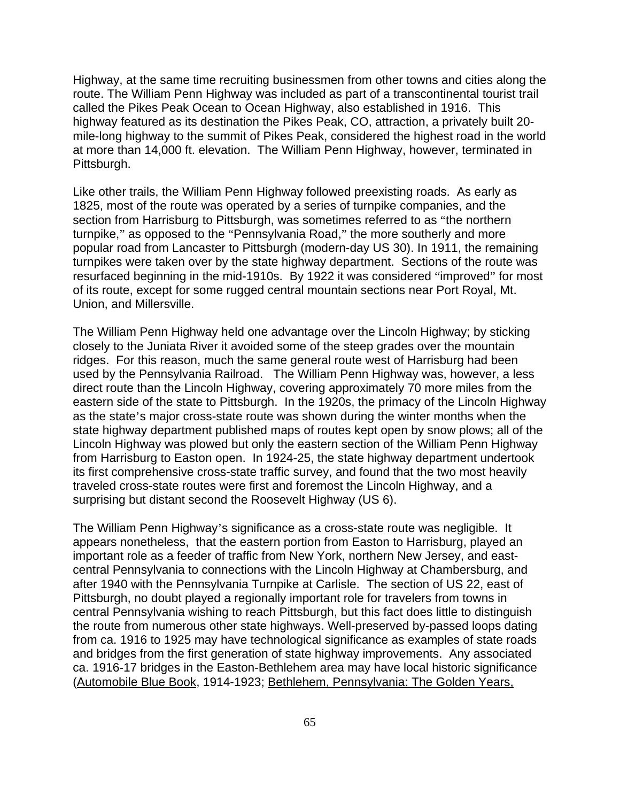Highway, at the same time recruiting businessmen from other towns and cities along the route. The William Penn Highway was included as part of a transcontinental tourist trail called the Pikes Peak Ocean to Ocean Highway, also established in 1916. This highway featured as its destination the Pikes Peak, CO, attraction, a privately built 20 mile-long highway to the summit of Pikes Peak, considered the highest road in the world at more than 14,000 ft. elevation. The William Penn Highway, however, terminated in Pittsburgh.

Like other trails, the William Penn Highway followed preexisting roads. As early as 1825, most of the route was operated by a series of turnpike companies, and the section from Harrisburg to Pittsburgh, was sometimes referred to as "the northern turnpike," as opposed to the "Pennsylvania Road," the more southerly and more popular road from Lancaster to Pittsburgh (modern-day US 30). In 1911, the remaining turnpikes were taken over by the state highway department. Sections of the route was resurfaced beginning in the mid-1910s. By 1922 it was considered "improved" for most of its route, except for some rugged central mountain sections near Port Royal, Mt. Union, and Millersville.

The William Penn Highway held one advantage over the Lincoln Highway; by sticking closely to the Juniata River it avoided some of the steep grades over the mountain ridges. For this reason, much the same general route west of Harrisburg had been used by the Pennsylvania Railroad. The William Penn Highway was, however, a less direct route than the Lincoln Highway, covering approximately 70 more miles from the eastern side of the state to Pittsburgh. In the 1920s, the primacy of the Lincoln Highway as the state's major cross-state route was shown during the winter months when the state highway department published maps of routes kept open by snow plows; all of the Lincoln Highway was plowed but only the eastern section of the William Penn Highway from Harrisburg to Easton open. In 1924-25, the state highway department undertook its first comprehensive cross-state traffic survey, and found that the two most heavily traveled cross-state routes were first and foremost the Lincoln Highway, and a surprising but distant second the Roosevelt Highway (US 6).

The William Penn Highway's significance as a cross-state route was negligible. It appears nonetheless, that the eastern portion from Easton to Harrisburg, played an important role as a feeder of traffic from New York, northern New Jersey, and eastcentral Pennsylvania to connections with the Lincoln Highway at Chambersburg, and after 1940 with the Pennsylvania Turnpike at Carlisle. The section of US 22, east of Pittsburgh, no doubt played a regionally important role for travelers from towns in central Pennsylvania wishing to reach Pittsburgh, but this fact does little to distinguish the route from numerous other state highways. Well-preserved by-passed loops dating from ca. 1916 to 1925 may have technological significance as examples of state roads and bridges from the first generation of state highway improvements. Any associated ca. 1916-17 bridges in the Easton-Bethlehem area may have local historic significance (Automobile Blue Book, 1914-1923; Bethlehem, Pennsylvania: The Golden Years,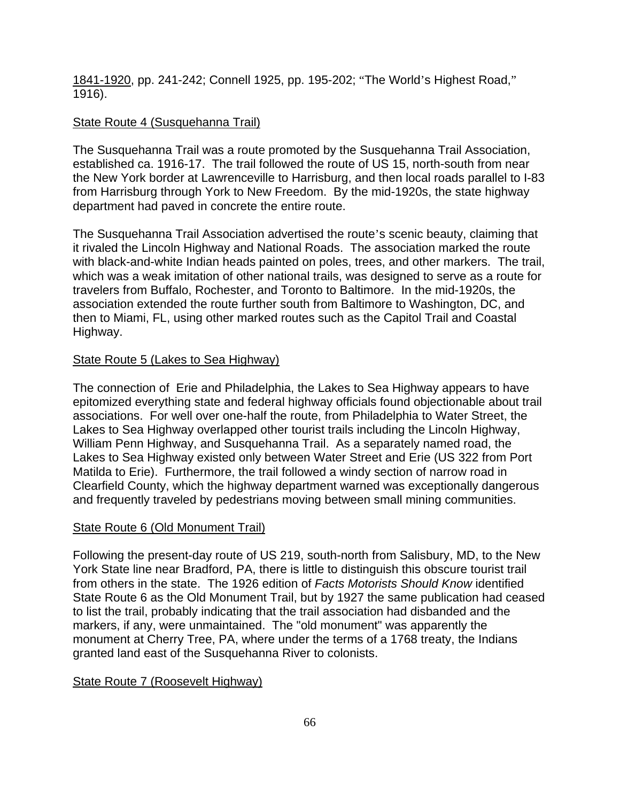1841-1920, pp. 241-242; Connell 1925, pp. 195-202; "The World's Highest Road," 1916).

# State Route 4 (Susquehanna Trail)

The Susquehanna Trail was a route promoted by the Susquehanna Trail Association, established ca. 1916-17. The trail followed the route of US 15, north-south from near the New York border at Lawrenceville to Harrisburg, and then local roads parallel to I-83 from Harrisburg through York to New Freedom. By the mid-1920s, the state highway department had paved in concrete the entire route.

The Susquehanna Trail Association advertised the route's scenic beauty, claiming that it rivaled the Lincoln Highway and National Roads. The association marked the route with black-and-white Indian heads painted on poles, trees, and other markers. The trail, which was a weak imitation of other national trails, was designed to serve as a route for travelers from Buffalo, Rochester, and Toronto to Baltimore. In the mid-1920s, the association extended the route further south from Baltimore to Washington, DC, and then to Miami, FL, using other marked routes such as the Capitol Trail and Coastal Highway.

# State Route 5 (Lakes to Sea Highway)

The connection of Erie and Philadelphia, the Lakes to Sea Highway appears to have epitomized everything state and federal highway officials found objectionable about trail associations. For well over one-half the route, from Philadelphia to Water Street, the Lakes to Sea Highway overlapped other tourist trails including the Lincoln Highway, William Penn Highway, and Susquehanna Trail. As a separately named road, the Lakes to Sea Highway existed only between Water Street and Erie (US 322 from Port Matilda to Erie). Furthermore, the trail followed a windy section of narrow road in Clearfield County, which the highway department warned was exceptionally dangerous and frequently traveled by pedestrians moving between small mining communities.

## State Route 6 (Old Monument Trail)

Following the present-day route of US 219, south-north from Salisbury, MD, to the New York State line near Bradford, PA, there is little to distinguish this obscure tourist trail from others in the state. The 1926 edition of *Facts Motorists Should Know* identified State Route 6 as the Old Monument Trail, but by 1927 the same publication had ceased to list the trail, probably indicating that the trail association had disbanded and the markers, if any, were unmaintained. The "old monument" was apparently the monument at Cherry Tree, PA, where under the terms of a 1768 treaty, the Indians granted land east of the Susquehanna River to colonists.

# State Route 7 (Roosevelt Highway)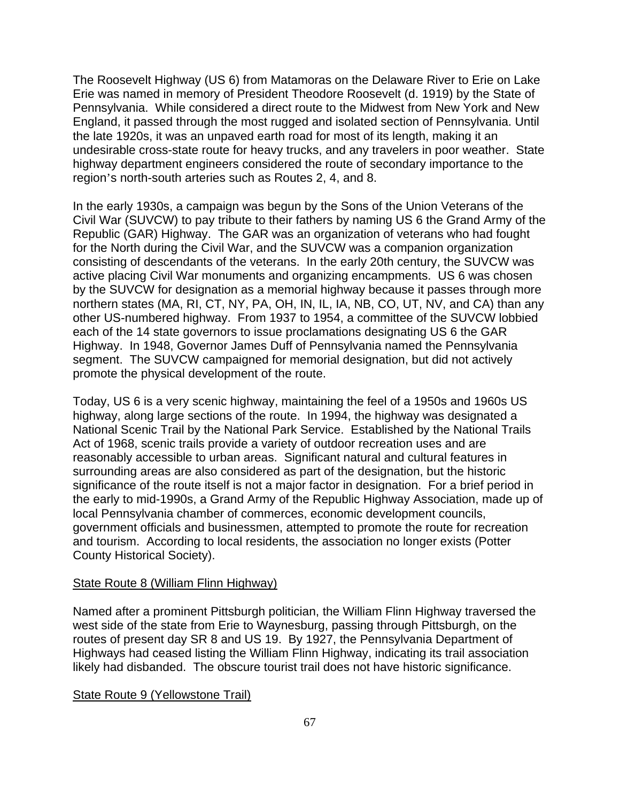The Roosevelt Highway (US 6) from Matamoras on the Delaware River to Erie on Lake Erie was named in memory of President Theodore Roosevelt (d. 1919) by the State of Pennsylvania. While considered a direct route to the Midwest from New York and New England, it passed through the most rugged and isolated section of Pennsylvania. Until the late 1920s, it was an unpaved earth road for most of its length, making it an undesirable cross-state route for heavy trucks, and any travelers in poor weather. State highway department engineers considered the route of secondary importance to the region's north-south arteries such as Routes 2, 4, and 8.

In the early 1930s, a campaign was begun by the Sons of the Union Veterans of the Civil War (SUVCW) to pay tribute to their fathers by naming US 6 the Grand Army of the Republic (GAR) Highway. The GAR was an organization of veterans who had fought for the North during the Civil War, and the SUVCW was a companion organization consisting of descendants of the veterans. In the early 20th century, the SUVCW was active placing Civil War monuments and organizing encampments. US 6 was chosen by the SUVCW for designation as a memorial highway because it passes through more northern states (MA, RI, CT, NY, PA, OH, IN, IL, IA, NB, CO, UT, NV, and CA) than any other US-numbered highway. From 1937 to 1954, a committee of the SUVCW lobbied each of the 14 state governors to issue proclamations designating US 6 the GAR Highway. In 1948, Governor James Duff of Pennsylvania named the Pennsylvania segment. The SUVCW campaigned for memorial designation, but did not actively promote the physical development of the route.

Today, US 6 is a very scenic highway, maintaining the feel of a 1950s and 1960s US highway, along large sections of the route. In 1994, the highway was designated a National Scenic Trail by the National Park Service. Established by the National Trails Act of 1968, scenic trails provide a variety of outdoor recreation uses and are reasonably accessible to urban areas. Significant natural and cultural features in surrounding areas are also considered as part of the designation, but the historic significance of the route itself is not a major factor in designation. For a brief period in the early to mid-1990s, a Grand Army of the Republic Highway Association, made up of local Pennsylvania chamber of commerces, economic development councils, government officials and businessmen, attempted to promote the route for recreation and tourism. According to local residents, the association no longer exists (Potter County Historical Society).

#### State Route 8 (William Flinn Highway)

Named after a prominent Pittsburgh politician, the William Flinn Highway traversed the west side of the state from Erie to Waynesburg, passing through Pittsburgh, on the routes of present day SR 8 and US 19. By 1927, the Pennsylvania Department of Highways had ceased listing the William Flinn Highway, indicating its trail association likely had disbanded. The obscure tourist trail does not have historic significance.

#### State Route 9 (Yellowstone Trail)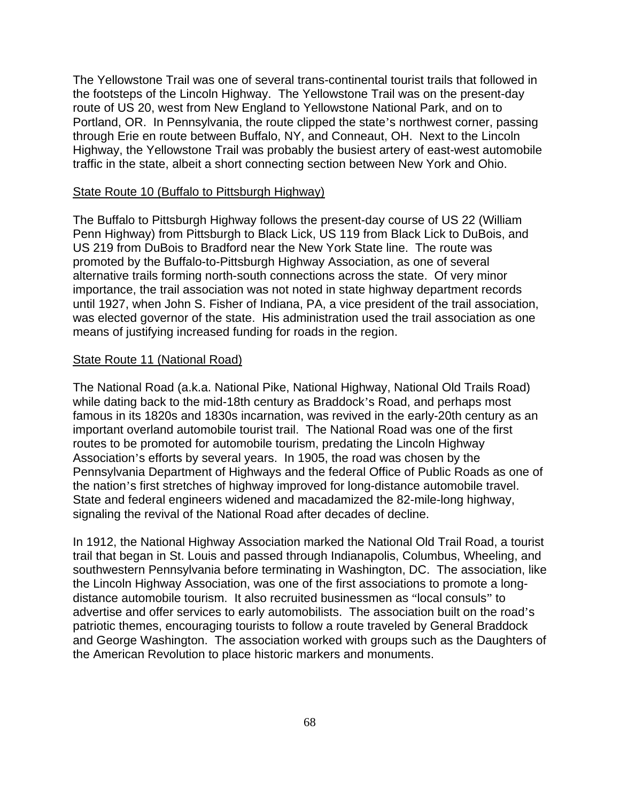The Yellowstone Trail was one of several trans-continental tourist trails that followed in the footsteps of the Lincoln Highway. The Yellowstone Trail was on the present-day route of US 20, west from New England to Yellowstone National Park, and on to Portland, OR. In Pennsylvania, the route clipped the state's northwest corner, passing through Erie en route between Buffalo, NY, and Conneaut, OH. Next to the Lincoln Highway, the Yellowstone Trail was probably the busiest artery of east-west automobile traffic in the state, albeit a short connecting section between New York and Ohio.

#### State Route 10 (Buffalo to Pittsburgh Highway)

The Buffalo to Pittsburgh Highway follows the present-day course of US 22 (William Penn Highway) from Pittsburgh to Black Lick, US 119 from Black Lick to DuBois, and US 219 from DuBois to Bradford near the New York State line. The route was promoted by the Buffalo-to-Pittsburgh Highway Association, as one of several alternative trails forming north-south connections across the state. Of very minor importance, the trail association was not noted in state highway department records until 1927, when John S. Fisher of Indiana, PA, a vice president of the trail association, was elected governor of the state. His administration used the trail association as one means of justifying increased funding for roads in the region.

#### State Route 11 (National Road)

The National Road (a.k.a. National Pike, National Highway, National Old Trails Road) while dating back to the mid-18th century as Braddock's Road, and perhaps most famous in its 1820s and 1830s incarnation, was revived in the early-20th century as an important overland automobile tourist trail. The National Road was one of the first routes to be promoted for automobile tourism, predating the Lincoln Highway Association's efforts by several years. In 1905, the road was chosen by the Pennsylvania Department of Highways and the federal Office of Public Roads as one of the nation's first stretches of highway improved for long-distance automobile travel. State and federal engineers widened and macadamized the 82-mile-long highway, signaling the revival of the National Road after decades of decline.

In 1912, the National Highway Association marked the National Old Trail Road, a tourist trail that began in St. Louis and passed through Indianapolis, Columbus, Wheeling, and southwestern Pennsylvania before terminating in Washington, DC. The association, like the Lincoln Highway Association, was one of the first associations to promote a longdistance automobile tourism. It also recruited businessmen as "local consuls" to advertise and offer services to early automobilists. The association built on the road's patriotic themes, encouraging tourists to follow a route traveled by General Braddock and George Washington. The association worked with groups such as the Daughters of the American Revolution to place historic markers and monuments.